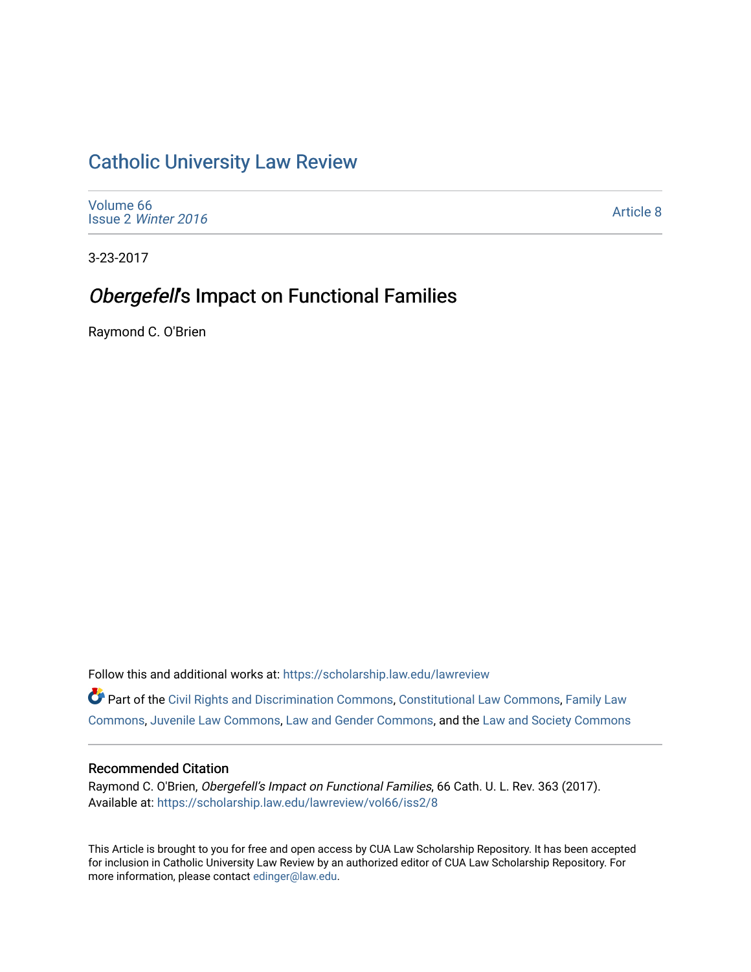# [Catholic University Law Review](https://scholarship.law.edu/lawreview)

[Volume 66](https://scholarship.law.edu/lawreview/vol66) Issue 2 [Winter 2016](https://scholarship.law.edu/lawreview/vol66/iss2) 

[Article 8](https://scholarship.law.edu/lawreview/vol66/iss2/8) 

3-23-2017

# Obergefell's Impact on Functional Families

Raymond C. O'Brien

Follow this and additional works at: [https://scholarship.law.edu/lawreview](https://scholarship.law.edu/lawreview?utm_source=scholarship.law.edu%2Flawreview%2Fvol66%2Fiss2%2F8&utm_medium=PDF&utm_campaign=PDFCoverPages)

Part of the [Civil Rights and Discrimination Commons,](http://network.bepress.com/hgg/discipline/585?utm_source=scholarship.law.edu%2Flawreview%2Fvol66%2Fiss2%2F8&utm_medium=PDF&utm_campaign=PDFCoverPages) [Constitutional Law Commons,](http://network.bepress.com/hgg/discipline/589?utm_source=scholarship.law.edu%2Flawreview%2Fvol66%2Fiss2%2F8&utm_medium=PDF&utm_campaign=PDFCoverPages) [Family Law](http://network.bepress.com/hgg/discipline/602?utm_source=scholarship.law.edu%2Flawreview%2Fvol66%2Fiss2%2F8&utm_medium=PDF&utm_campaign=PDFCoverPages) [Commons](http://network.bepress.com/hgg/discipline/602?utm_source=scholarship.law.edu%2Flawreview%2Fvol66%2Fiss2%2F8&utm_medium=PDF&utm_campaign=PDFCoverPages), [Juvenile Law Commons,](http://network.bepress.com/hgg/discipline/851?utm_source=scholarship.law.edu%2Flawreview%2Fvol66%2Fiss2%2F8&utm_medium=PDF&utm_campaign=PDFCoverPages) [Law and Gender Commons,](http://network.bepress.com/hgg/discipline/1298?utm_source=scholarship.law.edu%2Flawreview%2Fvol66%2Fiss2%2F8&utm_medium=PDF&utm_campaign=PDFCoverPages) and the [Law and Society Commons](http://network.bepress.com/hgg/discipline/853?utm_source=scholarship.law.edu%2Flawreview%2Fvol66%2Fiss2%2F8&utm_medium=PDF&utm_campaign=PDFCoverPages) 

### Recommended Citation

Raymond C. O'Brien, Obergefell's Impact on Functional Families, 66 Cath. U. L. Rev. 363 (2017). Available at: [https://scholarship.law.edu/lawreview/vol66/iss2/8](https://scholarship.law.edu/lawreview/vol66/iss2/8?utm_source=scholarship.law.edu%2Flawreview%2Fvol66%2Fiss2%2F8&utm_medium=PDF&utm_campaign=PDFCoverPages)

This Article is brought to you for free and open access by CUA Law Scholarship Repository. It has been accepted for inclusion in Catholic University Law Review by an authorized editor of CUA Law Scholarship Repository. For more information, please contact [edinger@law.edu.](mailto:edinger@law.edu)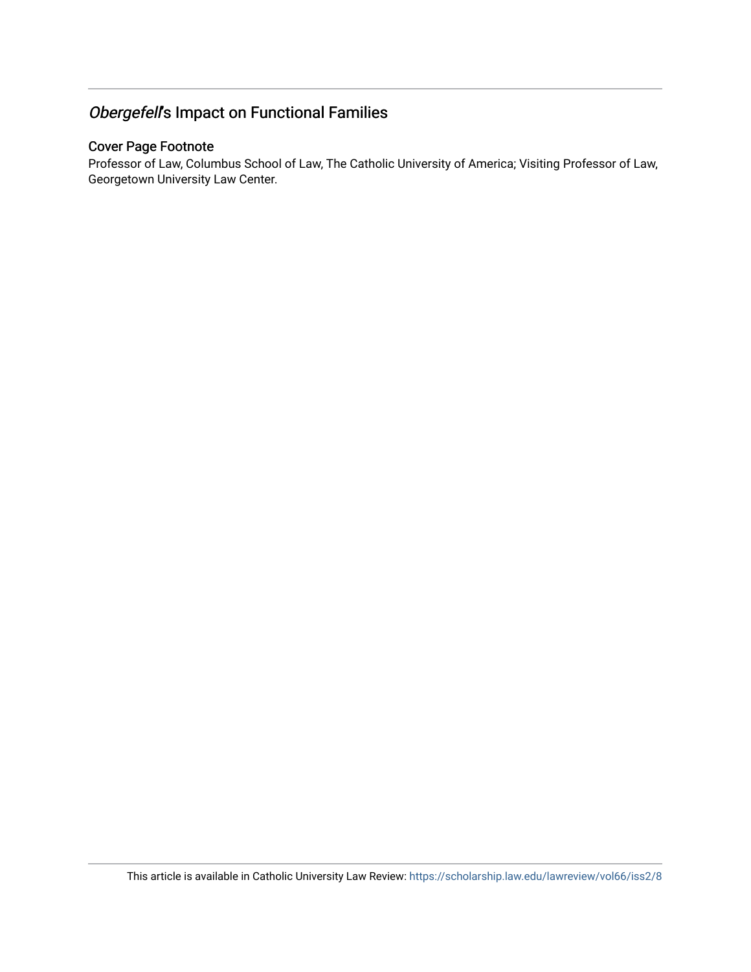# Obergefell's Impact on Functional Families

### Cover Page Footnote

Professor of Law, Columbus School of Law, The Catholic University of America; Visiting Professor of Law, Georgetown University Law Center.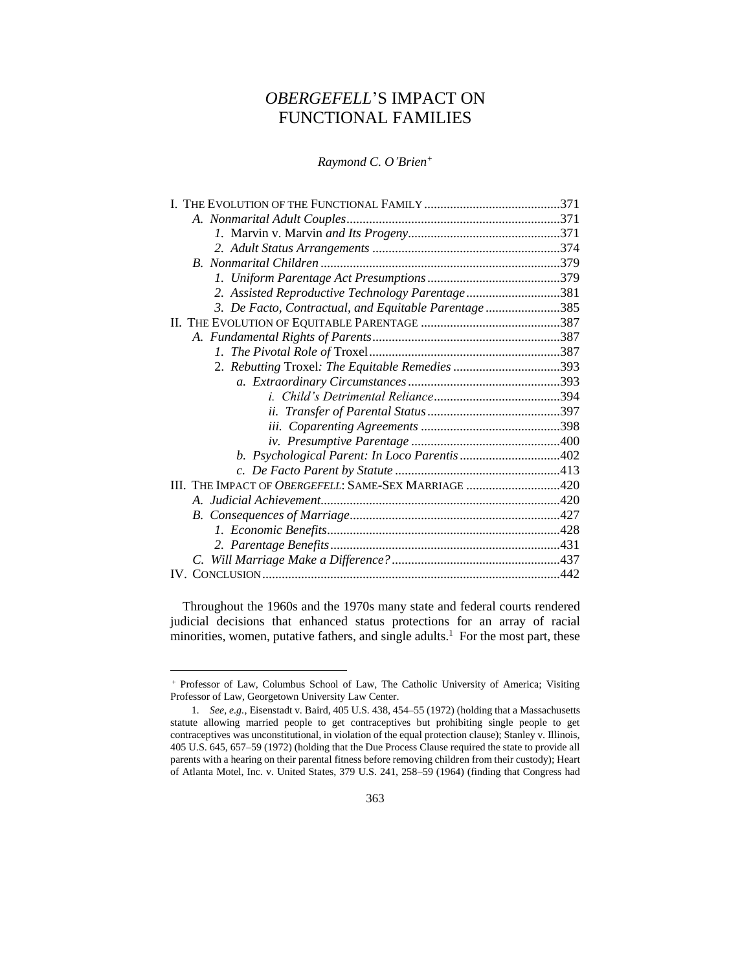## *OBERGEFELL*'S IMPACT ON FUNCTIONAL FAMILIES

*Raymond C. O'Brien<sup>+</sup>*

| 2. Assisted Reproductive Technology Parentage381      |  |
|-------------------------------------------------------|--|
| 3. De Facto, Contractual, and Equitable Parentage 385 |  |
|                                                       |  |
|                                                       |  |
|                                                       |  |
| 2. Rebutting Troxel: The Equitable Remedies 393       |  |
|                                                       |  |
|                                                       |  |
|                                                       |  |
|                                                       |  |
|                                                       |  |
| b. Psychological Parent: In Loco Parentis 402         |  |
|                                                       |  |
| III. THE IMPACT OF OBERGEFELL: SAME-SEX MARRIAGE 420  |  |
|                                                       |  |
|                                                       |  |
|                                                       |  |
|                                                       |  |
|                                                       |  |
|                                                       |  |
|                                                       |  |

Throughout the 1960s and the 1970s many state and federal courts rendered judicial decisions that enhanced status protections for an array of racial minorities, women, putative fathers, and single adults.<sup>1</sup> For the most part, these

<sup>+</sup> Professor of Law, Columbus School of Law, The Catholic University of America; Visiting Professor of Law, Georgetown University Law Center.

<sup>1</sup>*. See, e.g.*, Eisenstadt v. Baird, 405 U.S. 438, 454–55 (1972) (holding that a Massachusetts statute allowing married people to get contraceptives but prohibiting single people to get contraceptives was unconstitutional, in violation of the equal protection clause); Stanley v. Illinois, 405 U.S. 645, 657–59 (1972) (holding that the Due Process Clause required the state to provide all parents with a hearing on their parental fitness before removing children from their custody); Heart of Atlanta Motel, Inc. v. United States, 379 U.S. 241, 258–59 (1964) (finding that Congress had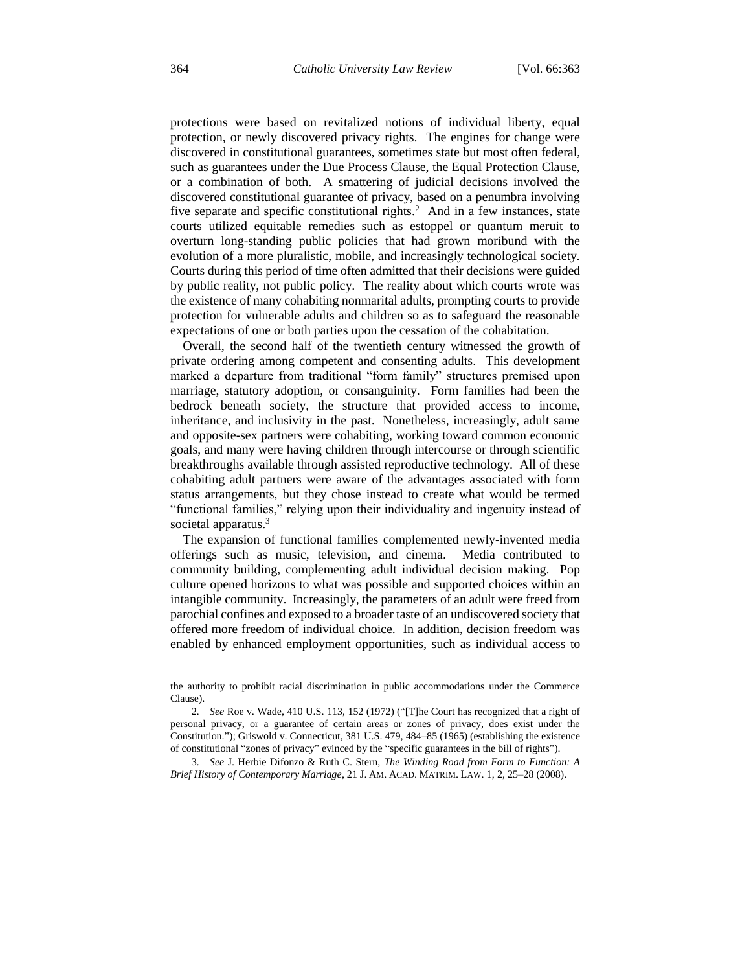protections were based on revitalized notions of individual liberty, equal protection, or newly discovered privacy rights. The engines for change were discovered in constitutional guarantees, sometimes state but most often federal, such as guarantees under the Due Process Clause, the Equal Protection Clause, or a combination of both. A smattering of judicial decisions involved the discovered constitutional guarantee of privacy, based on a penumbra involving five separate and specific constitutional rights.<sup>2</sup> And in a few instances, state courts utilized equitable remedies such as estoppel or quantum meruit to overturn long-standing public policies that had grown moribund with the evolution of a more pluralistic, mobile, and increasingly technological society. Courts during this period of time often admitted that their decisions were guided by public reality, not public policy. The reality about which courts wrote was the existence of many cohabiting nonmarital adults, prompting courts to provide protection for vulnerable adults and children so as to safeguard the reasonable expectations of one or both parties upon the cessation of the cohabitation.

Overall, the second half of the twentieth century witnessed the growth of private ordering among competent and consenting adults. This development marked a departure from traditional "form family" structures premised upon marriage, statutory adoption, or consanguinity. Form families had been the bedrock beneath society, the structure that provided access to income, inheritance, and inclusivity in the past. Nonetheless, increasingly, adult same and opposite-sex partners were cohabiting, working toward common economic goals, and many were having children through intercourse or through scientific breakthroughs available through assisted reproductive technology. All of these cohabiting adult partners were aware of the advantages associated with form status arrangements, but they chose instead to create what would be termed "functional families," relying upon their individuality and ingenuity instead of societal apparatus.<sup>3</sup>

The expansion of functional families complemented newly-invented media offerings such as music, television, and cinema. Media contributed to community building, complementing adult individual decision making. Pop culture opened horizons to what was possible and supported choices within an intangible community. Increasingly, the parameters of an adult were freed from parochial confines and exposed to a broader taste of an undiscovered society that offered more freedom of individual choice. In addition, decision freedom was enabled by enhanced employment opportunities, such as individual access to

the authority to prohibit racial discrimination in public accommodations under the Commerce Clause).

<sup>2</sup>*. See* Roe v. Wade, 410 U.S. 113, 152 (1972) ("[T]he Court has recognized that a right of personal privacy, or a guarantee of certain areas or zones of privacy, does exist under the Constitution."); Griswold v. Connecticut, 381 U.S. 479, 484–85 (1965) (establishing the existence of constitutional "zones of privacy" evinced by the "specific guarantees in the bill of rights").

<sup>3</sup>*. See* J. Herbie Difonzo & Ruth C. Stern, *The Winding Road from Form to Function: A Brief History of Contemporary Marriage*, 21 J. AM. ACAD. MATRIM. LAW. 1, 2, 25–28 (2008).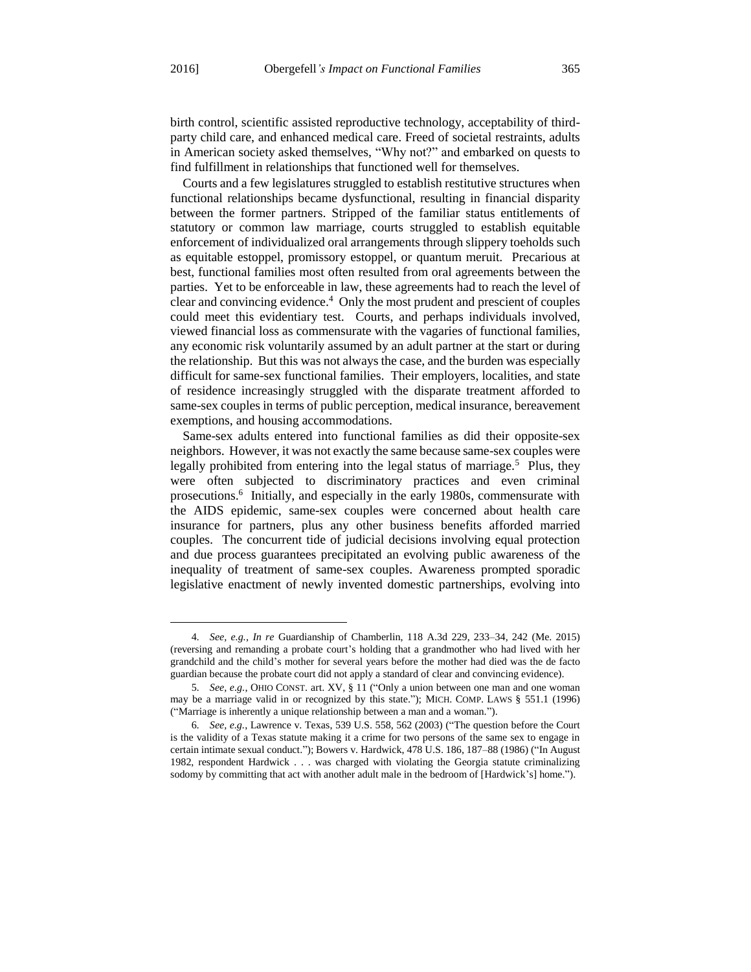$\overline{a}$ 

birth control, scientific assisted reproductive technology, acceptability of thirdparty child care, and enhanced medical care. Freed of societal restraints, adults in American society asked themselves, "Why not?" and embarked on quests to find fulfillment in relationships that functioned well for themselves.

Courts and a few legislatures struggled to establish restitutive structures when functional relationships became dysfunctional, resulting in financial disparity between the former partners. Stripped of the familiar status entitlements of statutory or common law marriage, courts struggled to establish equitable enforcement of individualized oral arrangements through slippery toeholds such as equitable estoppel, promissory estoppel, or quantum meruit. Precarious at best, functional families most often resulted from oral agreements between the parties. Yet to be enforceable in law, these agreements had to reach the level of clear and convincing evidence.<sup>4</sup> Only the most prudent and prescient of couples could meet this evidentiary test. Courts, and perhaps individuals involved, viewed financial loss as commensurate with the vagaries of functional families, any economic risk voluntarily assumed by an adult partner at the start or during the relationship. But this was not always the case, and the burden was especially difficult for same-sex functional families. Their employers, localities, and state of residence increasingly struggled with the disparate treatment afforded to same-sex couples in terms of public perception, medical insurance, bereavement exemptions, and housing accommodations.

Same-sex adults entered into functional families as did their opposite-sex neighbors. However, it was not exactly the same because same-sex couples were legally prohibited from entering into the legal status of marriage.<sup>5</sup> Plus, they were often subjected to discriminatory practices and even criminal prosecutions. 6 Initially, and especially in the early 1980s, commensurate with the AIDS epidemic, same-sex couples were concerned about health care insurance for partners, plus any other business benefits afforded married couples. The concurrent tide of judicial decisions involving equal protection and due process guarantees precipitated an evolving public awareness of the inequality of treatment of same-sex couples. Awareness prompted sporadic legislative enactment of newly invented domestic partnerships, evolving into

<sup>4</sup>*. See, e.g.*, *In re* Guardianship of Chamberlin, 118 A.3d 229, 233–34, 242 (Me. 2015) (reversing and remanding a probate court's holding that a grandmother who had lived with her grandchild and the child's mother for several years before the mother had died was the de facto guardian because the probate court did not apply a standard of clear and convincing evidence).

<sup>5</sup>*. See, e.g.*, OHIO CONST. art. XV, § 11 ("Only a union between one man and one woman may be a marriage valid in or recognized by this state."); MICH. COMP. LAWS § 551.1 (1996) ("Marriage is inherently a unique relationship between a man and a woman.").

<sup>6</sup>*. See, e.g.*, Lawrence v. Texas, 539 U.S. 558, 562 (2003) ("The question before the Court is the validity of a Texas statute making it a crime for two persons of the same sex to engage in certain intimate sexual conduct."); Bowers v. Hardwick, 478 U.S. 186, 187–88 (1986) ("In August 1982, respondent Hardwick . . . was charged with violating the Georgia statute criminalizing sodomy by committing that act with another adult male in the bedroom of [Hardwick's] home.").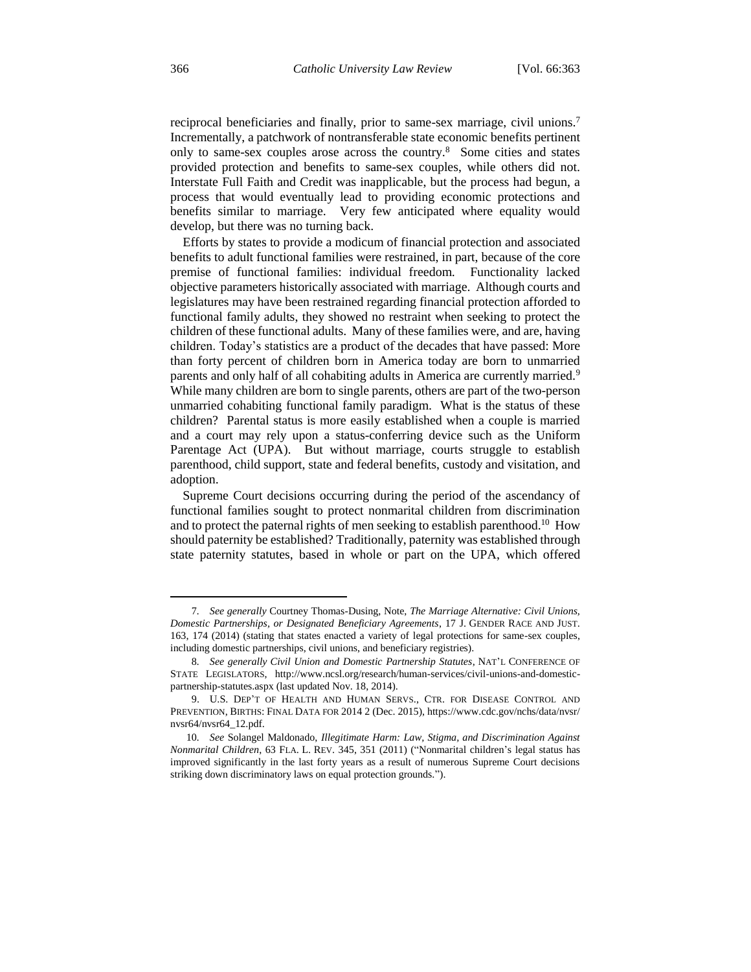reciprocal beneficiaries and finally, prior to same-sex marriage, civil unions.<sup>7</sup> Incrementally, a patchwork of nontransferable state economic benefits pertinent only to same-sex couples arose across the country.<sup>8</sup> Some cities and states provided protection and benefits to same-sex couples, while others did not. Interstate Full Faith and Credit was inapplicable, but the process had begun, a process that would eventually lead to providing economic protections and benefits similar to marriage. Very few anticipated where equality would develop, but there was no turning back.

Efforts by states to provide a modicum of financial protection and associated benefits to adult functional families were restrained, in part, because of the core premise of functional families: individual freedom. Functionality lacked objective parameters historically associated with marriage. Although courts and legislatures may have been restrained regarding financial protection afforded to functional family adults, they showed no restraint when seeking to protect the children of these functional adults. Many of these families were, and are, having children. Today's statistics are a product of the decades that have passed: More than forty percent of children born in America today are born to unmarried parents and only half of all cohabiting adults in America are currently married.<sup>9</sup> While many children are born to single parents, others are part of the two-person unmarried cohabiting functional family paradigm. What is the status of these children? Parental status is more easily established when a couple is married and a court may rely upon a status-conferring device such as the Uniform Parentage Act (UPA). But without marriage, courts struggle to establish parenthood, child support, state and federal benefits, custody and visitation, and adoption.

Supreme Court decisions occurring during the period of the ascendancy of functional families sought to protect nonmarital children from discrimination and to protect the paternal rights of men seeking to establish parenthood.<sup>10</sup> How should paternity be established? Traditionally, paternity was established through state paternity statutes, based in whole or part on the UPA, which offered

<sup>7</sup>*. See generally* Courtney Thomas-Dusing, Note, *The Marriage Alternative: Civil Unions, Domestic Partnerships, or Designated Beneficiary Agreements*, 17 J. GENDER RACE AND JUST. 163, 174 (2014) (stating that states enacted a variety of legal protections for same-sex couples, including domestic partnerships, civil unions, and beneficiary registries).

<sup>8</sup>*. See generally Civil Union and Domestic Partnership Statutes*, NAT'L CONFERENCE OF STATE LEGISLATORS, http://www.ncsl.org/research/human-services/civil-unions-and-domesticpartnership-statutes.aspx (last updated Nov. 18, 2014).

<sup>9.</sup> U.S. DEP'T OF HEALTH AND HUMAN SERVS., CTR. FOR DISEASE CONTROL AND PREVENTION, BIRTHS: FINAL DATA FOR 2014 2 (Dec. 2015), https://www.cdc.gov/nchs/data/nvsr/ nvsr64/nvsr64\_12.pdf.

<sup>10</sup>*. See* Solangel Maldonado, *Illegitimate Harm: Law, Stigma, and Discrimination Against Nonmarital Children*, 63 FLA. L. REV. 345, 351 (2011) ("Nonmarital children's legal status has improved significantly in the last forty years as a result of numerous Supreme Court decisions striking down discriminatory laws on equal protection grounds.").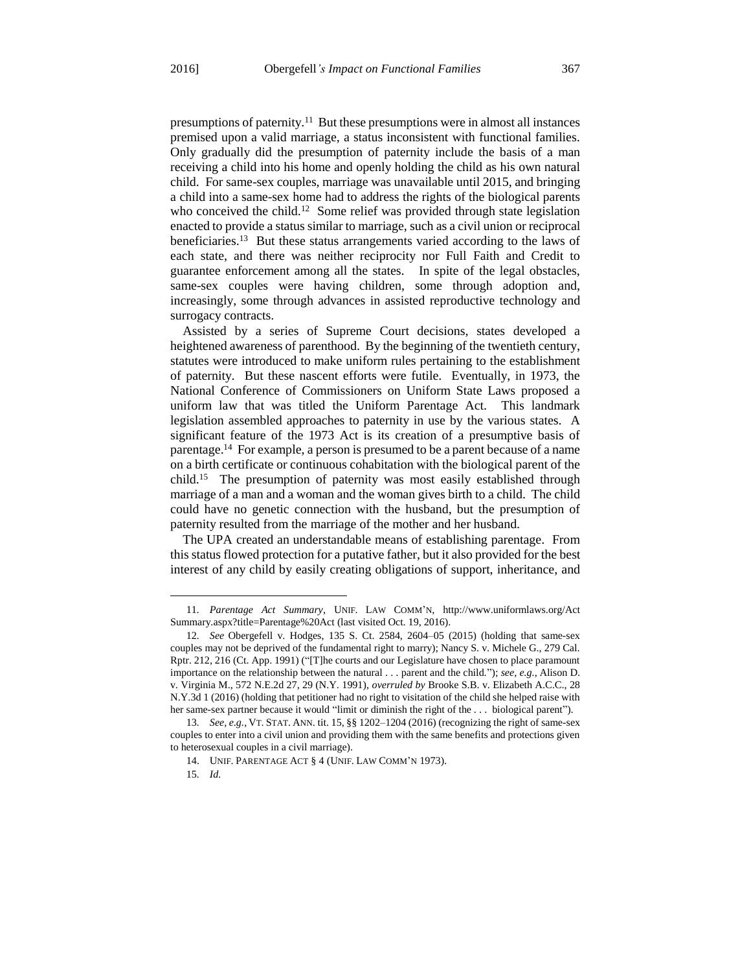presumptions of paternity.<sup>11</sup> But these presumptions were in almost all instances premised upon a valid marriage, a status inconsistent with functional families. Only gradually did the presumption of paternity include the basis of a man receiving a child into his home and openly holding the child as his own natural child. For same-sex couples, marriage was unavailable until 2015, and bringing a child into a same-sex home had to address the rights of the biological parents who conceived the child.<sup>12</sup> Some relief was provided through state legislation enacted to provide a status similar to marriage, such as a civil union or reciprocal beneficiaries.<sup>13</sup> But these status arrangements varied according to the laws of each state, and there was neither reciprocity nor Full Faith and Credit to guarantee enforcement among all the states. In spite of the legal obstacles, same-sex couples were having children, some through adoption and, increasingly, some through advances in assisted reproductive technology and surrogacy contracts.

Assisted by a series of Supreme Court decisions, states developed a heightened awareness of parenthood. By the beginning of the twentieth century, statutes were introduced to make uniform rules pertaining to the establishment of paternity. But these nascent efforts were futile. Eventually, in 1973, the National Conference of Commissioners on Uniform State Laws proposed a uniform law that was titled the Uniform Parentage Act. This landmark legislation assembled approaches to paternity in use by the various states. A significant feature of the 1973 Act is its creation of a presumptive basis of parentage.<sup>14</sup> For example, a person is presumed to be a parent because of a name on a birth certificate or continuous cohabitation with the biological parent of the child.<sup>15</sup> The presumption of paternity was most easily established through marriage of a man and a woman and the woman gives birth to a child. The child could have no genetic connection with the husband, but the presumption of paternity resulted from the marriage of the mother and her husband.

The UPA created an understandable means of establishing parentage. From this status flowed protection for a putative father, but it also provided for the best interest of any child by easily creating obligations of support, inheritance, and

<sup>11</sup>*. Parentage Act Summary*, UNIF. LAW COMM'N, http://www.uniformlaws.org/Act Summary.aspx?title=Parentage%20Act (last visited Oct. 19, 2016).

<sup>12</sup>*. See* Obergefell v. Hodges, 135 S. Ct. 2584, 2604–05 (2015) (holding that same-sex couples may not be deprived of the fundamental right to marry); Nancy S. v. Michele G., 279 Cal. Rptr. 212, 216 (Ct. App. 1991) ("[T]he courts and our Legislature have chosen to place paramount importance on the relationship between the natural . . . parent and the child."); *see, e.g.*, Alison D. v. Virginia M., 572 N.E.2d 27, 29 (N.Y. 1991), *overruled by* Brooke S.B. v. Elizabeth A.C.C., 28 N.Y.3d 1 (2016) (holding that petitioner had no right to visitation of the child she helped raise with her same-sex partner because it would "limit or diminish the right of the . . . biological parent").

<sup>13</sup>*. See, e.g.*, VT. STAT. ANN. tit. 15, §§ 1202–1204 (2016) (recognizing the right of same-sex couples to enter into a civil union and providing them with the same benefits and protections given to heterosexual couples in a civil marriage).

<sup>14.</sup> UNIF. PARENTAGE ACT § 4 (UNIF. LAW COMM'N 1973).

<sup>15</sup>*. Id.*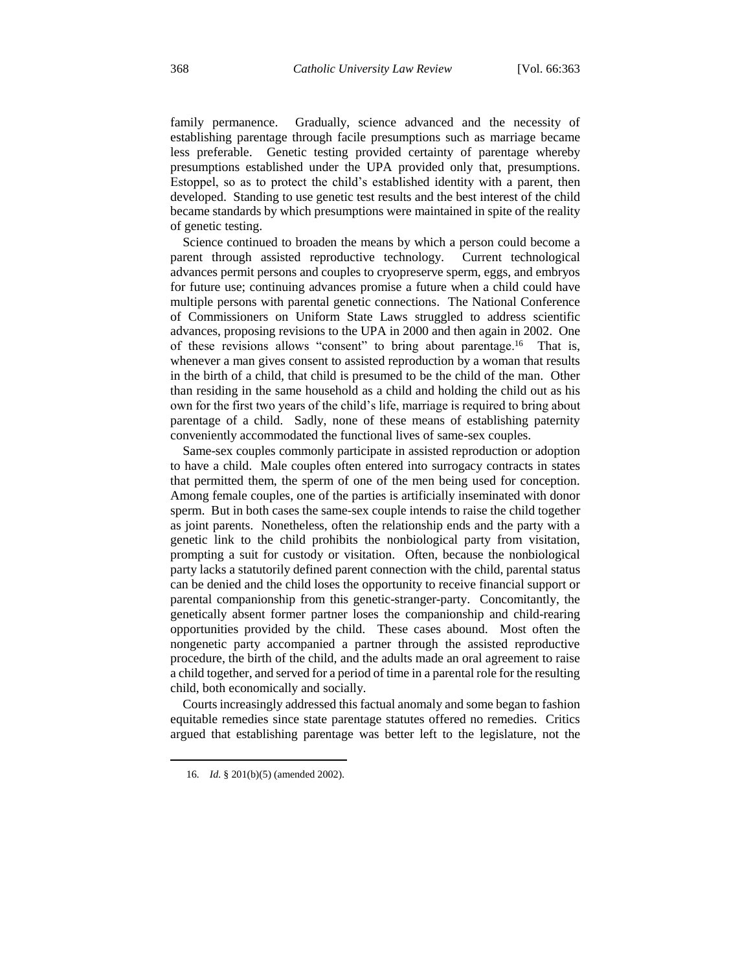family permanence. Gradually, science advanced and the necessity of establishing parentage through facile presumptions such as marriage became less preferable. Genetic testing provided certainty of parentage whereby presumptions established under the UPA provided only that, presumptions. Estoppel, so as to protect the child's established identity with a parent, then developed. Standing to use genetic test results and the best interest of the child became standards by which presumptions were maintained in spite of the reality of genetic testing.

Science continued to broaden the means by which a person could become a parent through assisted reproductive technology. Current technological advances permit persons and couples to cryopreserve sperm, eggs, and embryos for future use; continuing advances promise a future when a child could have multiple persons with parental genetic connections. The National Conference of Commissioners on Uniform State Laws struggled to address scientific advances, proposing revisions to the UPA in 2000 and then again in 2002. One of these revisions allows "consent" to bring about parentage.<sup>16</sup> That is, whenever a man gives consent to assisted reproduction by a woman that results in the birth of a child, that child is presumed to be the child of the man. Other than residing in the same household as a child and holding the child out as his own for the first two years of the child's life, marriage is required to bring about parentage of a child. Sadly, none of these means of establishing paternity conveniently accommodated the functional lives of same-sex couples.

Same-sex couples commonly participate in assisted reproduction or adoption to have a child. Male couples often entered into surrogacy contracts in states that permitted them, the sperm of one of the men being used for conception. Among female couples, one of the parties is artificially inseminated with donor sperm. But in both cases the same-sex couple intends to raise the child together as joint parents. Nonetheless, often the relationship ends and the party with a genetic link to the child prohibits the nonbiological party from visitation, prompting a suit for custody or visitation. Often, because the nonbiological party lacks a statutorily defined parent connection with the child, parental status can be denied and the child loses the opportunity to receive financial support or parental companionship from this genetic-stranger-party. Concomitantly, the genetically absent former partner loses the companionship and child-rearing opportunities provided by the child. These cases abound. Most often the nongenetic party accompanied a partner through the assisted reproductive procedure, the birth of the child, and the adults made an oral agreement to raise a child together, and served for a period of time in a parental role for the resulting child, both economically and socially.

Courts increasingly addressed this factual anomaly and some began to fashion equitable remedies since state parentage statutes offered no remedies. Critics argued that establishing parentage was better left to the legislature, not the

<sup>16</sup>*. Id.* § 201(b)(5) (amended 2002).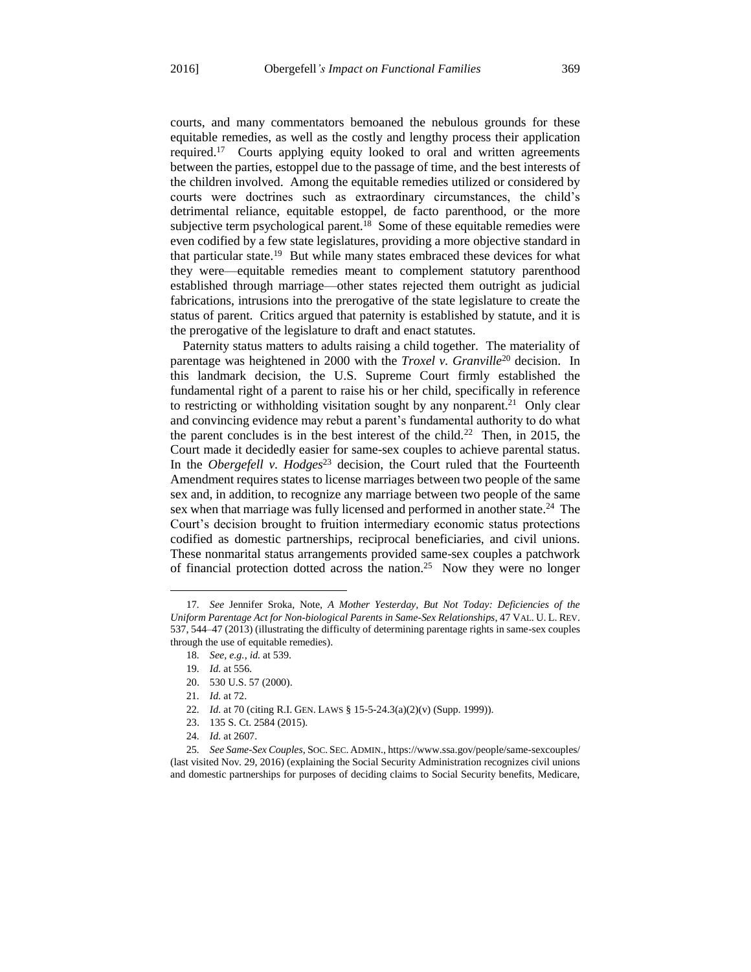courts, and many commentators bemoaned the nebulous grounds for these equitable remedies, as well as the costly and lengthy process their application required.<sup>17</sup> Courts applying equity looked to oral and written agreements between the parties, estoppel due to the passage of time, and the best interests of the children involved. Among the equitable remedies utilized or considered by courts were doctrines such as extraordinary circumstances, the child's detrimental reliance, equitable estoppel, de facto parenthood, or the more subjective term psychological parent.<sup>18</sup> Some of these equitable remedies were even codified by a few state legislatures, providing a more objective standard in that particular state.<sup>19</sup> But while many states embraced these devices for what they were—equitable remedies meant to complement statutory parenthood established through marriage—other states rejected them outright as judicial fabrications, intrusions into the prerogative of the state legislature to create the status of parent. Critics argued that paternity is established by statute, and it is the prerogative of the legislature to draft and enact statutes.

Paternity status matters to adults raising a child together. The materiality of parentage was heightened in 2000 with the *Troxel v. Granville*<sup>20</sup> decision. In this landmark decision, the U.S. Supreme Court firmly established the fundamental right of a parent to raise his or her child, specifically in reference to restricting or withholding visitation sought by any nonparent.<sup>21</sup> Only clear and convincing evidence may rebut a parent's fundamental authority to do what the parent concludes is in the best interest of the child.<sup>22</sup> Then, in 2015, the Court made it decidedly easier for same-sex couples to achieve parental status. In the *Obergefell v. Hodges*<sup>23</sup> decision, the Court ruled that the Fourteenth Amendment requires states to license marriages between two people of the same sex and, in addition, to recognize any marriage between two people of the same sex when that marriage was fully licensed and performed in another state.<sup>24</sup> The Court's decision brought to fruition intermediary economic status protections codified as domestic partnerships, reciprocal beneficiaries, and civil unions. These nonmarital status arrangements provided same-sex couples a patchwork of financial protection dotted across the nation.<sup>25</sup> Now they were no longer

 $\overline{a}$ 

24*. Id.* at 2607.

<sup>17</sup>*. See* Jennifer Sroka, Note, *A Mother Yesterday, But Not Today: Deficiencies of the Uniform Parentage Act for Non-biological Parents in Same-Sex Relationships*, 47 VAL. U. L. REV. 537, 544–47 (2013) (illustrating the difficulty of determining parentage rights in same-sex couples through the use of equitable remedies).

<sup>18</sup>*. See, e.g.*, *id.* at 539.

<sup>19</sup>*. Id.* at 556.

<sup>20.</sup> 530 U.S. 57 (2000).

<sup>21</sup>*. Id.* at 72.

<sup>22</sup>*. Id.* at 70 (citing R.I. GEN. LAWS § 15-5-24.3(a)(2)(v) (Supp. 1999)).

<sup>23.</sup> 135 S. Ct. 2584 (2015).

<sup>25</sup>*. See Same-Sex Couples*, SOC. SEC. ADMIN., https://www.ssa.gov/people/same-sexcouples/ (last visited Nov. 29, 2016) (explaining the Social Security Administration recognizes civil unions and domestic partnerships for purposes of deciding claims to Social Security benefits, Medicare,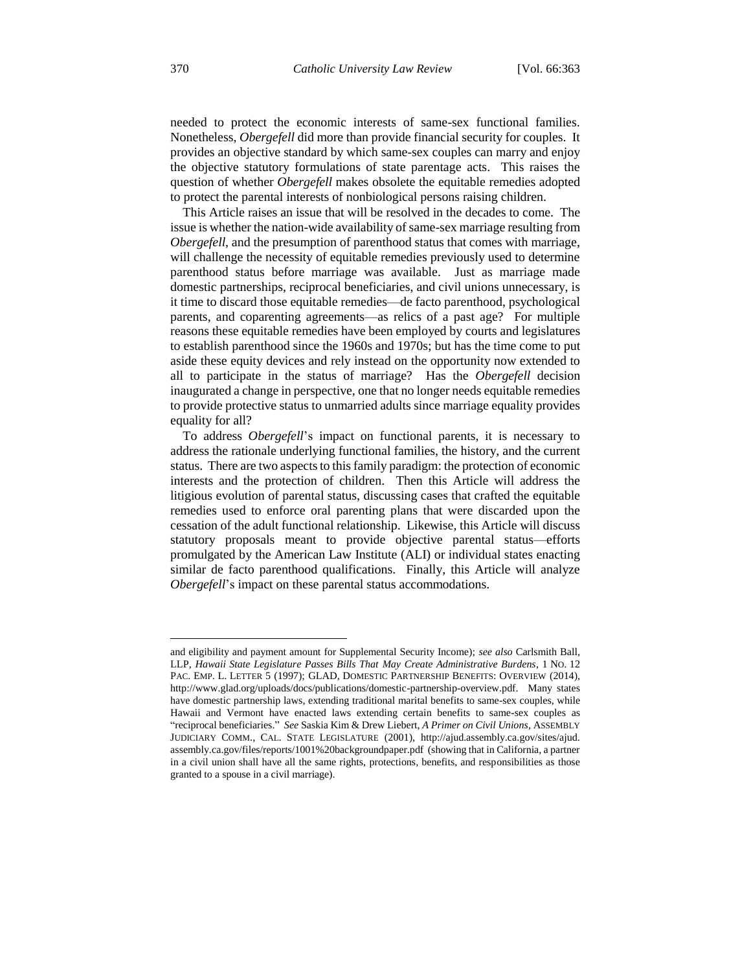needed to protect the economic interests of same-sex functional families. Nonetheless, *Obergefell* did more than provide financial security for couples. It provides an objective standard by which same-sex couples can marry and enjoy the objective statutory formulations of state parentage acts. This raises the question of whether *Obergefell* makes obsolete the equitable remedies adopted to protect the parental interests of nonbiological persons raising children.

This Article raises an issue that will be resolved in the decades to come. The issue is whether the nation-wide availability of same-sex marriage resulting from *Obergefell*, and the presumption of parenthood status that comes with marriage, will challenge the necessity of equitable remedies previously used to determine parenthood status before marriage was available. Just as marriage made domestic partnerships, reciprocal beneficiaries, and civil unions unnecessary, is it time to discard those equitable remedies—de facto parenthood, psychological parents, and coparenting agreements—as relics of a past age? For multiple reasons these equitable remedies have been employed by courts and legislatures to establish parenthood since the 1960s and 1970s; but has the time come to put aside these equity devices and rely instead on the opportunity now extended to all to participate in the status of marriage? Has the *Obergefell* decision inaugurated a change in perspective, one that no longer needs equitable remedies to provide protective status to unmarried adults since marriage equality provides equality for all?

To address *Obergefell*'s impact on functional parents, it is necessary to address the rationale underlying functional families, the history, and the current status. There are two aspects to this family paradigm: the protection of economic interests and the protection of children. Then this Article will address the litigious evolution of parental status, discussing cases that crafted the equitable remedies used to enforce oral parenting plans that were discarded upon the cessation of the adult functional relationship. Likewise, this Article will discuss statutory proposals meant to provide objective parental status—efforts promulgated by the American Law Institute (ALI) or individual states enacting similar de facto parenthood qualifications. Finally, this Article will analyze *Obergefell*'s impact on these parental status accommodations.

and eligibility and payment amount for Supplemental Security Income); *see also* Carlsmith Ball, LLP, *Hawaii State Legislature Passes Bills That May Create Administrative Burdens*, 1 NO. 12 PAC. EMP. L. LETTER 5 (1997); GLAD, DOMESTIC PARTNERSHIP BENEFITS: OVERVIEW (2014), http://www.glad.org/uploads/docs/publications/domestic-partnership-overview.pdf. Many states have domestic partnership laws, extending traditional marital benefits to same-sex couples, while Hawaii and Vermont have enacted laws extending certain benefits to same-sex couples as "reciprocal beneficiaries." *See* Saskia Kim & Drew Liebert, *A Primer on Civil Unions*, ASSEMBLY JUDICIARY COMM., CAL. STATE LEGISLATURE (2001), http://ajud.assembly.ca.gov/sites/ajud. assembly.ca.gov/files/reports/1001%20backgroundpaper.pdf (showing that in California, a partner in a civil union shall have all the same rights, protections, benefits, and responsibilities as those granted to a spouse in a civil marriage).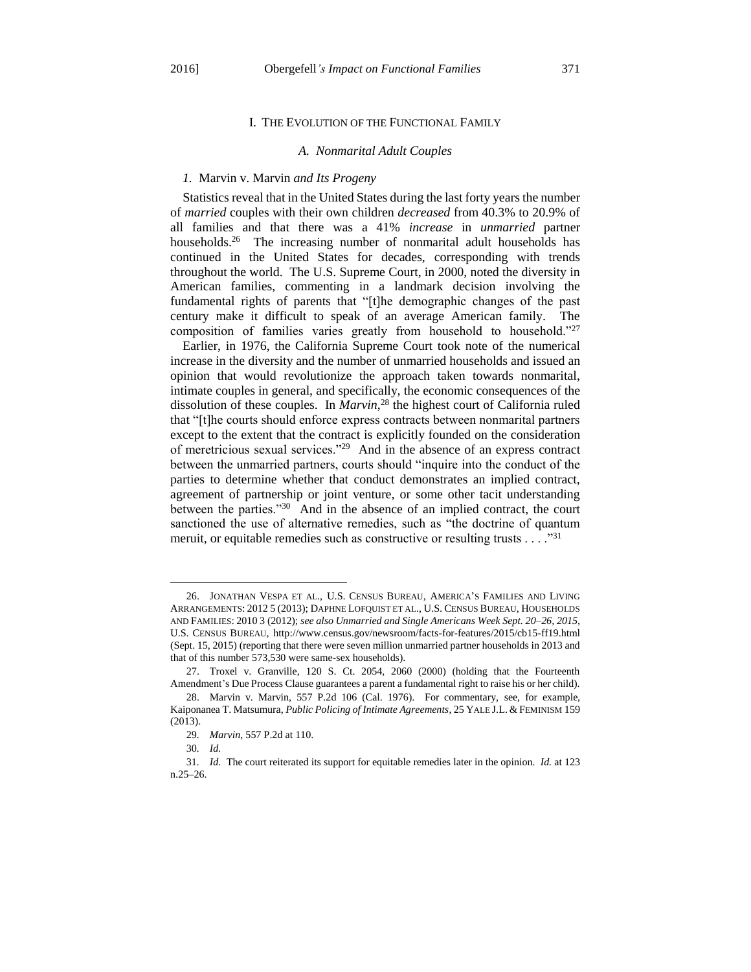#### I. THE EVOLUTION OF THE FUNCTIONAL FAMILY

#### *A. Nonmarital Adult Couples*

#### *1.* Marvin v. Marvin *and Its Progeny*

Statistics reveal that in the United States during the last forty years the number of *married* couples with their own children *decreased* from 40.3% to 20.9% of all families and that there was a 41% *increase* in *unmarried* partner households.<sup>26</sup> The increasing number of nonmarital adult households has continued in the United States for decades, corresponding with trends throughout the world. The U.S. Supreme Court, in 2000, noted the diversity in American families, commenting in a landmark decision involving the fundamental rights of parents that "[t]he demographic changes of the past century make it difficult to speak of an average American family. The composition of families varies greatly from household to household."<sup>27</sup>

Earlier, in 1976, the California Supreme Court took note of the numerical increase in the diversity and the number of unmarried households and issued an opinion that would revolutionize the approach taken towards nonmarital, intimate couples in general, and specifically, the economic consequences of the dissolution of these couples. In *Marvin*, <sup>28</sup> the highest court of California ruled that "[t]he courts should enforce express contracts between nonmarital partners except to the extent that the contract is explicitly founded on the consideration of meretricious sexual services."<sup>29</sup> And in the absence of an express contract between the unmarried partners, courts should "inquire into the conduct of the parties to determine whether that conduct demonstrates an implied contract, agreement of partnership or joint venture, or some other tacit understanding between the parties."<sup>30</sup> And in the absence of an implied contract, the court sanctioned the use of alternative remedies, such as "the doctrine of quantum meruit, or equitable remedies such as constructive or resulting trusts . . . . "<sup>31</sup>

<sup>26.</sup> JONATHAN VESPA ET AL., U.S. CENSUS BUREAU, AMERICA'S FAMILIES AND LIVING ARRANGEMENTS: 2012 5 (2013); DAPHNE LOFQUIST ET AL., U.S. CENSUS BUREAU, HOUSEHOLDS AND FAMILIES: 2010 3 (2012); *see also Unmarried and Single Americans Week Sept. 20–26, 2015*, U.S. CENSUS BUREAU, http://www.census.gov/newsroom/facts-for-features/2015/cb15-ff19.html (Sept. 15, 2015) (reporting that there were seven million unmarried partner households in 2013 and that of this number 573,530 were same-sex households).

<sup>27.</sup> Troxel v. Granville, 120 S. Ct. 2054, 2060 (2000) (holding that the Fourteenth Amendment's Due Process Clause guarantees a parent a fundamental right to raise his or her child).

<sup>28.</sup> Marvin v. Marvin, 557 P.2d 106 (Cal. 1976). For commentary, see, for example, Kaiponanea T. Matsumura, *Public Policing of Intimate Agreements*, 25 YALE J.L. & FEMINISM 159 (2013).

<sup>29</sup>*. Marvin*, 557 P.2d at 110.

<sup>30</sup>*. Id.*

<sup>31</sup>*. Id.* The court reiterated its support for equitable remedies later in the opinion. *Id.* at 123 n.25–26.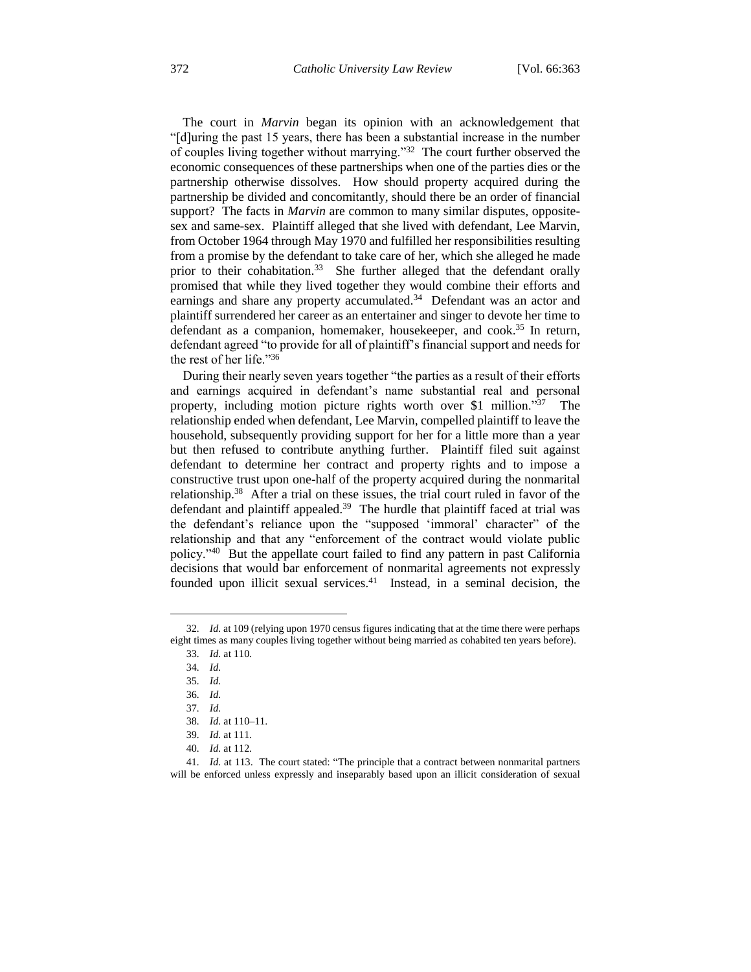The court in *Marvin* began its opinion with an acknowledgement that "[d]uring the past 15 years, there has been a substantial increase in the number of couples living together without marrying."<sup>32</sup> The court further observed the economic consequences of these partnerships when one of the parties dies or the partnership otherwise dissolves. How should property acquired during the partnership be divided and concomitantly, should there be an order of financial support? The facts in *Marvin* are common to many similar disputes, oppositesex and same-sex. Plaintiff alleged that she lived with defendant, Lee Marvin, from October 1964 through May 1970 and fulfilled her responsibilities resulting from a promise by the defendant to take care of her, which she alleged he made prior to their cohabitation.<sup>33</sup> She further alleged that the defendant orally promised that while they lived together they would combine their efforts and earnings and share any property accumulated.<sup>34</sup> Defendant was an actor and plaintiff surrendered her career as an entertainer and singer to devote her time to defendant as a companion, homemaker, housekeeper, and cook.<sup>35</sup> In return, defendant agreed "to provide for all of plaintiff's financial support and needs for the rest of her life."<sup>36</sup>

During their nearly seven years together "the parties as a result of their efforts and earnings acquired in defendant's name substantial real and personal property, including motion picture rights worth over \$1 million."<sup>37</sup> The relationship ended when defendant, Lee Marvin, compelled plaintiff to leave the household, subsequently providing support for her for a little more than a year but then refused to contribute anything further. Plaintiff filed suit against defendant to determine her contract and property rights and to impose a constructive trust upon one-half of the property acquired during the nonmarital relationship.<sup>38</sup> After a trial on these issues, the trial court ruled in favor of the defendant and plaintiff appealed.<sup>39</sup> The hurdle that plaintiff faced at trial was the defendant's reliance upon the "supposed 'immoral' character" of the relationship and that any "enforcement of the contract would violate public policy."<sup>40</sup> But the appellate court failed to find any pattern in past California decisions that would bar enforcement of nonmarital agreements not expressly founded upon illicit sexual services.<sup>41</sup> Instead, in a seminal decision, the

<sup>32</sup>*. Id.* at 109 (relying upon 1970 census figures indicating that at the time there were perhaps eight times as many couples living together without being married as cohabited ten years before).

<sup>33</sup>*. Id.* at 110.

<sup>34</sup>*. Id.*

<sup>35</sup>*. Id.*

<sup>36</sup>*. Id.*

<sup>37</sup>*. Id.*

<sup>38</sup>*. Id.* at 110–11.

<sup>39</sup>*. Id.* at 111.

<sup>40</sup>*. Id.* at 112.

<sup>41</sup>*. Id.* at 113. The court stated: "The principle that a contract between nonmarital partners will be enforced unless expressly and inseparably based upon an illicit consideration of sexual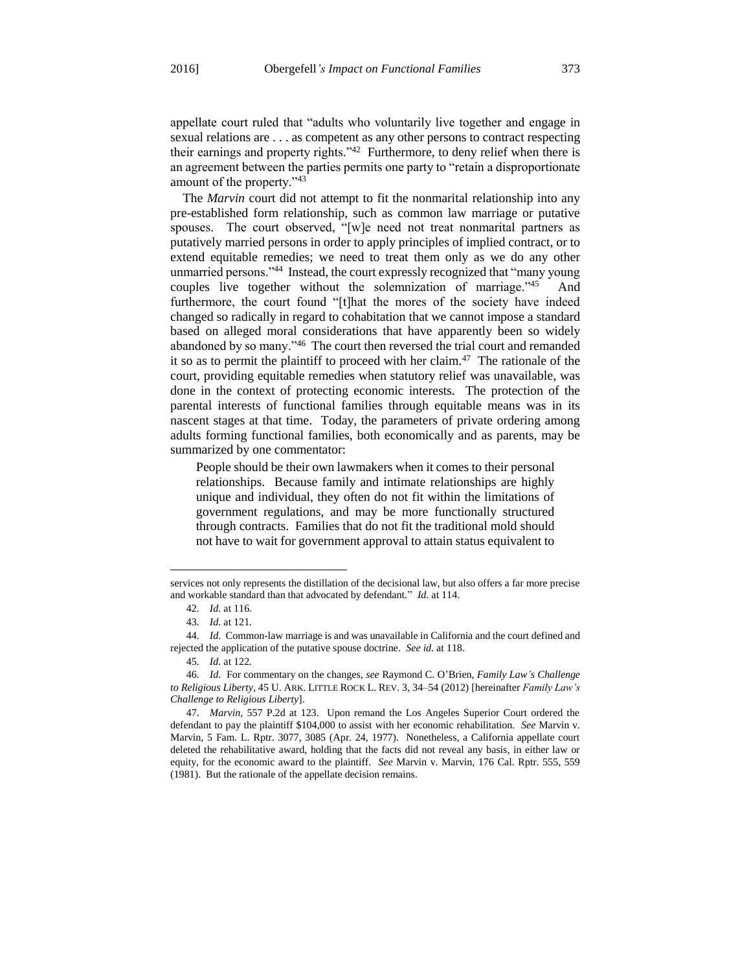appellate court ruled that "adults who voluntarily live together and engage in sexual relations are . . . as competent as any other persons to contract respecting their earnings and property rights."<sup>42</sup> Furthermore, to deny relief when there is an agreement between the parties permits one party to "retain a disproportionate amount of the property."<sup>43</sup>

The *Marvin* court did not attempt to fit the nonmarital relationship into any pre-established form relationship, such as common law marriage or putative spouses. The court observed, "[w]e need not treat nonmarital partners as putatively married persons in order to apply principles of implied contract, or to extend equitable remedies; we need to treat them only as we do any other unmarried persons."<sup>44</sup> Instead, the court expressly recognized that "many young couples live together without the solemnization of marriage."<sup>45</sup> And furthermore, the court found "[t]hat the mores of the society have indeed changed so radically in regard to cohabitation that we cannot impose a standard based on alleged moral considerations that have apparently been so widely abandoned by so many."<sup>46</sup> The court then reversed the trial court and remanded it so as to permit the plaintiff to proceed with her claim.<sup>47</sup> The rationale of the court, providing equitable remedies when statutory relief was unavailable, was done in the context of protecting economic interests. The protection of the parental interests of functional families through equitable means was in its nascent stages at that time. Today, the parameters of private ordering among adults forming functional families, both economically and as parents, may be summarized by one commentator:

People should be their own lawmakers when it comes to their personal relationships. Because family and intimate relationships are highly unique and individual, they often do not fit within the limitations of government regulations, and may be more functionally structured through contracts. Families that do not fit the traditional mold should not have to wait for government approval to attain status equivalent to

services not only represents the distillation of the decisional law, but also offers a far more precise and workable standard than that advocated by defendant." *Id.* at 114.

<sup>42</sup>*. Id.* at 116.

<sup>43</sup>*. Id.* at 121.

<sup>44</sup>*. Id.* Common-law marriage is and was unavailable in California and the court defined and rejected the application of the putative spouse doctrine. *See id.* at 118.

<sup>45</sup>*. Id.* at 122.

<sup>46</sup>*. Id.* For commentary on the changes, *see* Raymond C. O'Brien, *Family Law's Challenge to Religious Liberty*, 45 U. ARK. LITTLE ROCK L. REV. 3, 34–54 (2012) [hereinafter *Family Law's Challenge to Religious Liberty*].

<sup>47</sup>*. Marvin*, 557 P.2d at 123. Upon remand the Los Angeles Superior Court ordered the defendant to pay the plaintiff \$104,000 to assist with her economic rehabilitation. *See* Marvin v. Marvin, 5 Fam. L. Rptr. 3077, 3085 (Apr. 24, 1977). Nonetheless, a California appellate court deleted the rehabilitative award, holding that the facts did not reveal any basis, in either law or equity, for the economic award to the plaintiff. *See* Marvin v. Marvin, 176 Cal. Rptr. 555, 559 (1981). But the rationale of the appellate decision remains.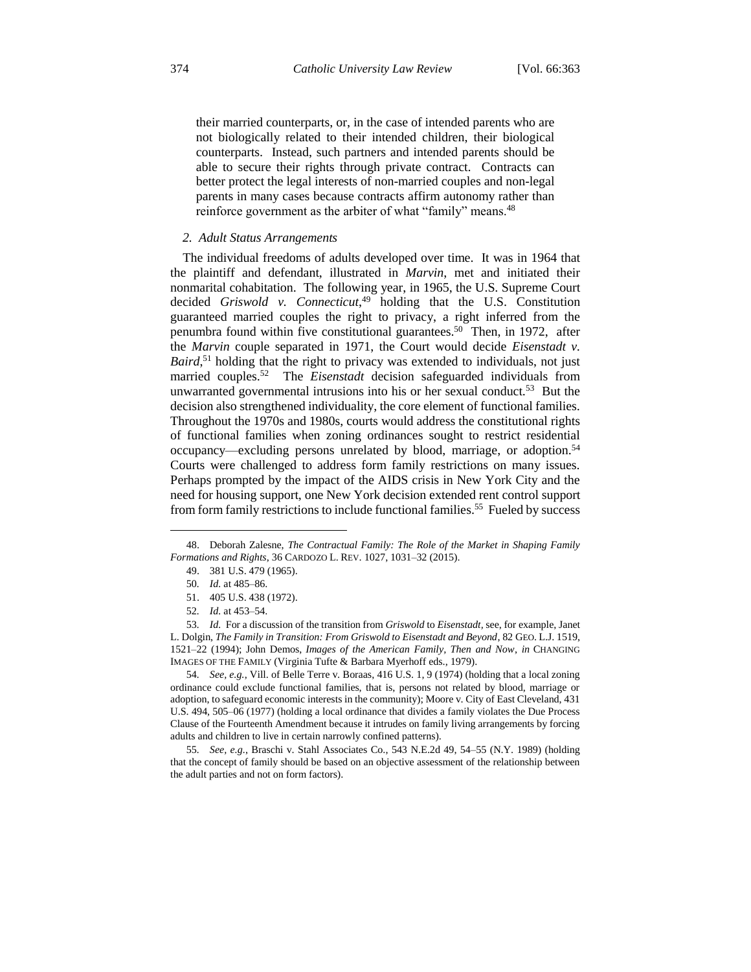their married counterparts, or, in the case of intended parents who are not biologically related to their intended children, their biological counterparts. Instead, such partners and intended parents should be able to secure their rights through private contract. Contracts can better protect the legal interests of non-married couples and non-legal parents in many cases because contracts affirm autonomy rather than reinforce government as the arbiter of what "family" means.<sup>48</sup>

#### *2. Adult Status Arrangements*

The individual freedoms of adults developed over time. It was in 1964 that the plaintiff and defendant, illustrated in *Marvin*, met and initiated their nonmarital cohabitation. The following year, in 1965, the U.S. Supreme Court decided *Griswold v. Connecticut*, <sup>49</sup> holding that the U.S. Constitution guaranteed married couples the right to privacy, a right inferred from the penumbra found within five constitutional guarantees.<sup>50</sup> Then, in 1972, after the *Marvin* couple separated in 1971, the Court would decide *Eisenstadt v. Baird*, <sup>51</sup> holding that the right to privacy was extended to individuals, not just married couples.<sup>52</sup> The *Eisenstadt* decision safeguarded individuals from unwarranted governmental intrusions into his or her sexual conduct.<sup>53</sup> But the decision also strengthened individuality, the core element of functional families. Throughout the 1970s and 1980s, courts would address the constitutional rights of functional families when zoning ordinances sought to restrict residential occupancy—excluding persons unrelated by blood, marriage, or adoption.<sup>54</sup> Courts were challenged to address form family restrictions on many issues. Perhaps prompted by the impact of the AIDS crisis in New York City and the need for housing support, one New York decision extended rent control support from form family restrictions to include functional families.<sup>55</sup> Fueled by success

 $\overline{a}$ 

54*. See, e.g.*, Vill. of Belle Terre v. Boraas, 416 U.S. 1, 9 (1974) (holding that a local zoning ordinance could exclude functional families, that is, persons not related by blood, marriage or adoption, to safeguard economic interests in the community); Moore v. City of East Cleveland, 431 U.S. 494, 505–06 (1977) (holding a local ordinance that divides a family violates the Due Process Clause of the Fourteenth Amendment because it intrudes on family living arrangements by forcing adults and children to live in certain narrowly confined patterns).

55*. See, e.g.*, Braschi v. Stahl Associates Co., 543 N.E.2d 49, 54–55 (N.Y. 1989) (holding that the concept of family should be based on an objective assessment of the relationship between the adult parties and not on form factors).

<sup>48.</sup> Deborah Zalesne, *The Contractual Family: The Role of the Market in Shaping Family Formations and Rights*, 36 CARDOZO L. REV. 1027, 1031–32 (2015).

<sup>49.</sup> 381 U.S. 479 (1965).

<sup>50</sup>*. Id.* at 485–86.

<sup>51.</sup> 405 U.S. 438 (1972).

<sup>52</sup>*. Id.* at 453–54.

<sup>53</sup>*. Id.* For a discussion of the transition from *Griswold* to *Eisenstadt,* see, for example, Janet L. Dolgin, *The Family in Transition: From Griswold to Eisenstadt and Beyond*, 82 GEO. L.J. 1519, 1521–22 (1994); John Demos, *Images of the American Family, Then and Now*, *in* CHANGING IMAGES OF THE FAMILY (Virginia Tufte & Barbara Myerhoff eds., 1979).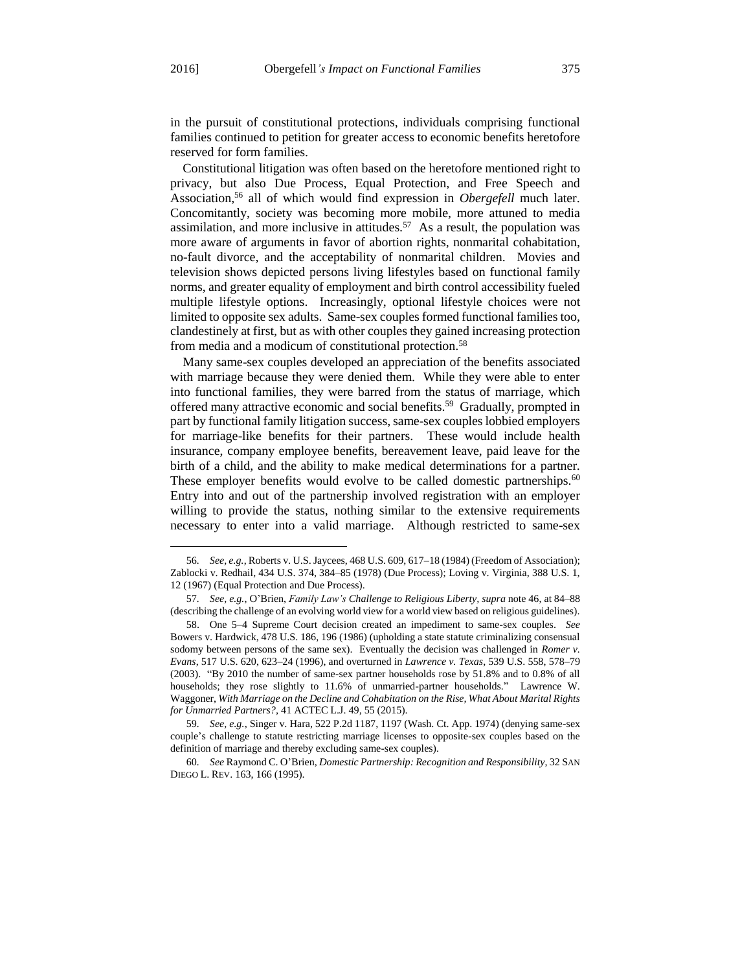$\overline{a}$ 

in the pursuit of constitutional protections, individuals comprising functional families continued to petition for greater access to economic benefits heretofore reserved for form families.

Constitutional litigation was often based on the heretofore mentioned right to privacy, but also Due Process, Equal Protection, and Free Speech and Association,<sup>56</sup> all of which would find expression in *Obergefell* much later. Concomitantly, society was becoming more mobile, more attuned to media assimilation, and more inclusive in attitudes.<sup>57</sup> As a result, the population was more aware of arguments in favor of abortion rights, nonmarital cohabitation, no-fault divorce, and the acceptability of nonmarital children. Movies and television shows depicted persons living lifestyles based on functional family norms, and greater equality of employment and birth control accessibility fueled multiple lifestyle options. Increasingly, optional lifestyle choices were not limited to opposite sex adults. Same-sex couples formed functional families too, clandestinely at first, but as with other couples they gained increasing protection from media and a modicum of constitutional protection.<sup>58</sup>

Many same-sex couples developed an appreciation of the benefits associated with marriage because they were denied them. While they were able to enter into functional families, they were barred from the status of marriage, which offered many attractive economic and social benefits.<sup>59</sup> Gradually, prompted in part by functional family litigation success, same-sex couples lobbied employers for marriage-like benefits for their partners. These would include health insurance, company employee benefits, bereavement leave, paid leave for the birth of a child, and the ability to make medical determinations for a partner. These employer benefits would evolve to be called domestic partnerships.<sup>60</sup> Entry into and out of the partnership involved registration with an employer willing to provide the status, nothing similar to the extensive requirements necessary to enter into a valid marriage. Although restricted to same-sex

<sup>56</sup>*. See, e.g.*, Roberts v. U.S. Jaycees, 468 U.S. 609, 617–18 (1984) (Freedom of Association); Zablocki v. Redhail, 434 U.S. 374, 384–85 (1978) (Due Process); Loving v. Virginia, 388 U.S. 1, 12 (1967) (Equal Protection and Due Process).

<sup>57</sup>*. See, e.g.*, O'Brien, *Family Law's Challenge to Religious Liberty, supra* note 46, at 84–88 (describing the challenge of an evolving world view for a world view based on religious guidelines).

<sup>58.</sup> One 5–4 Supreme Court decision created an impediment to same-sex couples. *See* Bowers v. Hardwick, 478 U.S. 186, 196 (1986) (upholding a state statute criminalizing consensual sodomy between persons of the same sex). Eventually the decision was challenged in *Romer v. Evans*, 517 U.S. 620, 623–24 (1996), and overturned in *Lawrence v. Texas*, 539 U.S. 558, 578–79 (2003). "By 2010 the number of same-sex partner households rose by 51.8% and to 0.8% of all households; they rose slightly to 11.6% of unmarried-partner households." Lawrence W. Waggoner, *With Marriage on the Decline and Cohabitation on the Rise, What About Marital Rights for Unmarried Partners?*, 41 ACTEC L.J. 49, 55 (2015).

<sup>59</sup>*. See, e.g.*, Singer v. Hara, 522 P.2d 1187, 1197 (Wash. Ct. App. 1974) (denying same-sex couple's challenge to statute restricting marriage licenses to opposite-sex couples based on the definition of marriage and thereby excluding same-sex couples).

<sup>60</sup>*. See* Raymond C. O'Brien, *Domestic Partnership: Recognition and Responsibility*, 32 SAN DIEGO L. REV. 163, 166 (1995).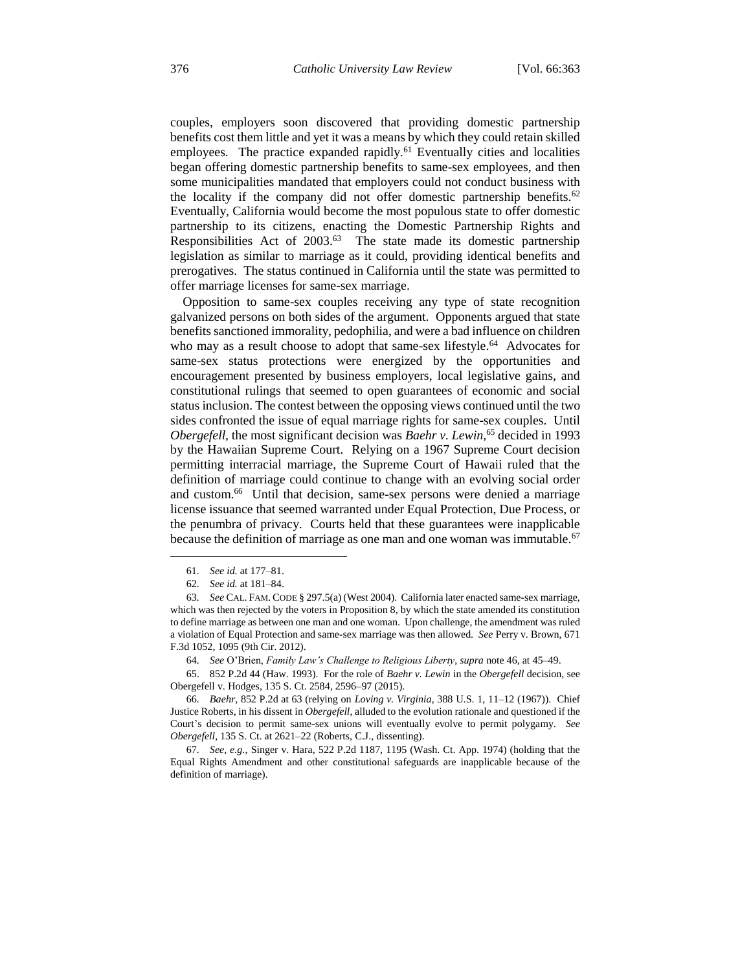couples, employers soon discovered that providing domestic partnership benefits cost them little and yet it was a means by which they could retain skilled employees. The practice expanded rapidly.<sup>61</sup> Eventually cities and localities began offering domestic partnership benefits to same-sex employees, and then some municipalities mandated that employers could not conduct business with the locality if the company did not offer domestic partnership benefits.<sup>62</sup> Eventually, California would become the most populous state to offer domestic partnership to its citizens, enacting the Domestic Partnership Rights and Responsibilities Act of 2003.<sup>63</sup> The state made its domestic partnership legislation as similar to marriage as it could, providing identical benefits and prerogatives. The status continued in California until the state was permitted to offer marriage licenses for same-sex marriage.

Opposition to same-sex couples receiving any type of state recognition galvanized persons on both sides of the argument. Opponents argued that state benefits sanctioned immorality, pedophilia, and were a bad influence on children who may as a result choose to adopt that same-sex lifestyle.<sup>64</sup> Advocates for same-sex status protections were energized by the opportunities and encouragement presented by business employers, local legislative gains, and constitutional rulings that seemed to open guarantees of economic and social status inclusion. The contest between the opposing views continued until the two sides confronted the issue of equal marriage rights for same-sex couples. Until *Obergefell*, the most significant decision was *Baehr v. Lewin*, <sup>65</sup> decided in 1993 by the Hawaiian Supreme Court. Relying on a 1967 Supreme Court decision permitting interracial marriage, the Supreme Court of Hawaii ruled that the definition of marriage could continue to change with an evolving social order and custom.<sup>66</sup> Until that decision, same-sex persons were denied a marriage license issuance that seemed warranted under Equal Protection, Due Process, or the penumbra of privacy. Courts held that these guarantees were inapplicable because the definition of marriage as one man and one woman was immutable.<sup>67</sup>

 $\overline{a}$ 

64*. See* O'Brien, *Family Law's Challenge to Religious Liberty*, *supra* note 46, at 45–49.

65. 852 P.2d 44 (Haw. 1993). For the role of *Baehr v. Lewin* in the *Obergefell* decision, see Obergefell v. Hodges, 135 S. Ct. 2584, 2596–97 (2015).

66*. Baehr*, 852 P.2d at 63 (relying on *Loving v. Virginia*, 388 U.S. 1, 11–12 (1967)). Chief Justice Roberts, in his dissent in *Obergefell*, alluded to the evolution rationale and questioned if the Court's decision to permit same-sex unions will eventually evolve to permit polygamy. *See Obergefell*, 135 S. Ct. at 2621–22 (Roberts, C.J., dissenting).

67*. See, e.g.*, Singer v. Hara, 522 P.2d 1187, 1195 (Wash. Ct. App. 1974) (holding that the Equal Rights Amendment and other constitutional safeguards are inapplicable because of the definition of marriage).

<sup>61</sup>*. See id.* at 177–81.

<sup>62</sup>*. See id.* at 181–84.

<sup>63</sup>*. See* CAL. FAM. CODE § 297.5(a) (West 2004). California later enacted same-sex marriage, which was then rejected by the voters in Proposition 8, by which the state amended its constitution to define marriage as between one man and one woman. Upon challenge, the amendment was ruled a violation of Equal Protection and same-sex marriage was then allowed. *See* Perry v. Brown, 671 F.3d 1052, 1095 (9th Cir. 2012).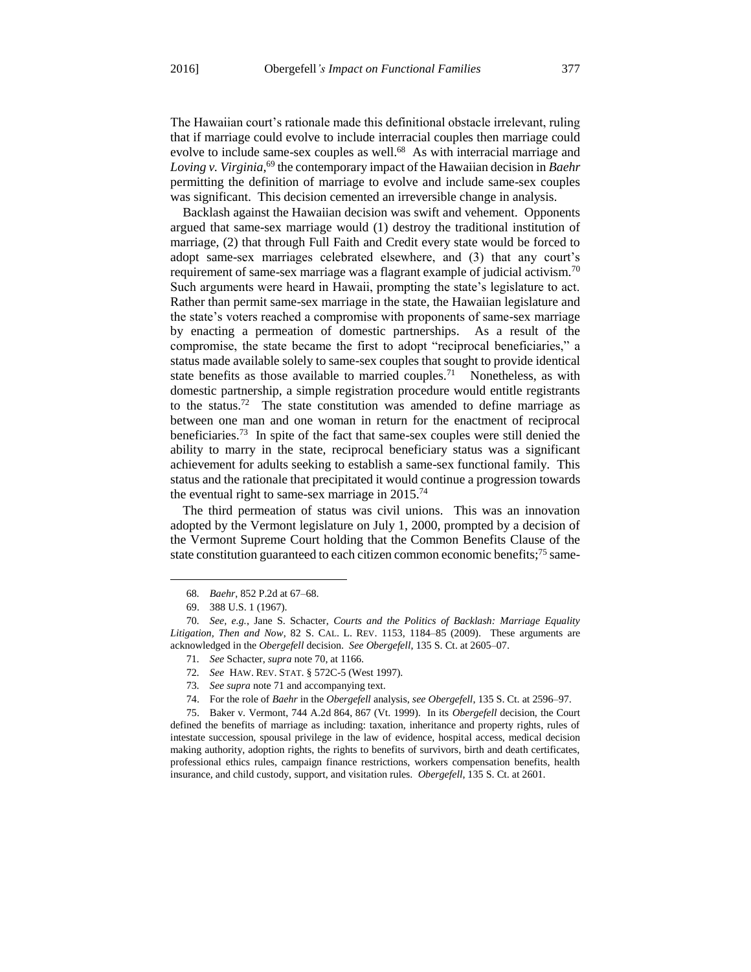The Hawaiian court's rationale made this definitional obstacle irrelevant, ruling that if marriage could evolve to include interracial couples then marriage could evolve to include same-sex couples as well.<sup>68</sup> As with interracial marriage and *Loving v. Virginia*, <sup>69</sup> the contemporary impact of the Hawaiian decision in *Baehr*  permitting the definition of marriage to evolve and include same-sex couples was significant. This decision cemented an irreversible change in analysis.

Backlash against the Hawaiian decision was swift and vehement. Opponents argued that same-sex marriage would (1) destroy the traditional institution of marriage, (2) that through Full Faith and Credit every state would be forced to adopt same-sex marriages celebrated elsewhere, and (3) that any court's requirement of same-sex marriage was a flagrant example of judicial activism.<sup>70</sup> Such arguments were heard in Hawaii, prompting the state's legislature to act. Rather than permit same-sex marriage in the state, the Hawaiian legislature and the state's voters reached a compromise with proponents of same-sex marriage by enacting a permeation of domestic partnerships. As a result of the compromise, the state became the first to adopt "reciprocal beneficiaries," a status made available solely to same-sex couples that sought to provide identical state benefits as those available to married couples.<sup>71</sup> Nonetheless, as with domestic partnership, a simple registration procedure would entitle registrants to the status.<sup>72</sup> The state constitution was amended to define marriage as between one man and one woman in return for the enactment of reciprocal beneficiaries.<sup>73</sup> In spite of the fact that same-sex couples were still denied the ability to marry in the state, reciprocal beneficiary status was a significant achievement for adults seeking to establish a same-sex functional family. This status and the rationale that precipitated it would continue a progression towards the eventual right to same-sex marriage in  $2015.^{74}$ 

The third permeation of status was civil unions. This was an innovation adopted by the Vermont legislature on July 1, 2000, prompted by a decision of the Vermont Supreme Court holding that the Common Benefits Clause of the state constitution guaranteed to each citizen common economic benefits;<sup>75</sup> same-

<sup>68</sup>*. Baehr*, 852 P.2d at 67–68.

<sup>69.</sup> 388 U.S. 1 (1967).

<sup>70</sup>*. See, e.g.*, Jane S. Schacter, *Courts and the Politics of Backlash: Marriage Equality Litigation, Then and Now*, 82 S. CAL. L. REV. 1153, 1184–85 (2009). These arguments are acknowledged in the *Obergefell* decision. *See Obergefell*, 135 S. Ct. at 2605–07.

<sup>71</sup>*. See* Schacter, *supra* note 70, at 1166.

<sup>72</sup>*. See* HAW. REV. STAT. § 572C-5 (West 1997).

<sup>73</sup>*. See supra* note 71 and accompanying text.

<sup>74.</sup> For the role of *Baehr* in the *Obergefell* analysis, *see Obergefell*, 135 S. Ct. at 2596–97.

<sup>75.</sup> Baker v. Vermont, 744 A.2d 864, 867 (Vt. 1999). In its *Obergefell* decision, the Court defined the benefits of marriage as including: taxation, inheritance and property rights, rules of intestate succession, spousal privilege in the law of evidence, hospital access, medical decision making authority, adoption rights, the rights to benefits of survivors, birth and death certificates, professional ethics rules, campaign finance restrictions, workers compensation benefits, health insurance, and child custody, support, and visitation rules. *Obergefell*, 135 S. Ct. at 2601.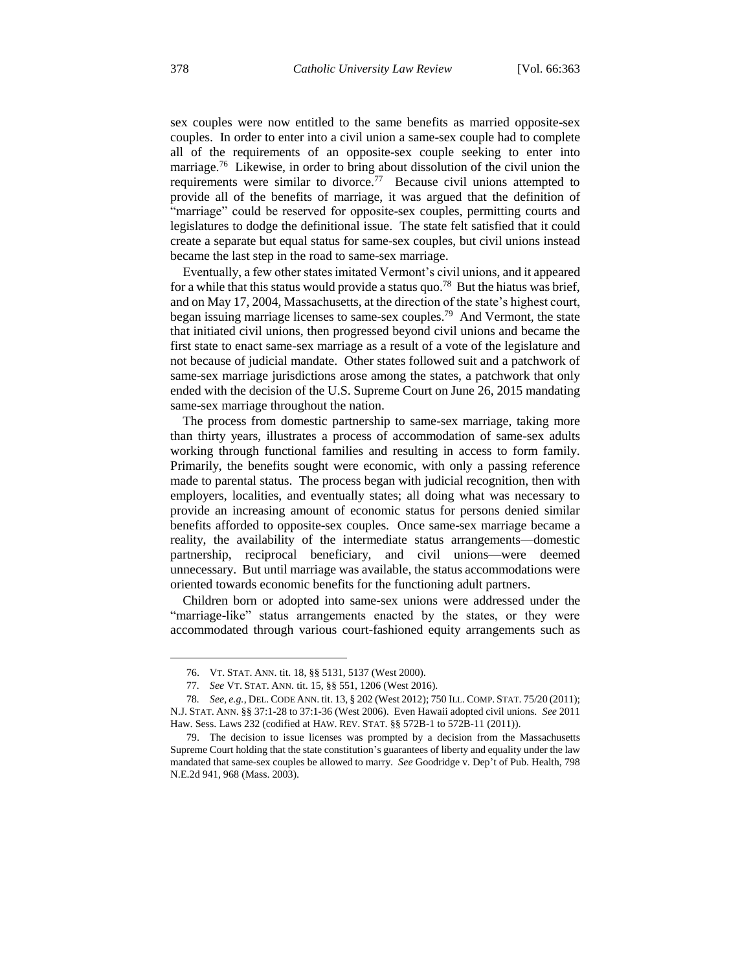sex couples were now entitled to the same benefits as married opposite-sex couples. In order to enter into a civil union a same-sex couple had to complete all of the requirements of an opposite-sex couple seeking to enter into marriage.<sup>76</sup> Likewise, in order to bring about dissolution of the civil union the requirements were similar to divorce.<sup>77</sup> Because civil unions attempted to provide all of the benefits of marriage, it was argued that the definition of "marriage" could be reserved for opposite-sex couples, permitting courts and legislatures to dodge the definitional issue. The state felt satisfied that it could create a separate but equal status for same-sex couples, but civil unions instead became the last step in the road to same-sex marriage.

Eventually, a few other states imitated Vermont's civil unions, and it appeared for a while that this status would provide a status quo.<sup>78</sup> But the hiatus was brief, and on May 17, 2004, Massachusetts, at the direction of the state's highest court, began issuing marriage licenses to same-sex couples.<sup>79</sup> And Vermont, the state that initiated civil unions, then progressed beyond civil unions and became the first state to enact same-sex marriage as a result of a vote of the legislature and not because of judicial mandate. Other states followed suit and a patchwork of same-sex marriage jurisdictions arose among the states, a patchwork that only ended with the decision of the U.S. Supreme Court on June 26, 2015 mandating same-sex marriage throughout the nation.

The process from domestic partnership to same-sex marriage, taking more than thirty years, illustrates a process of accommodation of same-sex adults working through functional families and resulting in access to form family. Primarily, the benefits sought were economic, with only a passing reference made to parental status. The process began with judicial recognition, then with employers, localities, and eventually states; all doing what was necessary to provide an increasing amount of economic status for persons denied similar benefits afforded to opposite-sex couples. Once same-sex marriage became a reality, the availability of the intermediate status arrangements—domestic partnership, reciprocal beneficiary, and civil unions—were deemed unnecessary. But until marriage was available, the status accommodations were oriented towards economic benefits for the functioning adult partners.

Children born or adopted into same-sex unions were addressed under the "marriage-like" status arrangements enacted by the states, or they were accommodated through various court-fashioned equity arrangements such as

<sup>76.</sup> VT. STAT. ANN. tit. 18, §§ 5131, 5137 (West 2000).

<sup>77</sup>*. See* VT. STAT. ANN. tit. 15, §§ 551, 1206 (West 2016).

<sup>78</sup>*. See, e.g.*, DEL. CODE ANN. tit. 13, § 202 (West 2012); 750 ILL. COMP. STAT. 75/20 (2011); N.J. STAT. ANN. §§ 37:1-28 to 37:1-36 (West 2006). Even Hawaii adopted civil unions. *See* 2011 Haw. Sess. Laws 232 (codified at HAW. REV. STAT. §§ 572B-1 to 572B-11 (2011)).

<sup>79.</sup> The decision to issue licenses was prompted by a decision from the Massachusetts Supreme Court holding that the state constitution's guarantees of liberty and equality under the law mandated that same-sex couples be allowed to marry. *See* Goodridge v. Dep't of Pub. Health, 798 N.E.2d 941, 968 (Mass. 2003).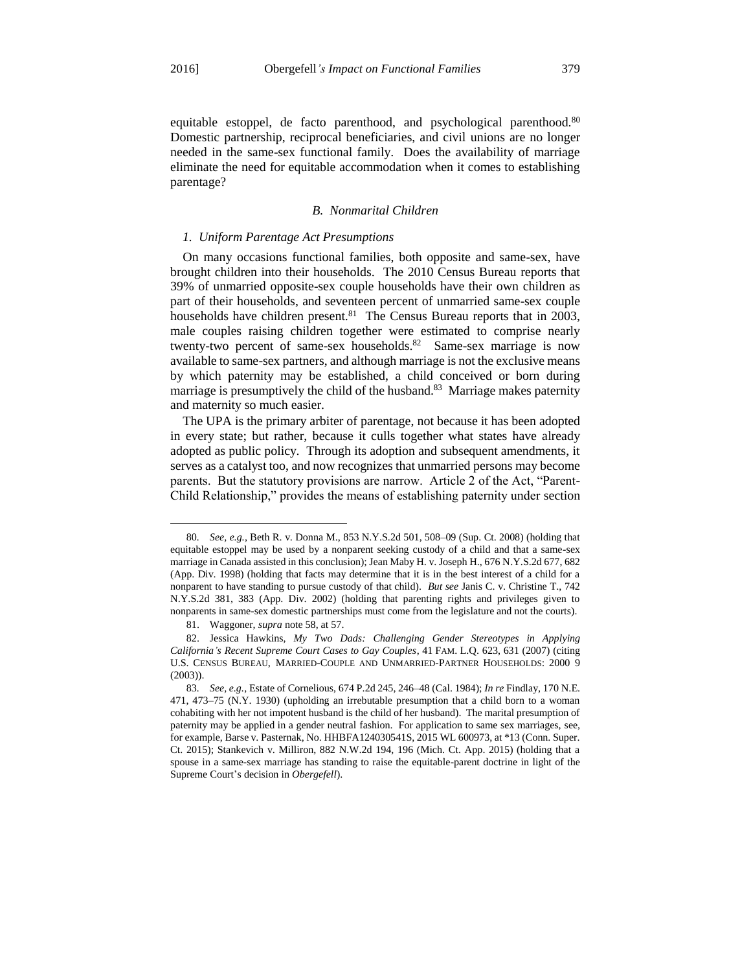$\overline{a}$ 

equitable estoppel, de facto parenthood, and psychological parenthood.<sup>80</sup> Domestic partnership, reciprocal beneficiaries, and civil unions are no longer needed in the same-sex functional family. Does the availability of marriage eliminate the need for equitable accommodation when it comes to establishing parentage?

#### *B. Nonmarital Children*

#### *1. Uniform Parentage Act Presumptions*

On many occasions functional families, both opposite and same-sex, have brought children into their households. The 2010 Census Bureau reports that 39% of unmarried opposite-sex couple households have their own children as part of their households, and seventeen percent of unmarried same-sex couple households have children present.<sup>81</sup> The Census Bureau reports that in 2003, male couples raising children together were estimated to comprise nearly twenty-two percent of same-sex households.<sup>82</sup> Same-sex marriage is now available to same-sex partners, and although marriage is not the exclusive means by which paternity may be established, a child conceived or born during marriage is presumptively the child of the husband.<sup>83</sup> Marriage makes paternity and maternity so much easier.

The UPA is the primary arbiter of parentage, not because it has been adopted in every state; but rather, because it culls together what states have already adopted as public policy. Through its adoption and subsequent amendments, it serves as a catalyst too, and now recognizes that unmarried persons may become parents. But the statutory provisions are narrow. Article 2 of the Act, "Parent-Child Relationship," provides the means of establishing paternity under section

<sup>80</sup>*. See, e.g.*, Beth R. v. Donna M., 853 N.Y.S.2d 501, 508–09 (Sup. Ct. 2008) (holding that equitable estoppel may be used by a nonparent seeking custody of a child and that a same-sex marriage in Canada assisted in this conclusion); Jean Maby H. v. Joseph H., 676 N.Y.S.2d 677, 682 (App. Div. 1998) (holding that facts may determine that it is in the best interest of a child for a nonparent to have standing to pursue custody of that child). *But see* Janis C. v. Christine T., 742 N.Y.S.2d 381, 383 (App. Div. 2002) (holding that parenting rights and privileges given to nonparents in same-sex domestic partnerships must come from the legislature and not the courts).

<sup>81.</sup> Waggoner, *supra* note 58, at 57.

<sup>82.</sup> Jessica Hawkins, *My Two Dads: Challenging Gender Stereotypes in Applying California's Recent Supreme Court Cases to Gay Couples*, 41 FAM. L.Q. 623, 631 (2007) (citing U.S. CENSUS BUREAU, MARRIED-COUPLE AND UNMARRIED-PARTNER HOUSEHOLDS: 2000 9 (2003)).

<sup>83</sup>*. See, e.g.*, Estate of Cornelious, 674 P.2d 245, 246–48 (Cal. 1984); *In re* Findlay, 170 N.E. 471, 473–75 (N.Y. 1930) (upholding an irrebutable presumption that a child born to a woman cohabiting with her not impotent husband is the child of her husband). The marital presumption of paternity may be applied in a gender neutral fashion. For application to same sex marriages, see, for example, Barse v. Pasternak, No. HHBFA124030541S, 2015 WL 600973, at \*13 (Conn. Super. Ct. 2015); Stankevich v. Milliron, 882 N.W.2d 194, 196 (Mich. Ct. App. 2015) (holding that a spouse in a same-sex marriage has standing to raise the equitable-parent doctrine in light of the Supreme Court's decision in *Obergefell*).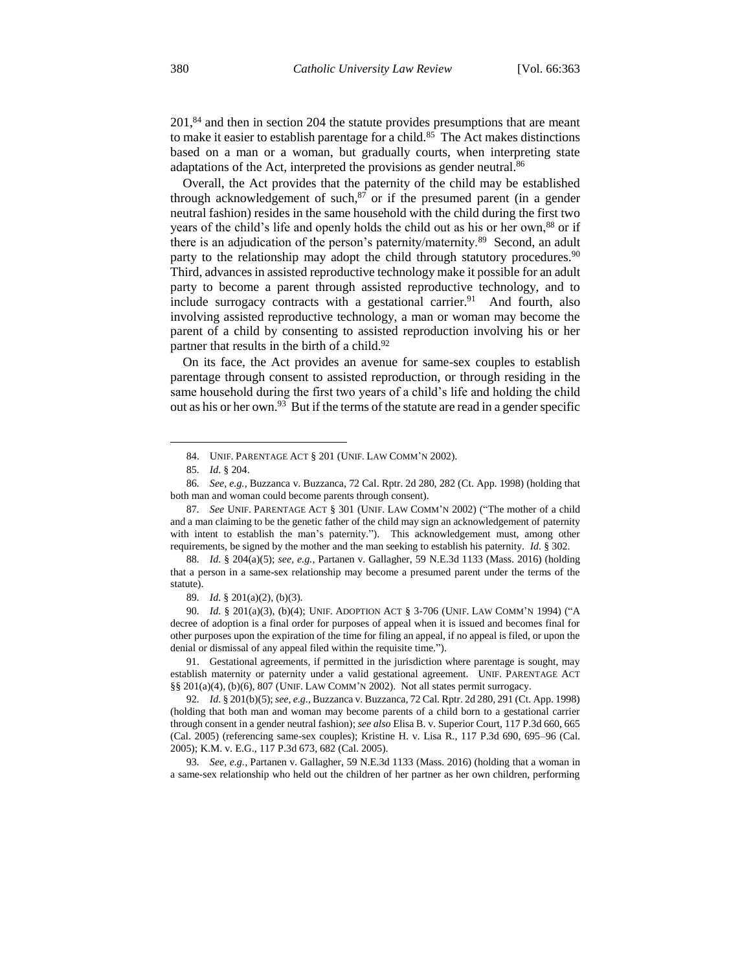$201<sup>84</sup>$  and then in section 204 the statute provides presumptions that are meant to make it easier to establish parentage for a child.<sup>85</sup> The Act makes distinctions based on a man or a woman, but gradually courts, when interpreting state adaptations of the Act, interpreted the provisions as gender neutral.<sup>86</sup>

Overall, the Act provides that the paternity of the child may be established through acknowledgement of such, $87$  or if the presumed parent (in a gender neutral fashion) resides in the same household with the child during the first two years of the child's life and openly holds the child out as his or her own,<sup>88</sup> or if there is an adjudication of the person's paternity/maternity.<sup>89</sup> Second, an adult party to the relationship may adopt the child through statutory procedures.<sup>90</sup> Third, advances in assisted reproductive technology make it possible for an adult party to become a parent through assisted reproductive technology, and to include surrogacy contracts with a gestational carrier.<sup>91</sup> And fourth, also involving assisted reproductive technology, a man or woman may become the parent of a child by consenting to assisted reproduction involving his or her partner that results in the birth of a child. $92$ 

On its face, the Act provides an avenue for same-sex couples to establish parentage through consent to assisted reproduction, or through residing in the same household during the first two years of a child's life and holding the child out as his or her own.<sup>93</sup> But if the terms of the statute are read in a gender specific

<sup>84.</sup> UNIF. PARENTAGE ACT § 201 (UNIF. LAW COMM'N 2002).

<sup>85</sup>*. Id.* § 204.

<sup>86</sup>*. See, e.g.*, Buzzanca v. Buzzanca, 72 Cal. Rptr. 2d 280, 282 (Ct. App. 1998) (holding that both man and woman could become parents through consent).

<sup>87</sup>*. See* UNIF. PARENTAGE ACT § 301 (UNIF. LAW COMM'N 2002) ("The mother of a child and a man claiming to be the genetic father of the child may sign an acknowledgement of paternity with intent to establish the man's paternity."). This acknowledgement must, among other requirements, be signed by the mother and the man seeking to establish his paternity. *Id.* § 302.

<sup>88</sup>*. Id.* § 204(a)(5); *see, e.g.*, Partanen v. Gallagher, 59 N.E.3d 1133 (Mass. 2016) (holding that a person in a same-sex relationship may become a presumed parent under the terms of the statute).

<sup>89</sup>*. Id.* § 201(a)(2), (b)(3).

<sup>90</sup>*. Id.* § 201(a)(3), (b)(4); UNIF. ADOPTION ACT § 3-706 (UNIF. LAW COMM'N 1994) ("A decree of adoption is a final order for purposes of appeal when it is issued and becomes final for other purposes upon the expiration of the time for filing an appeal, if no appeal is filed, or upon the denial or dismissal of any appeal filed within the requisite time.").

<sup>91.</sup> Gestational agreements, if permitted in the jurisdiction where parentage is sought, may establish maternity or paternity under a valid gestational agreement. UNIF. PARENTAGE ACT §§ 201(a)(4), (b)(6), 807 (UNIF. LAW COMM'N 2002). Not all states permit surrogacy.

<sup>92</sup>*. Id.* § 201(b)(5); *see, e.g.*, Buzzanca v. Buzzanca, 72 Cal. Rptr. 2d 280, 291 (Ct. App. 1998) (holding that both man and woman may become parents of a child born to a gestational carrier through consent in a gender neutral fashion); *see also* Elisa B. v. Superior Court, 117 P.3d 660, 665 (Cal. 2005) (referencing same-sex couples); Kristine H. v. Lisa R., 117 P.3d 690, 695–96 (Cal. 2005); K.M. v. E.G., 117 P.3d 673, 682 (Cal. 2005).

<sup>93</sup>*. See, e.g.*, Partanen v. Gallagher, 59 N.E.3d 1133 (Mass. 2016) (holding that a woman in a same-sex relationship who held out the children of her partner as her own children, performing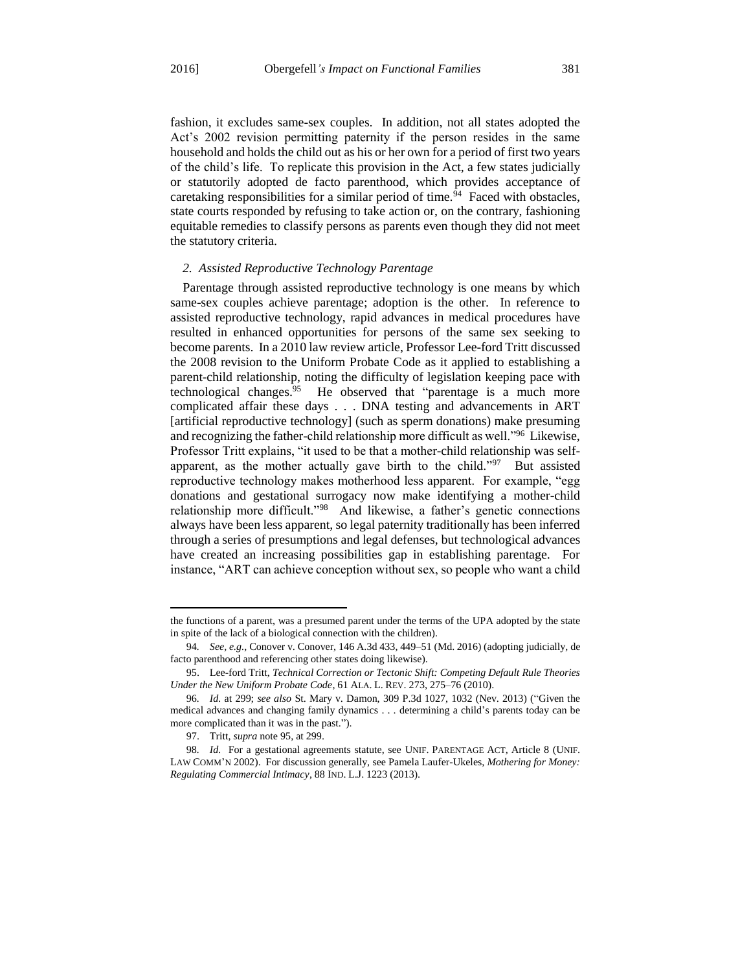fashion, it excludes same-sex couples. In addition, not all states adopted the Act's 2002 revision permitting paternity if the person resides in the same household and holds the child out as his or her own for a period of first two years of the child's life. To replicate this provision in the Act, a few states judicially or statutorily adopted de facto parenthood, which provides acceptance of caretaking responsibilities for a similar period of time.<sup>94</sup> Faced with obstacles, state courts responded by refusing to take action or, on the contrary, fashioning equitable remedies to classify persons as parents even though they did not meet the statutory criteria.

#### *2. Assisted Reproductive Technology Parentage*

Parentage through assisted reproductive technology is one means by which same-sex couples achieve parentage; adoption is the other. In reference to assisted reproductive technology, rapid advances in medical procedures have resulted in enhanced opportunities for persons of the same sex seeking to become parents. In a 2010 law review article, Professor Lee-ford Tritt discussed the 2008 revision to the Uniform Probate Code as it applied to establishing a parent-child relationship, noting the difficulty of legislation keeping pace with technological changes.<sup>95</sup> He observed that "parentage is a much more complicated affair these days . . . DNA testing and advancements in ART [artificial reproductive technology] (such as sperm donations) make presuming and recognizing the father-child relationship more difficult as well."<sup>96</sup> Likewise, Professor Tritt explains, "it used to be that a mother-child relationship was selfapparent, as the mother actually gave birth to the child." $97$  But assisted reproductive technology makes motherhood less apparent. For example, "egg donations and gestational surrogacy now make identifying a mother-child relationship more difficult."<sup>98</sup> And likewise, a father's genetic connections always have been less apparent, so legal paternity traditionally has been inferred through a series of presumptions and legal defenses, but technological advances have created an increasing possibilities gap in establishing parentage. For instance, "ART can achieve conception without sex, so people who want a child

the functions of a parent, was a presumed parent under the terms of the UPA adopted by the state in spite of the lack of a biological connection with the children).

<sup>94</sup>*. See, e.g.*, Conover v. Conover, 146 A.3d 433, 449–51 (Md. 2016) (adopting judicially, de facto parenthood and referencing other states doing likewise).

<sup>95.</sup> Lee-ford Tritt, *Technical Correction or Tectonic Shift: Competing Default Rule Theories Under the New Uniform Probate Code*, 61 ALA. L. REV. 273, 275–76 (2010).

<sup>96</sup>*. Id.* at 299; *see also* St. Mary v. Damon, 309 P.3d 1027, 1032 (Nev. 2013) ("Given the medical advances and changing family dynamics . . . determining a child's parents today can be more complicated than it was in the past.").

<sup>97.</sup> Tritt, *supra* note 95, at 299.

<sup>98</sup>*. Id.* For a gestational agreements statute, see UNIF. PARENTAGE ACT, Article 8 (UNIF. LAW COMM'N 2002). For discussion generally, see Pamela Laufer-Ukeles, *Mothering for Money: Regulating Commercial Intimacy*, 88 IND. L.J. 1223 (2013).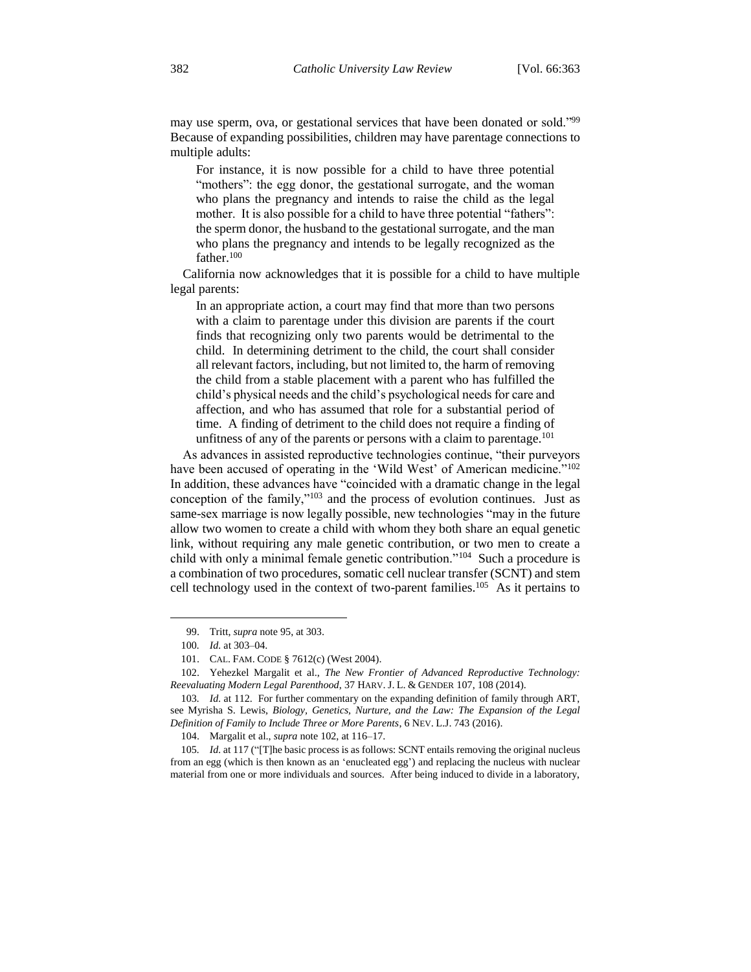may use sperm, ova, or gestational services that have been donated or sold."<sup>99</sup> Because of expanding possibilities, children may have parentage connections to multiple adults:

For instance, it is now possible for a child to have three potential "mothers": the egg donor, the gestational surrogate, and the woman who plans the pregnancy and intends to raise the child as the legal mother. It is also possible for a child to have three potential "fathers": the sperm donor, the husband to the gestational surrogate, and the man who plans the pregnancy and intends to be legally recognized as the father.<sup>100</sup>

California now acknowledges that it is possible for a child to have multiple legal parents:

In an appropriate action, a court may find that more than two persons with a claim to parentage under this division are parents if the court finds that recognizing only two parents would be detrimental to the child. In determining detriment to the child, the court shall consider all relevant factors, including, but not limited to, the harm of removing the child from a stable placement with a parent who has fulfilled the child's physical needs and the child's psychological needs for care and affection, and who has assumed that role for a substantial period of time. A finding of detriment to the child does not require a finding of unfitness of any of the parents or persons with a claim to parentage.<sup>101</sup>

As advances in assisted reproductive technologies continue, "their purveyors have been accused of operating in the 'Wild West' of American medicine."<sup>102</sup> In addition, these advances have "coincided with a dramatic change in the legal conception of the family,"<sup>103</sup> and the process of evolution continues. Just as same-sex marriage is now legally possible, new technologies "may in the future allow two women to create a child with whom they both share an equal genetic link, without requiring any male genetic contribution, or two men to create a child with only a minimal female genetic contribution."<sup>104</sup> Such a procedure is a combination of two procedures, somatic cell nuclear transfer (SCNT) and stem cell technology used in the context of two-parent families.<sup>105</sup> As it pertains to

<sup>99.</sup> Tritt, *supra* note 95, at 303.

<sup>100</sup>*. Id.* at 303–04.

<sup>101.</sup> CAL. FAM. CODE § 7612(c) (West 2004).

<sup>102.</sup> Yehezkel Margalit et al., *The New Frontier of Advanced Reproductive Technology: Reevaluating Modern Legal Parenthood*, 37 HARV. J. L. & GENDER 107, 108 (2014).

<sup>103</sup>*. Id.* at 112. For further commentary on the expanding definition of family through ART, see Myrisha S. Lewis, *Biology, Genetics, Nurture, and the Law: The Expansion of the Legal Definition of Family to Include Three or More Parents*, 6 NEV. L.J. 743 (2016).

<sup>104.</sup> Margalit et al., *supra* note 102, at 116–17.

<sup>105</sup>*. Id.* at 117 ("[T]he basic process is as follows: SCNT entails removing the original nucleus from an egg (which is then known as an 'enucleated egg') and replacing the nucleus with nuclear material from one or more individuals and sources. After being induced to divide in a laboratory,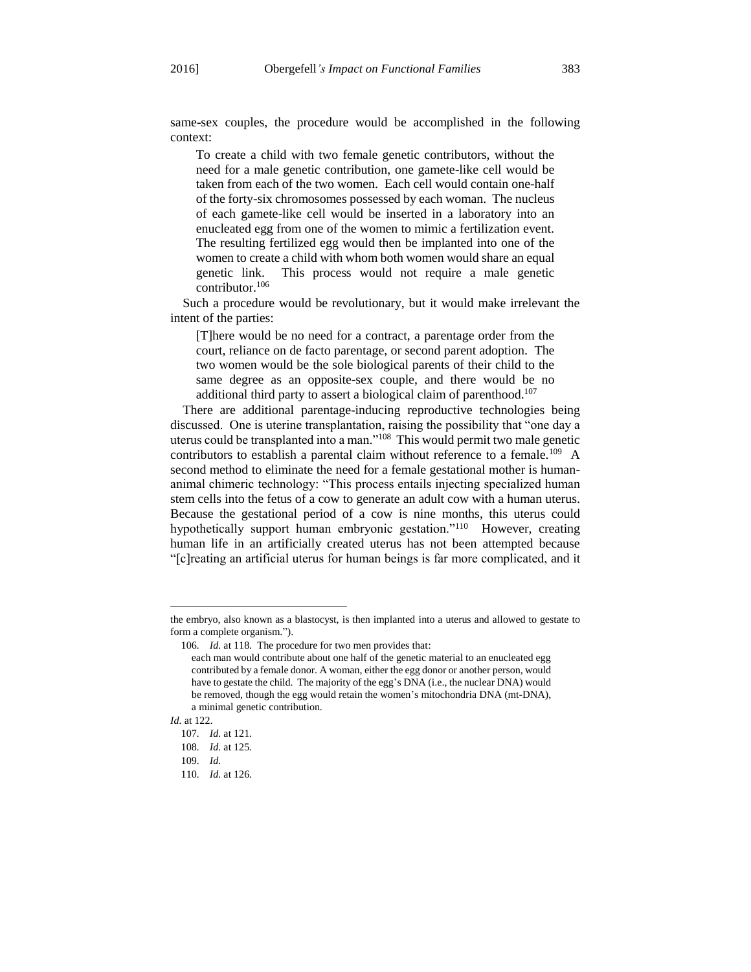same-sex couples, the procedure would be accomplished in the following context:

To create a child with two female genetic contributors, without the need for a male genetic contribution, one gamete-like cell would be taken from each of the two women. Each cell would contain one-half of the forty-six chromosomes possessed by each woman. The nucleus of each gamete-like cell would be inserted in a laboratory into an enucleated egg from one of the women to mimic a fertilization event. The resulting fertilized egg would then be implanted into one of the women to create a child with whom both women would share an equal genetic link. This process would not require a male genetic contributor.<sup>106</sup>

Such a procedure would be revolutionary, but it would make irrelevant the intent of the parties:

[T]here would be no need for a contract, a parentage order from the court, reliance on de facto parentage, or second parent adoption. The two women would be the sole biological parents of their child to the same degree as an opposite-sex couple, and there would be no additional third party to assert a biological claim of parenthood.<sup>107</sup>

There are additional parentage-inducing reproductive technologies being discussed. One is uterine transplantation, raising the possibility that "one day a uterus could be transplanted into a man."<sup>108</sup> This would permit two male genetic contributors to establish a parental claim without reference to a female.<sup>109</sup> A second method to eliminate the need for a female gestational mother is humananimal chimeric technology: "This process entails injecting specialized human stem cells into the fetus of a cow to generate an adult cow with a human uterus. Because the gestational period of a cow is nine months, this uterus could hypothetically support human embryonic gestation."<sup>110</sup> However, creating human life in an artificially created uterus has not been attempted because "[c]reating an artificial uterus for human beings is far more complicated, and it

the embryo, also known as a blastocyst, is then implanted into a uterus and allowed to gestate to form a complete organism.").

<sup>106</sup>*. Id.* at 118. The procedure for two men provides that:

each man would contribute about one half of the genetic material to an enucleated egg contributed by a female donor. A woman, either the egg donor or another person, would have to gestate the child. The majority of the egg's DNA (i.e., the nuclear DNA) would be removed, though the egg would retain the women's mitochondria DNA (mt-DNA), a minimal genetic contribution.

*Id.* at 122.

<sup>107</sup>*. Id.* at 121.

<sup>108</sup>*. Id.* at 125.

<sup>109</sup>*. Id.*

<sup>110</sup>*. Id.* at 126.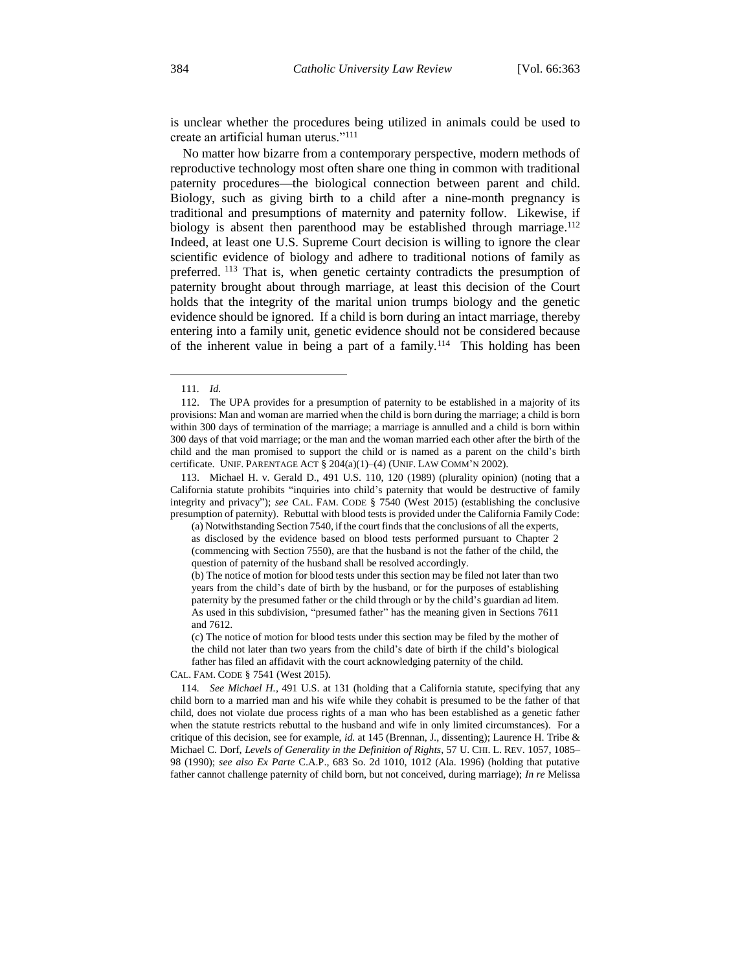is unclear whether the procedures being utilized in animals could be used to create an artificial human uterus."<sup>111</sup>

No matter how bizarre from a contemporary perspective, modern methods of reproductive technology most often share one thing in common with traditional paternity procedures—the biological connection between parent and child. Biology, such as giving birth to a child after a nine-month pregnancy is traditional and presumptions of maternity and paternity follow. Likewise, if biology is absent then parenthood may be established through marriage.<sup>112</sup> Indeed, at least one U.S. Supreme Court decision is willing to ignore the clear scientific evidence of biology and adhere to traditional notions of family as preferred. <sup>113</sup> That is, when genetic certainty contradicts the presumption of paternity brought about through marriage, at least this decision of the Court holds that the integrity of the marital union trumps biology and the genetic evidence should be ignored. If a child is born during an intact marriage, thereby entering into a family unit, genetic evidence should not be considered because of the inherent value in being a part of a family.<sup>114</sup> This holding has been

 $\overline{a}$ 

CAL. FAM. CODE § 7541 (West 2015).

<sup>111</sup>*. Id.*

<sup>112.</sup> The UPA provides for a presumption of paternity to be established in a majority of its provisions: Man and woman are married when the child is born during the marriage; a child is born within 300 days of termination of the marriage; a marriage is annulled and a child is born within 300 days of that void marriage; or the man and the woman married each other after the birth of the child and the man promised to support the child or is named as a parent on the child's birth certificate. UNIF. PARENTAGE ACT § 204(a)(1)–(4) (UNIF. LAW COMM'N 2002).

<sup>113.</sup> Michael H. v. Gerald D., 491 U.S. 110, 120 (1989) (plurality opinion) (noting that a California statute prohibits "inquiries into child's paternity that would be destructive of family integrity and privacy"); *see* CAL. FAM. CODE § 7540 (West 2015) (establishing the conclusive presumption of paternity). Rebuttal with blood tests is provided under the California Family Code:

<sup>(</sup>a) Notwithstanding Section 7540, if the court finds that the conclusions of all the experts, as disclosed by the evidence based on blood tests performed pursuant to Chapter 2 (commencing with Section 7550), are that the husband is not the father of the child, the question of paternity of the husband shall be resolved accordingly.

<sup>(</sup>b) The notice of motion for blood tests under this section may be filed not later than two years from the child's date of birth by the husband, or for the purposes of establishing paternity by the presumed father or the child through or by the child's guardian ad litem. As used in this subdivision, "presumed father" has the meaning given in Sections 7611 and 7612.

<sup>(</sup>c) The notice of motion for blood tests under this section may be filed by the mother of the child not later than two years from the child's date of birth if the child's biological father has filed an affidavit with the court acknowledging paternity of the child.

<sup>114</sup>*. See Michael H.*, 491 U.S. at 131 (holding that a California statute, specifying that any child born to a married man and his wife while they cohabit is presumed to be the father of that child, does not violate due process rights of a man who has been established as a genetic father when the statute restricts rebuttal to the husband and wife in only limited circumstances). For a critique of this decision, see for example, *id.* at 145 (Brennan, J., dissenting); Laurence H. Tribe & Michael C. Dorf, *Levels of Generality in the Definition of Rights*, 57 U. CHI. L. REV. 1057, 1085– 98 (1990); *see also Ex Parte* C.A.P., 683 So. 2d 1010, 1012 (Ala. 1996) (holding that putative father cannot challenge paternity of child born, but not conceived, during marriage); *In re* Melissa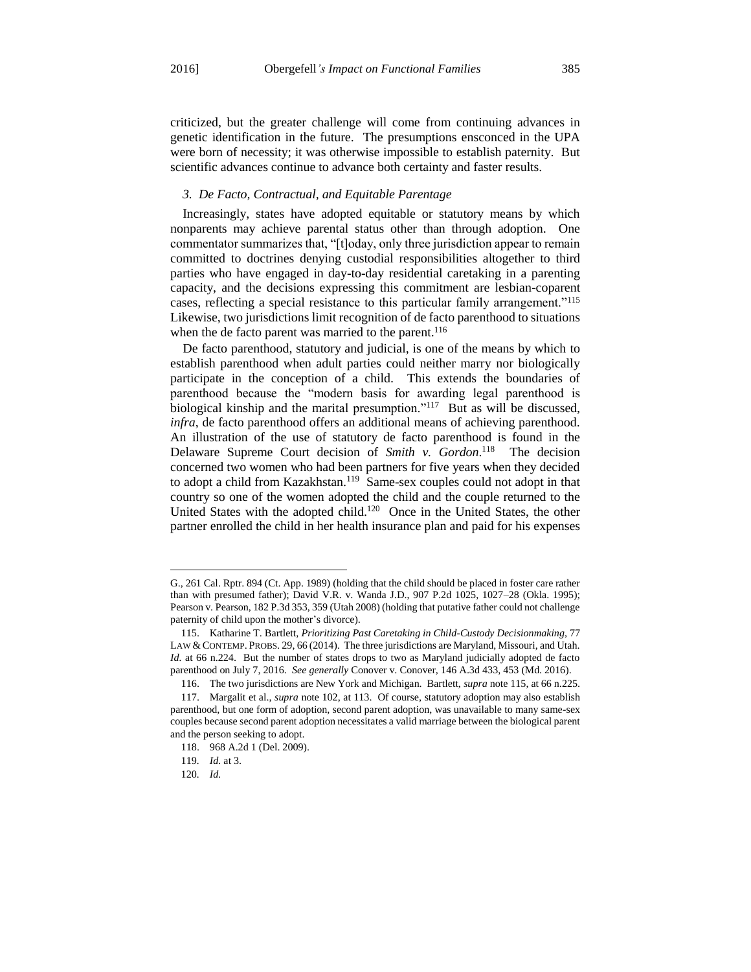criticized, but the greater challenge will come from continuing advances in genetic identification in the future. The presumptions ensconced in the UPA were born of necessity; it was otherwise impossible to establish paternity. But scientific advances continue to advance both certainty and faster results.

### *3. De Facto, Contractual, and Equitable Parentage*

Increasingly, states have adopted equitable or statutory means by which nonparents may achieve parental status other than through adoption. One commentator summarizes that, "[t]oday, only three jurisdiction appear to remain committed to doctrines denying custodial responsibilities altogether to third parties who have engaged in day-to-day residential caretaking in a parenting capacity, and the decisions expressing this commitment are lesbian-coparent cases, reflecting a special resistance to this particular family arrangement."<sup>115</sup> Likewise, two jurisdictions limit recognition of de facto parenthood to situations when the de facto parent was married to the parent.<sup>116</sup>

De facto parenthood, statutory and judicial, is one of the means by which to establish parenthood when adult parties could neither marry nor biologically participate in the conception of a child. This extends the boundaries of parenthood because the "modern basis for awarding legal parenthood is biological kinship and the marital presumption."<sup>117</sup> But as will be discussed, *infra*, de facto parenthood offers an additional means of achieving parenthood. An illustration of the use of statutory de facto parenthood is found in the Delaware Supreme Court decision of *Smith v. Gordon*.<sup>118</sup> The decision concerned two women who had been partners for five years when they decided to adopt a child from Kazakhstan.<sup>119</sup> Same-sex couples could not adopt in that country so one of the women adopted the child and the couple returned to the United States with the adopted child.<sup>120</sup> Once in the United States, the other partner enrolled the child in her health insurance plan and paid for his expenses

G., 261 Cal. Rptr. 894 (Ct. App. 1989) (holding that the child should be placed in foster care rather than with presumed father); David V.R. v. Wanda J.D., 907 P.2d 1025, 1027–28 (Okla. 1995); Pearson v. Pearson, 182 P.3d 353, 359 (Utah 2008) (holding that putative father could not challenge paternity of child upon the mother's divorce).

<sup>115.</sup> Katharine T. Bartlett, *Prioritizing Past Caretaking in Child-Custody Decisionmaking*, 77 LAW & CONTEMP. PROBS. 29, 66 (2014). The three jurisdictions are Maryland, Missouri, and Utah. *Id.* at 66 n.224. But the number of states drops to two as Maryland judicially adopted de facto parenthood on July 7, 2016. *See generally* Conover v. Conover, 146 A.3d 433, 453 (Md. 2016).

<sup>116.</sup> The two jurisdictions are New York and Michigan. Bartlett, *supra* note 115, at 66 n.225.

<sup>117.</sup> Margalit et al., *supra* note 102, at 113. Of course, statutory adoption may also establish parenthood, but one form of adoption, second parent adoption, was unavailable to many same-sex couples because second parent adoption necessitates a valid marriage between the biological parent and the person seeking to adopt.

<sup>118.</sup> 968 A.2d 1 (Del. 2009).

<sup>119</sup>*. Id.* at 3.

<sup>120</sup>*. Id.*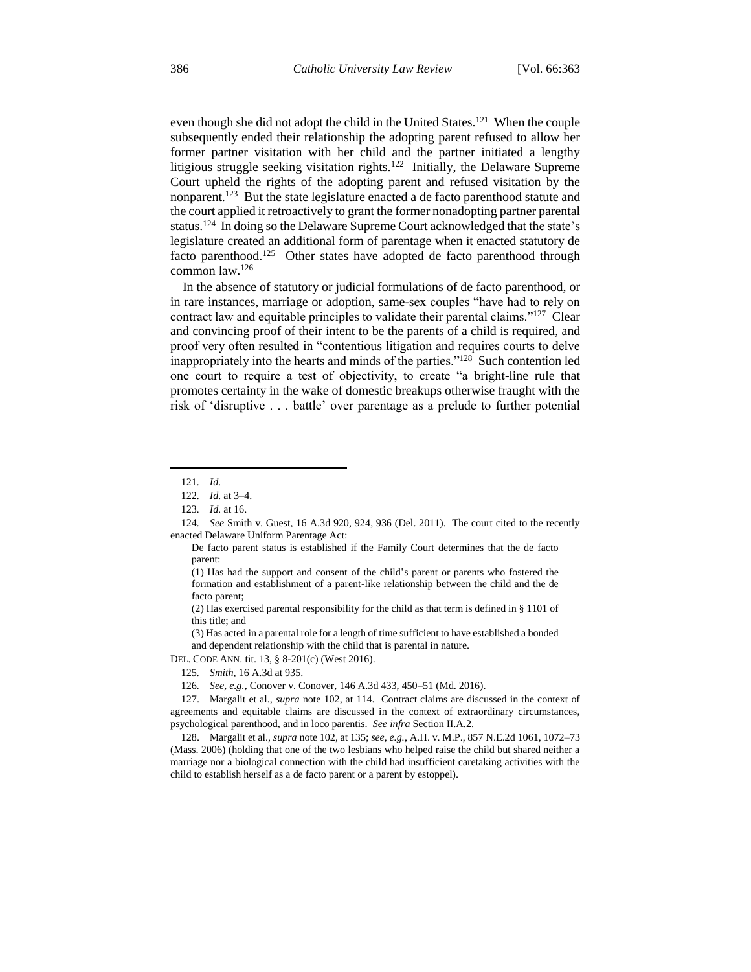even though she did not adopt the child in the United States.<sup>121</sup> When the couple subsequently ended their relationship the adopting parent refused to allow her former partner visitation with her child and the partner initiated a lengthy litigious struggle seeking visitation rights.<sup>122</sup> Initially, the Delaware Supreme Court upheld the rights of the adopting parent and refused visitation by the nonparent.<sup>123</sup> But the state legislature enacted a de facto parenthood statute and the court applied it retroactively to grant the former nonadopting partner parental status.<sup>124</sup> In doing so the Delaware Supreme Court acknowledged that the state's legislature created an additional form of parentage when it enacted statutory de facto parenthood.<sup>125</sup> Other states have adopted de facto parenthood through common law.<sup>126</sup>

In the absence of statutory or judicial formulations of de facto parenthood, or in rare instances, marriage or adoption, same-sex couples "have had to rely on contract law and equitable principles to validate their parental claims."<sup>127</sup> Clear and convincing proof of their intent to be the parents of a child is required, and proof very often resulted in "contentious litigation and requires courts to delve inappropriately into the hearts and minds of the parties."<sup>128</sup> Such contention led one court to require a test of objectivity, to create "a bright-line rule that promotes certainty in the wake of domestic breakups otherwise fraught with the risk of 'disruptive . . . battle' over parentage as a prelude to further potential

 $\overline{a}$ 

(3) Has acted in a parental role for a length of time sufficient to have established a bonded and dependent relationship with the child that is parental in nature.

DEL. CODE ANN. tit. 13, § 8-201(c) (West 2016).

125*. Smith*, 16 A.3d at 935.

126*. See, e.g.*, Conover v. Conover, 146 A.3d 433, 450–51 (Md. 2016).

127. Margalit et al., *supra* note 102, at 114. Contract claims are discussed in the context of agreements and equitable claims are discussed in the context of extraordinary circumstances, psychological parenthood, and in loco parentis. *See infra* Section II.A.2.

128. Margalit et al., *supra* note 102, at 135; *see, e.g.*, A.H. v. M.P., 857 N.E.2d 1061, 1072–73 (Mass. 2006) (holding that one of the two lesbians who helped raise the child but shared neither a marriage nor a biological connection with the child had insufficient caretaking activities with the child to establish herself as a de facto parent or a parent by estoppel).

<sup>121</sup>*. Id.*

<sup>122</sup>*. Id.* at 3–4.

<sup>123</sup>*. Id.* at 16.

<sup>124</sup>*. See* Smith v. Guest, 16 A.3d 920, 924, 936 (Del. 2011). The court cited to the recently enacted Delaware Uniform Parentage Act:

De facto parent status is established if the Family Court determines that the de facto parent:

<sup>(1)</sup> Has had the support and consent of the child's parent or parents who fostered the formation and establishment of a parent-like relationship between the child and the de facto parent;

<sup>(2)</sup> Has exercised parental responsibility for the child as that term is defined in § 1101 of this title; and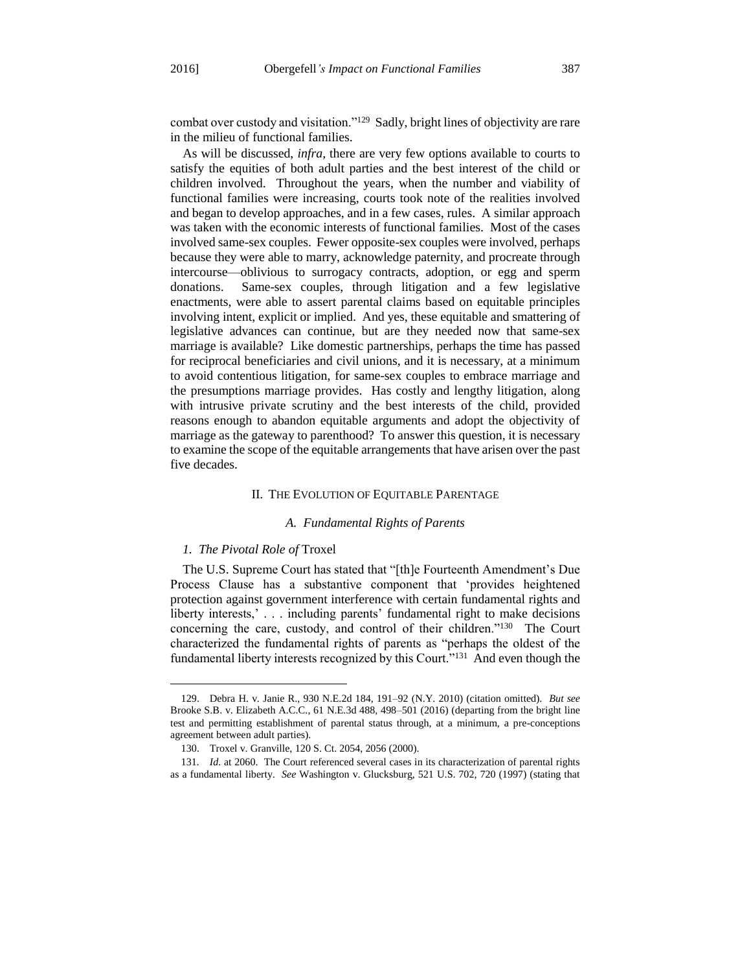combat over custody and visitation."<sup>129</sup> Sadly, bright lines of objectivity are rare in the milieu of functional families.

As will be discussed, *infra*, there are very few options available to courts to satisfy the equities of both adult parties and the best interest of the child or children involved. Throughout the years, when the number and viability of functional families were increasing, courts took note of the realities involved and began to develop approaches, and in a few cases, rules. A similar approach was taken with the economic interests of functional families. Most of the cases involved same-sex couples. Fewer opposite-sex couples were involved, perhaps because they were able to marry, acknowledge paternity, and procreate through intercourse—oblivious to surrogacy contracts, adoption, or egg and sperm donations. Same-sex couples, through litigation and a few legislative enactments, were able to assert parental claims based on equitable principles involving intent, explicit or implied. And yes, these equitable and smattering of legislative advances can continue, but are they needed now that same-sex marriage is available? Like domestic partnerships, perhaps the time has passed for reciprocal beneficiaries and civil unions, and it is necessary, at a minimum to avoid contentious litigation, for same-sex couples to embrace marriage and the presumptions marriage provides. Has costly and lengthy litigation, along with intrusive private scrutiny and the best interests of the child, provided reasons enough to abandon equitable arguments and adopt the objectivity of marriage as the gateway to parenthood? To answer this question, it is necessary to examine the scope of the equitable arrangements that have arisen over the past five decades.

#### II. THE EVOLUTION OF EQUITABLE PARENTAGE

#### *A. Fundamental Rights of Parents*

#### *1. The Pivotal Role of* Troxel

 $\overline{a}$ 

The U.S. Supreme Court has stated that "[th]e Fourteenth Amendment's Due Process Clause has a substantive component that 'provides heightened protection against government interference with certain fundamental rights and liberty interests,' . . . including parents' fundamental right to make decisions concerning the care, custody, and control of their children."<sup>130</sup> The Court characterized the fundamental rights of parents as "perhaps the oldest of the fundamental liberty interests recognized by this Court."<sup>131</sup> And even though the

<sup>129.</sup> Debra H. v. Janie R., 930 N.E.2d 184, 191–92 (N.Y. 2010) (citation omitted). *But see* Brooke S.B. v. Elizabeth A.C.C., 61 N.E.3d 488, 498–501 (2016) (departing from the bright line test and permitting establishment of parental status through, at a minimum, a pre-conceptions agreement between adult parties).

<sup>130.</sup> Troxel v. Granville, 120 S. Ct. 2054, 2056 (2000).

<sup>131</sup>*. Id.* at 2060. The Court referenced several cases in its characterization of parental rights as a fundamental liberty. *See* Washington v. Glucksburg, 521 U.S. 702, 720 (1997) (stating that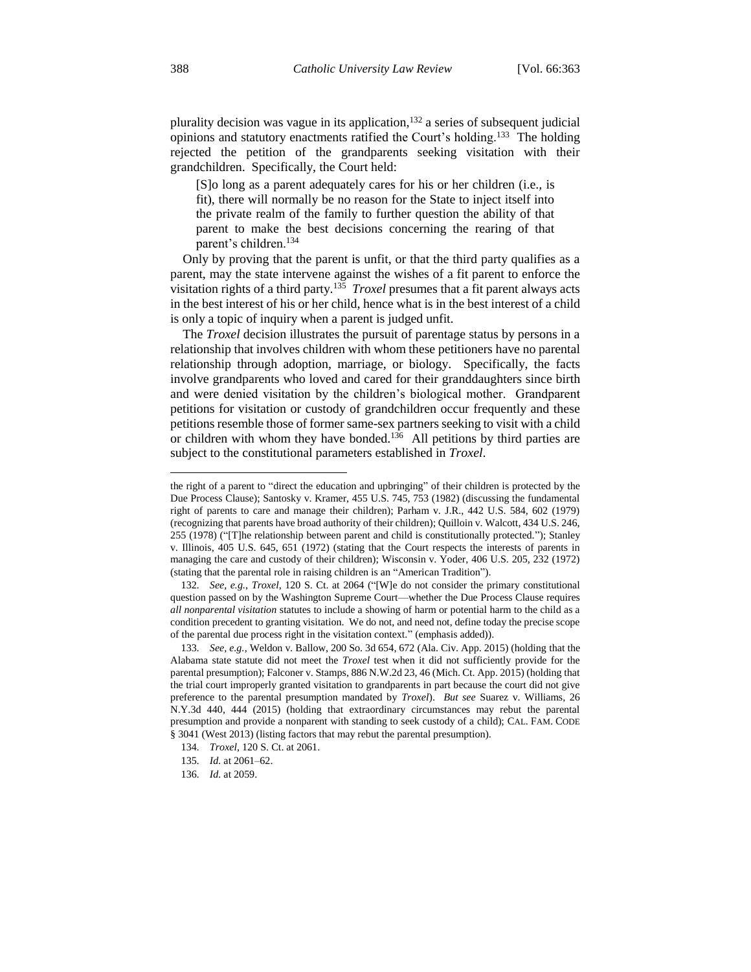plurality decision was vague in its application,  $132$  a series of subsequent judicial opinions and statutory enactments ratified the Court's holding.<sup>133</sup> The holding rejected the petition of the grandparents seeking visitation with their grandchildren. Specifically, the Court held:

[S]o long as a parent adequately cares for his or her children (i.e.*,* is fit), there will normally be no reason for the State to inject itself into the private realm of the family to further question the ability of that parent to make the best decisions concerning the rearing of that parent's children.<sup>134</sup>

Only by proving that the parent is unfit, or that the third party qualifies as a parent, may the state intervene against the wishes of a fit parent to enforce the visitation rights of a third party.<sup>135</sup> *Troxel* presumes that a fit parent always acts in the best interest of his or her child, hence what is in the best interest of a child is only a topic of inquiry when a parent is judged unfit.

The *Troxel* decision illustrates the pursuit of parentage status by persons in a relationship that involves children with whom these petitioners have no parental relationship through adoption, marriage, or biology. Specifically, the facts involve grandparents who loved and cared for their granddaughters since birth and were denied visitation by the children's biological mother. Grandparent petitions for visitation or custody of grandchildren occur frequently and these petitions resemble those of former same-sex partners seeking to visit with a child or children with whom they have bonded.<sup>136</sup> All petitions by third parties are subject to the constitutional parameters established in *Troxel*.

the right of a parent to "direct the education and upbringing" of their children is protected by the Due Process Clause); Santosky v. Kramer, 455 U.S. 745, 753 (1982) (discussing the fundamental right of parents to care and manage their children); Parham v. J.R., 442 U.S. 584, 602 (1979) (recognizing that parents have broad authority of their children); Quilloin v. Walcott, 434 U.S. 246, 255 (1978) ("[T]he relationship between parent and child is constitutionally protected."); Stanley v. Illinois, 405 U.S. 645, 651 (1972) (stating that the Court respects the interests of parents in managing the care and custody of their children); Wisconsin v. Yoder, 406 U.S. 205, 232 (1972) (stating that the parental role in raising children is an "American Tradition").

<sup>132</sup>*. See, e.g.*, *Troxel*, 120 S. Ct. at 2064 ("[W]e do not consider the primary constitutional question passed on by the Washington Supreme Court—whether the Due Process Clause requires *all nonparental visitation* statutes to include a showing of harm or potential harm to the child as a condition precedent to granting visitation. We do not, and need not, define today the precise scope of the parental due process right in the visitation context." (emphasis added)).

<sup>133</sup>*. See, e.g.*, Weldon v. Ballow, 200 So. 3d 654, 672 (Ala. Civ. App. 2015) (holding that the Alabama state statute did not meet the *Troxel* test when it did not sufficiently provide for the parental presumption); Falconer v. Stamps, 886 N.W.2d 23, 46 (Mich. Ct. App. 2015) (holding that the trial court improperly granted visitation to grandparents in part because the court did not give preference to the parental presumption mandated by *Troxel*). *But see* Suarez v. Williams, 26 N.Y.3d 440, 444 (2015) (holding that extraordinary circumstances may rebut the parental presumption and provide a nonparent with standing to seek custody of a child); CAL. FAM. CODE § 3041 (West 2013) (listing factors that may rebut the parental presumption).

<sup>134</sup>*. Troxel*, 120 S. Ct. at 2061.

<sup>135</sup>*. Id.* at 2061–62.

<sup>136</sup>*. Id.* at 2059.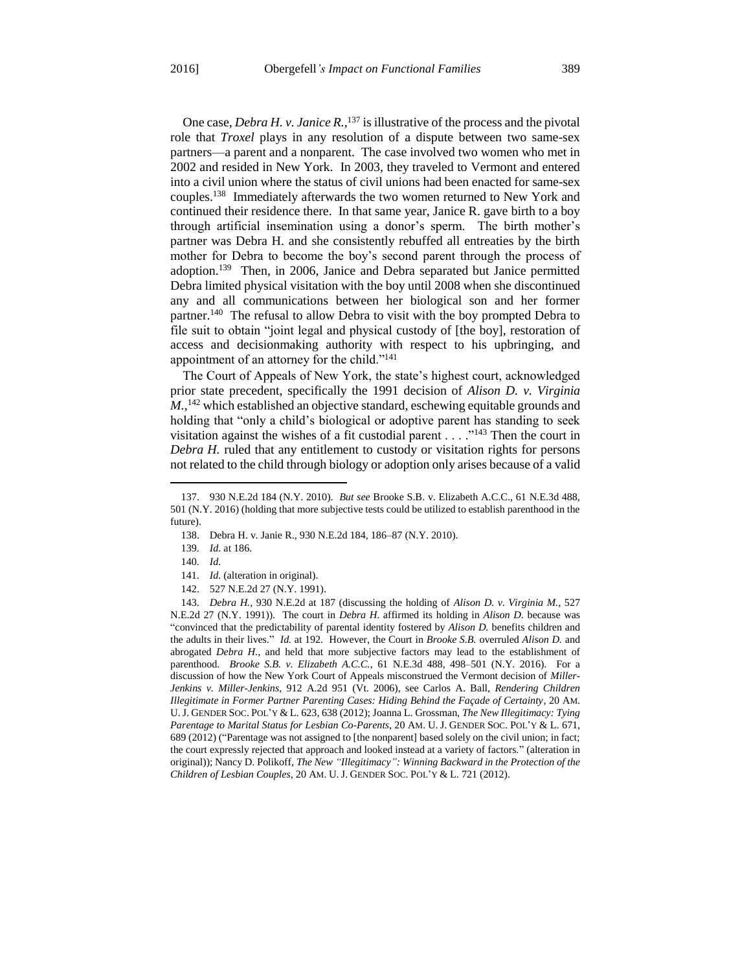One case, *Debra H. v. Janice R.*,<sup>137</sup> is illustrative of the process and the pivotal role that *Troxel* plays in any resolution of a dispute between two same-sex partners—a parent and a nonparent. The case involved two women who met in 2002 and resided in New York. In 2003, they traveled to Vermont and entered into a civil union where the status of civil unions had been enacted for same-sex couples.<sup>138</sup> Immediately afterwards the two women returned to New York and continued their residence there. In that same year, Janice R. gave birth to a boy through artificial insemination using a donor's sperm. The birth mother's partner was Debra H. and she consistently rebuffed all entreaties by the birth mother for Debra to become the boy's second parent through the process of adoption.<sup>139</sup> Then, in 2006, Janice and Debra separated but Janice permitted Debra limited physical visitation with the boy until 2008 when she discontinued any and all communications between her biological son and her former

partner.<sup>140</sup> The refusal to allow Debra to visit with the boy prompted Debra to file suit to obtain "joint legal and physical custody of [the boy], restoration of access and decisionmaking authority with respect to his upbringing, and appointment of an attorney for the child."<sup>141</sup>

The Court of Appeals of New York, the state's highest court, acknowledged prior state precedent, specifically the 1991 decision of *Alison D. v. Virginia*  M.,<sup>142</sup> which established an objective standard, eschewing equitable grounds and holding that "only a child's biological or adoptive parent has standing to seek visitation against the wishes of a fit custodial parent . . . ."<sup>143</sup> Then the court in *Debra H.* ruled that any entitlement to custody or visitation rights for persons not related to the child through biology or adoption only arises because of a valid

 $\overline{a}$ 

143*. Debra H.*, 930 N.E.2d at 187 (discussing the holding of *Alison D. v. Virginia M.*, 527 N.E.2d 27 (N.Y. 1991)). The court in *Debra H*. affirmed its holding in *Alison D.* because was "convinced that the predictability of parental identity fostered by *Alison D.* benefits children and the adults in their lives." *Id.* at 192. However, the Court in *Brooke S.B.* overruled *Alison D.* and abrogated *Debra H.*, and held that more subjective factors may lead to the establishment of parenthood. *Brooke S.B. v. Elizabeth A.C.C.*, 61 N.E.3d 488, 498–501 (N.Y. 2016). For a discussion of how the New York Court of Appeals misconstrued the Vermont decision of *Miller-Jenkins v. Miller-Jenkins*, 912 A.2d 951 (Vt. 2006), see Carlos A. Ball, *Rendering Children Illegitimate in Former Partner Parenting Cases: Hiding Behind the Façade of Certainty*, 20 AM. U.J. GENDER SOC. POL'Y & L. 623, 638 (2012); Joanna L. Grossman, *The New Illegitimacy: Tying Parentage to Marital Status for Lesbian Co-Parents*, 20 AM. U. J. GENDER SOC. POL'Y & L. 671, 689 (2012) ("Parentage was not assigned to [the nonparent] based solely on the civil union; in fact; the court expressly rejected that approach and looked instead at a variety of factors." (alteration in original)); Nancy D. Polikoff, *The New "Illegitimacy": Winning Backward in the Protection of the Children of Lesbian Couples*, 20 AM. U. J. GENDER SOC. POL'Y & L. 721 (2012).

<sup>137.</sup> 930 N.E.2d 184 (N.Y. 2010). *But see* Brooke S.B. v. Elizabeth A.C.C., 61 N.E.3d 488, 501 (N.Y. 2016) (holding that more subjective tests could be utilized to establish parenthood in the future).

<sup>138.</sup> Debra H. v. Janie R., 930 N.E.2d 184, 186–87 (N.Y. 2010).

<sup>139</sup>*. Id.* at 186.

<sup>140</sup>*. Id.*

<sup>141</sup>*. Id.* (alteration in original).

<sup>142.</sup> 527 N.E.2d 27 (N.Y. 1991).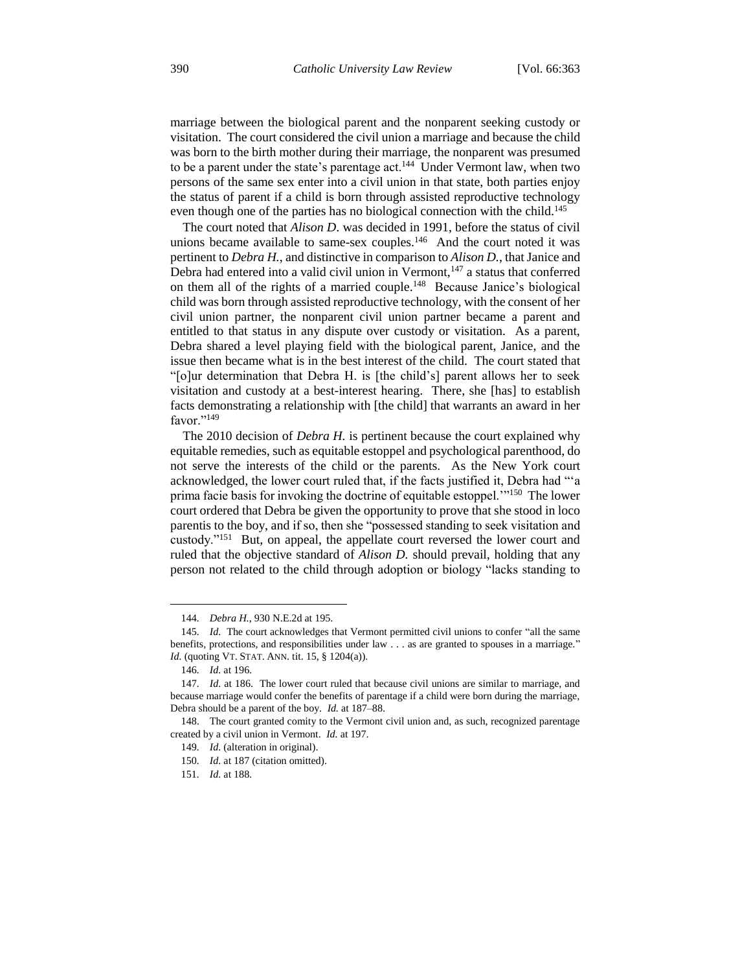marriage between the biological parent and the nonparent seeking custody or visitation. The court considered the civil union a marriage and because the child was born to the birth mother during their marriage, the nonparent was presumed to be a parent under the state's parentage act.<sup>144</sup> Under Vermont law, when two persons of the same sex enter into a civil union in that state, both parties enjoy the status of parent if a child is born through assisted reproductive technology even though one of the parties has no biological connection with the child.<sup>145</sup>

The court noted that *Alison D*. was decided in 1991, before the status of civil unions became available to same-sex couples.<sup>146</sup> And the court noted it was pertinent to *Debra H.*, and distinctive in comparison to *Alison D.*, that Janice and Debra had entered into a valid civil union in Vermont, $147$  a status that conferred on them all of the rights of a married couple.<sup>148</sup> Because Janice's biological child was born through assisted reproductive technology, with the consent of her civil union partner, the nonparent civil union partner became a parent and entitled to that status in any dispute over custody or visitation. As a parent, Debra shared a level playing field with the biological parent, Janice, and the issue then became what is in the best interest of the child. The court stated that "[o]ur determination that Debra H. is [the child's] parent allows her to seek visitation and custody at a best-interest hearing. There, she [has] to establish facts demonstrating a relationship with [the child] that warrants an award in her favor."<sup>149</sup>

The 2010 decision of *Debra H.* is pertinent because the court explained why equitable remedies, such as equitable estoppel and psychological parenthood, do not serve the interests of the child or the parents. As the New York court acknowledged, the lower court ruled that, if the facts justified it, Debra had "'a prima facie basis for invoking the doctrine of equitable estoppel."<sup>150</sup> The lower court ordered that Debra be given the opportunity to prove that she stood in loco parentis to the boy, and if so, then she "possessed standing to seek visitation and custody."<sup>151</sup> But, on appeal, the appellate court reversed the lower court and ruled that the objective standard of *Alison D.* should prevail, holding that any person not related to the child through adoption or biology "lacks standing to

<sup>144</sup>*. Debra H.*, 930 N.E.2d at 195.

<sup>145</sup>*. Id.* The court acknowledges that Vermont permitted civil unions to confer "all the same benefits, protections, and responsibilities under law . . . as are granted to spouses in a marriage." *Id.* (quoting VT. STAT. ANN. tit. 15, § 1204(a)).

<sup>146</sup>*. Id.* at 196.

<sup>147</sup>*. Id.* at 186. The lower court ruled that because civil unions are similar to marriage, and because marriage would confer the benefits of parentage if a child were born during the marriage, Debra should be a parent of the boy. *Id.* at 187–88.

<sup>148.</sup> The court granted comity to the Vermont civil union and, as such, recognized parentage created by a civil union in Vermont. *Id.* at 197.

<sup>149</sup>*. Id.* (alteration in original).

<sup>150</sup>*. Id.* at 187 (citation omitted).

<sup>151</sup>*. Id.* at 188.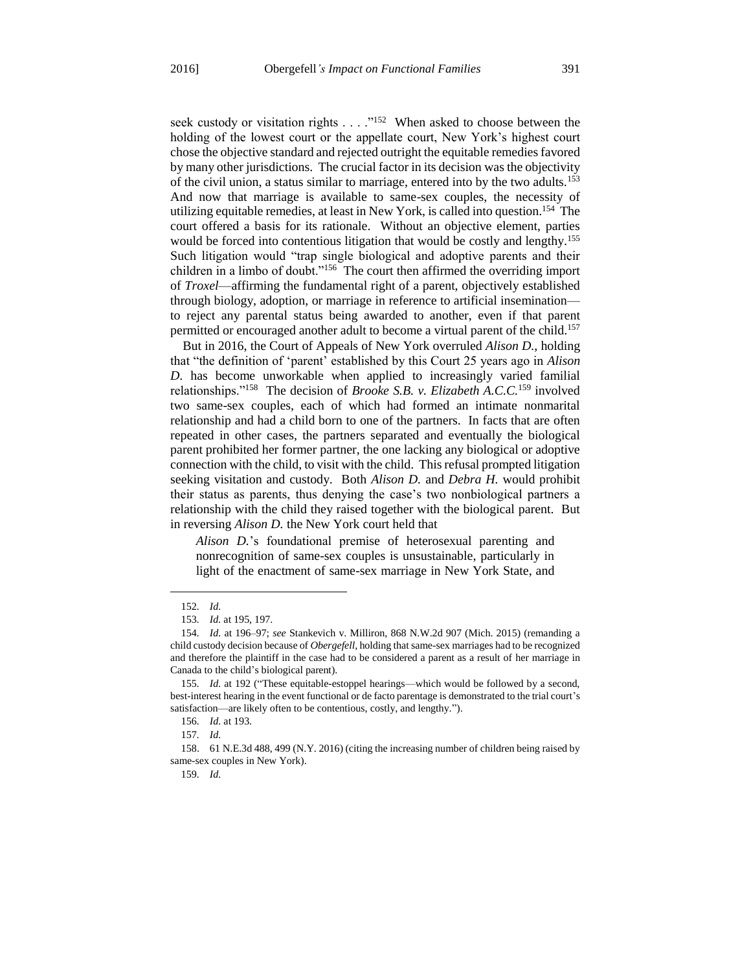seek custody or visitation rights . . . . "<sup>152</sup> When asked to choose between the holding of the lowest court or the appellate court, New York's highest court chose the objective standard and rejected outright the equitable remedies favored by many other jurisdictions. The crucial factor in its decision was the objectivity of the civil union, a status similar to marriage, entered into by the two adults.<sup>153</sup> And now that marriage is available to same-sex couples, the necessity of utilizing equitable remedies, at least in New York, is called into question.<sup>154</sup> The court offered a basis for its rationale. Without an objective element, parties would be forced into contentious litigation that would be costly and lengthy.<sup>155</sup> Such litigation would "trap single biological and adoptive parents and their children in a limbo of doubt."<sup>156</sup> The court then affirmed the overriding import of *Troxel*—affirming the fundamental right of a parent, objectively established through biology, adoption, or marriage in reference to artificial insemination to reject any parental status being awarded to another, even if that parent permitted or encouraged another adult to become a virtual parent of the child.<sup>157</sup>

But in 2016, the Court of Appeals of New York overruled *Alison D.*, holding that "the definition of 'parent' established by this Court 25 years ago in *Alison D.* has become unworkable when applied to increasingly varied familial relationships."<sup>158</sup> The decision of *Brooke S.B. v. Elizabeth A.C.C.*<sup>159</sup> involved two same-sex couples, each of which had formed an intimate nonmarital relationship and had a child born to one of the partners. In facts that are often repeated in other cases, the partners separated and eventually the biological parent prohibited her former partner, the one lacking any biological or adoptive connection with the child, to visit with the child. This refusal prompted litigation seeking visitation and custody. Both *Alison D.* and *Debra H.* would prohibit their status as parents, thus denying the case's two nonbiological partners a relationship with the child they raised together with the biological parent. But in reversing *Alison D.* the New York court held that

*Alison D.*'s foundational premise of heterosexual parenting and nonrecognition of same-sex couples is unsustainable, particularly in light of the enactment of same-sex marriage in New York State, and

<sup>152</sup>*. Id.*

<sup>153</sup>*. Id.* at 195, 197.

<sup>154</sup>*. Id.* at 196–97; *see* Stankevich v. Milliron, 868 N.W.2d 907 (Mich. 2015) (remanding a child custody decision because of *Obergefell*, holding that same-sex marriages had to be recognized and therefore the plaintiff in the case had to be considered a parent as a result of her marriage in Canada to the child's biological parent).

<sup>155</sup>*. Id.* at 192 ("These equitable-estoppel hearings—which would be followed by a second, best-interest hearing in the event functional or de facto parentage is demonstrated to the trial court's satisfaction—are likely often to be contentious, costly, and lengthy.").

<sup>156</sup>*. Id.* at 193.

<sup>157</sup>*. Id.*

<sup>158.</sup> 61 N.E.3d 488, 499 (N.Y. 2016) (citing the increasing number of children being raised by same-sex couples in New York).

<sup>159</sup>*. Id.*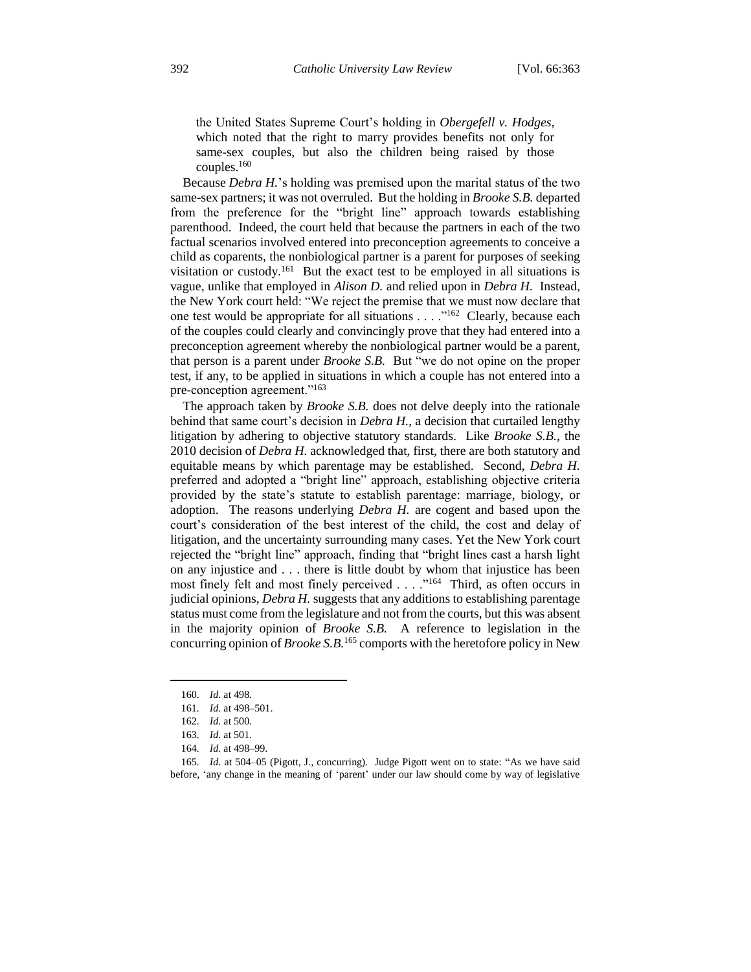the United States Supreme Court's holding in *Obergefell v. Hodges*, which noted that the right to marry provides benefits not only for same-sex couples, but also the children being raised by those couples.<sup>160</sup>

Because *Debra H.*'s holding was premised upon the marital status of the two same-sex partners; it was not overruled. But the holding in *Brooke S.B.* departed from the preference for the "bright line" approach towards establishing parenthood. Indeed, the court held that because the partners in each of the two factual scenarios involved entered into preconception agreements to conceive a child as coparents, the nonbiological partner is a parent for purposes of seeking visitation or custody.<sup>161</sup> But the exact test to be employed in all situations is vague, unlike that employed in *Alison D.* and relied upon in *Debra H.* Instead, the New York court held: "We reject the premise that we must now declare that one test would be appropriate for all situations . . . . "<sup>162</sup> Clearly, because each of the couples could clearly and convincingly prove that they had entered into a preconception agreement whereby the nonbiological partner would be a parent, that person is a parent under *Brooke S.B.* But "we do not opine on the proper test, if any, to be applied in situations in which a couple has not entered into a pre-conception agreement."<sup>163</sup>

The approach taken by *Brooke S.B.* does not delve deeply into the rationale behind that same court's decision in *Debra H.*, a decision that curtailed lengthy litigation by adhering to objective statutory standards. Like *Brooke S.B.*, the 2010 decision of *Debra H.* acknowledged that, first, there are both statutory and equitable means by which parentage may be established. Second, *Debra H.* preferred and adopted a "bright line" approach, establishing objective criteria provided by the state's statute to establish parentage: marriage, biology, or adoption. The reasons underlying *Debra H.* are cogent and based upon the court's consideration of the best interest of the child, the cost and delay of litigation, and the uncertainty surrounding many cases. Yet the New York court rejected the "bright line" approach, finding that "bright lines cast a harsh light on any injustice and . . . there is little doubt by whom that injustice has been most finely felt and most finely perceived . . . . "<sup>164</sup> Third, as often occurs in judicial opinions, *Debra H.* suggests that any additions to establishing parentage status must come from the legislature and not from the courts, but this was absent in the majority opinion of *Brooke S.B.* A reference to legislation in the concurring opinion of *Brooke S.B.*<sup>165</sup> comports with the heretofore policy in New

<sup>160</sup>*. Id.* at 498.

<sup>161</sup>*. Id.* at 498–501.

<sup>162</sup>*. Id.* at 500.

<sup>163</sup>*. Id.* at 501.

<sup>164</sup>*. Id.* at 498–99.

<sup>165</sup>*. Id.* at 504–05 (Pigott, J., concurring). Judge Pigott went on to state: "As we have said before, 'any change in the meaning of 'parent' under our law should come by way of legislative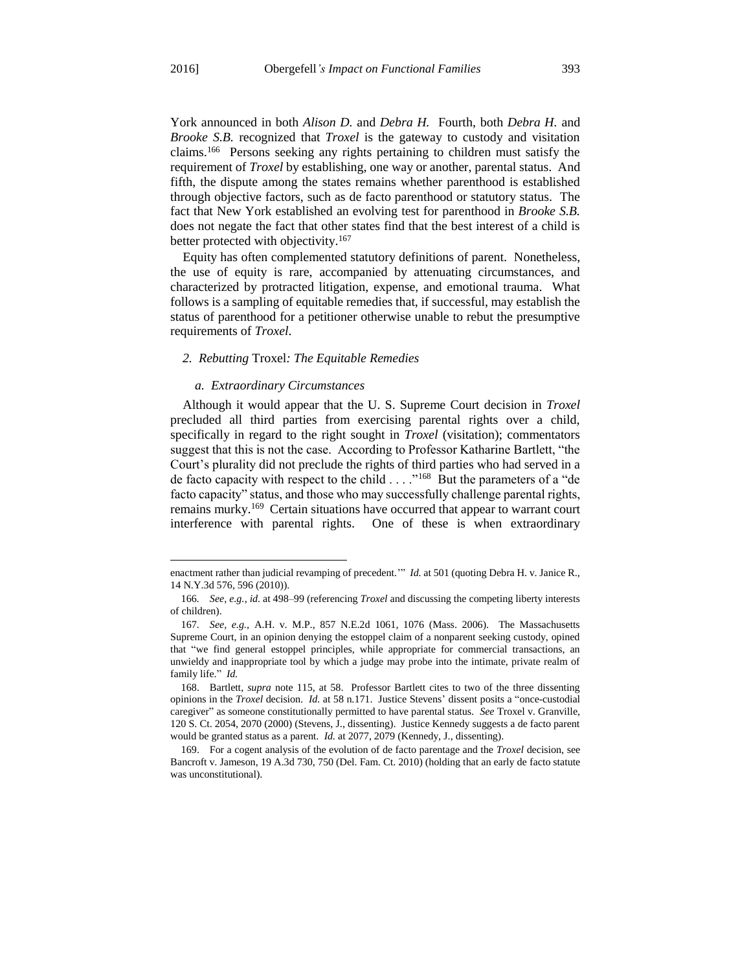York announced in both *Alison D.* and *Debra H.* Fourth, both *Debra H.* and *Brooke S.B.* recognized that *Troxel* is the gateway to custody and visitation claims.<sup>166</sup> Persons seeking any rights pertaining to children must satisfy the requirement of *Troxel* by establishing, one way or another, parental status. And fifth, the dispute among the states remains whether parenthood is established through objective factors, such as de facto parenthood or statutory status. The fact that New York established an evolving test for parenthood in *Brooke S.B.* does not negate the fact that other states find that the best interest of a child is better protected with objectivity.<sup>167</sup>

Equity has often complemented statutory definitions of parent. Nonetheless, the use of equity is rare, accompanied by attenuating circumstances, and characterized by protracted litigation, expense, and emotional trauma. What follows is a sampling of equitable remedies that, if successful, may establish the status of parenthood for a petitioner otherwise unable to rebut the presumptive requirements of *Troxel*.

#### *2. Rebutting* Troxel*: The Equitable Remedies*

#### *a. Extraordinary Circumstances*

Although it would appear that the U. S. Supreme Court decision in *Troxel*  precluded all third parties from exercising parental rights over a child, specifically in regard to the right sought in *Troxel* (visitation); commentators suggest that this is not the case. According to Professor Katharine Bartlett, "the Court's plurality did not preclude the rights of third parties who had served in a de facto capacity with respect to the child . . . ."<sup>168</sup> But the parameters of a "de facto capacity" status, and those who may successfully challenge parental rights, remains murky.<sup>169</sup> Certain situations have occurred that appear to warrant court interference with parental rights. One of these is when extraordinary

enactment rather than judicial revamping of precedent.'" *Id.* at 501 (quoting Debra H. v. Janice R., 14 N.Y.3d 576, 596 (2010)).

<sup>166</sup>*. See, e.g.*, *id.* at 498–99 (referencing *Troxel* and discussing the competing liberty interests of children).

<sup>167</sup>*. See, e.g.*, A.H. v. M.P., 857 N.E.2d 1061, 1076 (Mass. 2006). The Massachusetts Supreme Court, in an opinion denying the estoppel claim of a nonparent seeking custody, opined that "we find general estoppel principles, while appropriate for commercial transactions, an unwieldy and inappropriate tool by which a judge may probe into the intimate, private realm of family life." *Id.*

<sup>168.</sup> Bartlett, *supra* note 115, at 58. Professor Bartlett cites to two of the three dissenting opinions in the *Troxel* decision. *Id.* at 58 n.171. Justice Stevens' dissent posits a "once-custodial caregiver" as someone constitutionally permitted to have parental status. *See* Troxel v. Granville, 120 S. Ct. 2054, 2070 (2000) (Stevens, J., dissenting). Justice Kennedy suggests a de facto parent would be granted status as a parent. *Id.* at 2077, 2079 (Kennedy, J., dissenting).

<sup>169.</sup> For a cogent analysis of the evolution of de facto parentage and the *Troxel* decision, see Bancroft v. Jameson, 19 A.3d 730, 750 (Del. Fam. Ct. 2010) (holding that an early de facto statute was unconstitutional).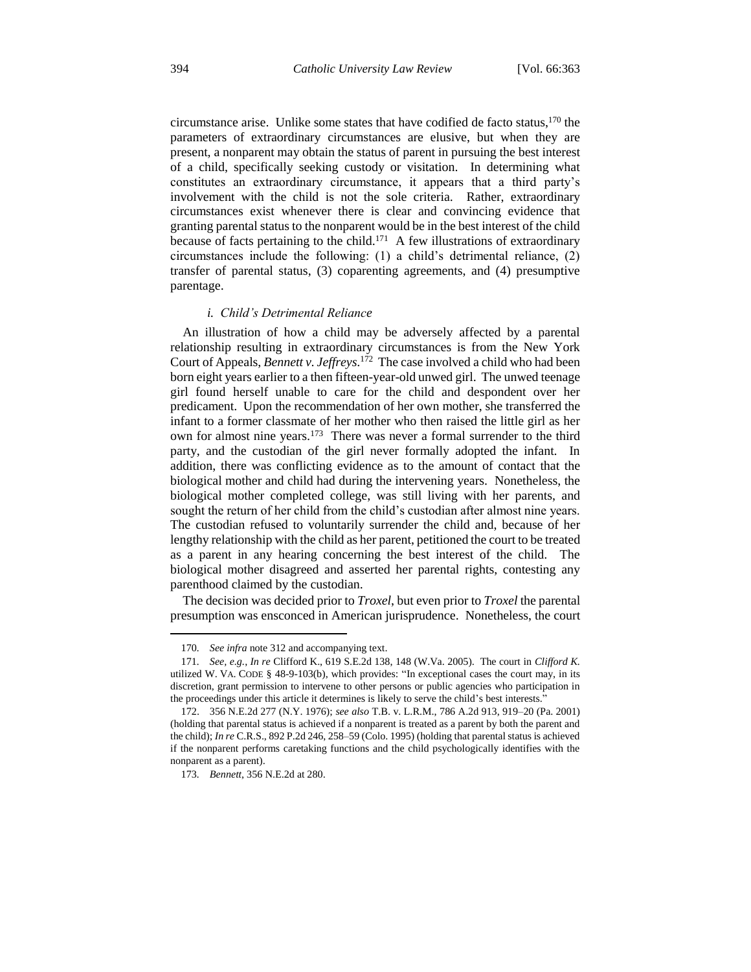circumstance arise. Unlike some states that have codified de facto status, $170$  the parameters of extraordinary circumstances are elusive, but when they are present, a nonparent may obtain the status of parent in pursuing the best interest of a child, specifically seeking custody or visitation. In determining what constitutes an extraordinary circumstance, it appears that a third party's involvement with the child is not the sole criteria. Rather, extraordinary circumstances exist whenever there is clear and convincing evidence that granting parental status to the nonparent would be in the best interest of the child because of facts pertaining to the child.<sup>171</sup> A few illustrations of extraordinary circumstances include the following: (1) a child's detrimental reliance, (2) transfer of parental status, (3) coparenting agreements, and (4) presumptive parentage.

#### *i. Child's Detrimental Reliance*

An illustration of how a child may be adversely affected by a parental relationship resulting in extraordinary circumstances is from the New York Court of Appeals, *Bennett v. Jeffreys*. 172 The case involved a child who had been born eight years earlier to a then fifteen-year-old unwed girl. The unwed teenage girl found herself unable to care for the child and despondent over her predicament. Upon the recommendation of her own mother, she transferred the infant to a former classmate of her mother who then raised the little girl as her own for almost nine years.<sup>173</sup> There was never a formal surrender to the third party, and the custodian of the girl never formally adopted the infant. In addition, there was conflicting evidence as to the amount of contact that the biological mother and child had during the intervening years. Nonetheless, the biological mother completed college, was still living with her parents, and sought the return of her child from the child's custodian after almost nine years. The custodian refused to voluntarily surrender the child and, because of her lengthy relationship with the child as her parent, petitioned the court to be treated as a parent in any hearing concerning the best interest of the child. The biological mother disagreed and asserted her parental rights, contesting any parenthood claimed by the custodian.

The decision was decided prior to *Troxel*, but even prior to *Troxel* the parental presumption was ensconced in American jurisprudence. Nonetheless, the court

<sup>170</sup>*. See infra* note 312 and accompanying text.

<sup>171</sup>*. See, e.g.*, *In re* Clifford K., 619 S.E.2d 138, 148 (W.Va. 2005). The court in *Clifford K.* utilized W. VA. CODE  $\S$  48-9-103(b), which provides: "In exceptional cases the court may, in its discretion, grant permission to intervene to other persons or public agencies who participation in the proceedings under this article it determines is likely to serve the child's best interests."

<sup>172.</sup> 356 N.E.2d 277 (N.Y. 1976); *see also* T.B. v. L.R.M., 786 A.2d 913, 919–20 (Pa. 2001) (holding that parental status is achieved if a nonparent is treated as a parent by both the parent and the child); *In re* C.R.S., 892 P.2d 246, 258–59 (Colo. 1995) (holding that parental status is achieved if the nonparent performs caretaking functions and the child psychologically identifies with the nonparent as a parent).

<sup>173</sup>*. Bennett*, 356 N.E.2d at 280.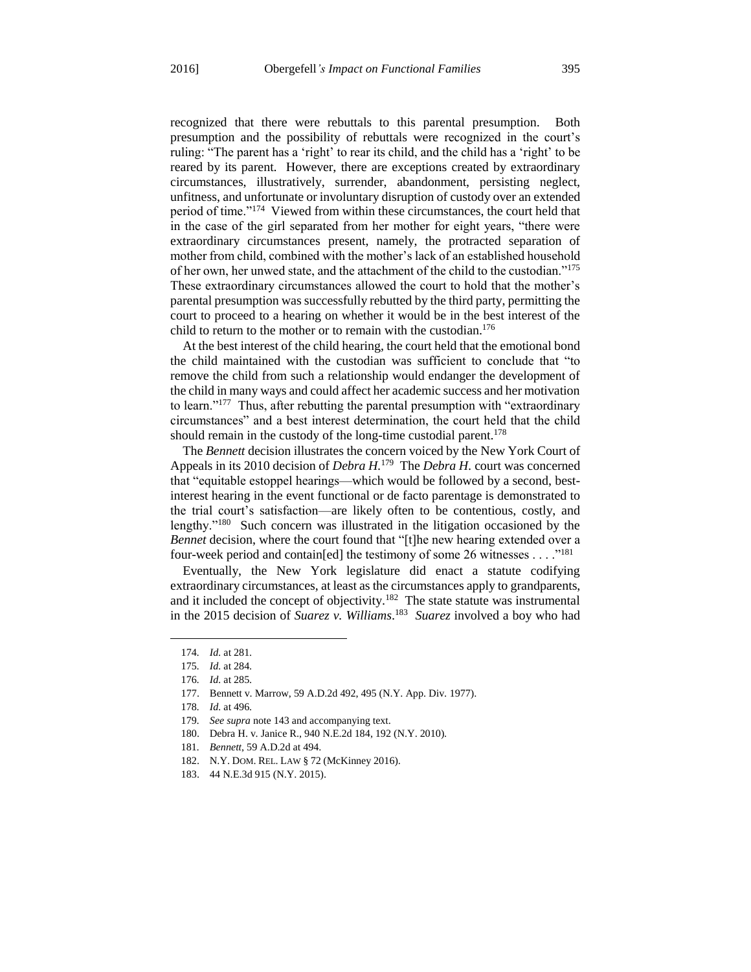recognized that there were rebuttals to this parental presumption. Both presumption and the possibility of rebuttals were recognized in the court's ruling: "The parent has a 'right' to rear its child, and the child has a 'right' to be reared by its parent. However, there are exceptions created by extraordinary circumstances, illustratively, surrender, abandonment, persisting neglect, unfitness, and unfortunate or involuntary disruption of custody over an extended period of time."<sup>174</sup> Viewed from within these circumstances, the court held that in the case of the girl separated from her mother for eight years, "there were extraordinary circumstances present, namely, the protracted separation of mother from child, combined with the mother's lack of an established household of her own, her unwed state, and the attachment of the child to the custodian."<sup>175</sup> These extraordinary circumstances allowed the court to hold that the mother's parental presumption was successfully rebutted by the third party, permitting the court to proceed to a hearing on whether it would be in the best interest of the child to return to the mother or to remain with the custodian.<sup>176</sup>

At the best interest of the child hearing, the court held that the emotional bond the child maintained with the custodian was sufficient to conclude that "to remove the child from such a relationship would endanger the development of the child in many ways and could affect her academic success and her motivation to learn."<sup>177</sup> Thus, after rebutting the parental presumption with "extraordinary circumstances" and a best interest determination, the court held that the child should remain in the custody of the long-time custodial parent.<sup>178</sup>

The *Bennett* decision illustrates the concern voiced by the New York Court of Appeals in its 2010 decision of *Debra H.*<sup>179</sup> The *Debra H.* court was concerned that "equitable estoppel hearings—which would be followed by a second, bestinterest hearing in the event functional or de facto parentage is demonstrated to the trial court's satisfaction—are likely often to be contentious, costly, and lengthy."<sup>180</sup> Such concern was illustrated in the litigation occasioned by the *Bennet* decision, where the court found that "[t]he new hearing extended over a four-week period and contain[ed] the testimony of some 26 witnesses . . . ."<sup>181</sup>

Eventually, the New York legislature did enact a statute codifying extraordinary circumstances, at least as the circumstances apply to grandparents, and it included the concept of objectivity.<sup>182</sup> The state statute was instrumental in the 2015 decision of *Suarez v. Williams*. 183  *Suarez* involved a boy who had

- 180. Debra H. v. Janice R., 940 N.E.2d 184, 192 (N.Y. 2010).
- 181*. Bennett*, 59 A.D.2d at 494.
- 182. N.Y. DOM. REL. LAW § 72 (McKinney 2016).
- 183. 44 N.E.3d 915 (N.Y. 2015).

<sup>174</sup>*. Id.* at 281.

<sup>175</sup>*. Id.* at 284.

<sup>176</sup>*. Id.* at 285.

<sup>177.</sup> Bennett v. Marrow, 59 A.D.2d 492, 495 (N.Y. App. Div. 1977).

<sup>178</sup>*. Id.* at 496.

<sup>179</sup>*. See supra* note 143 and accompanying text.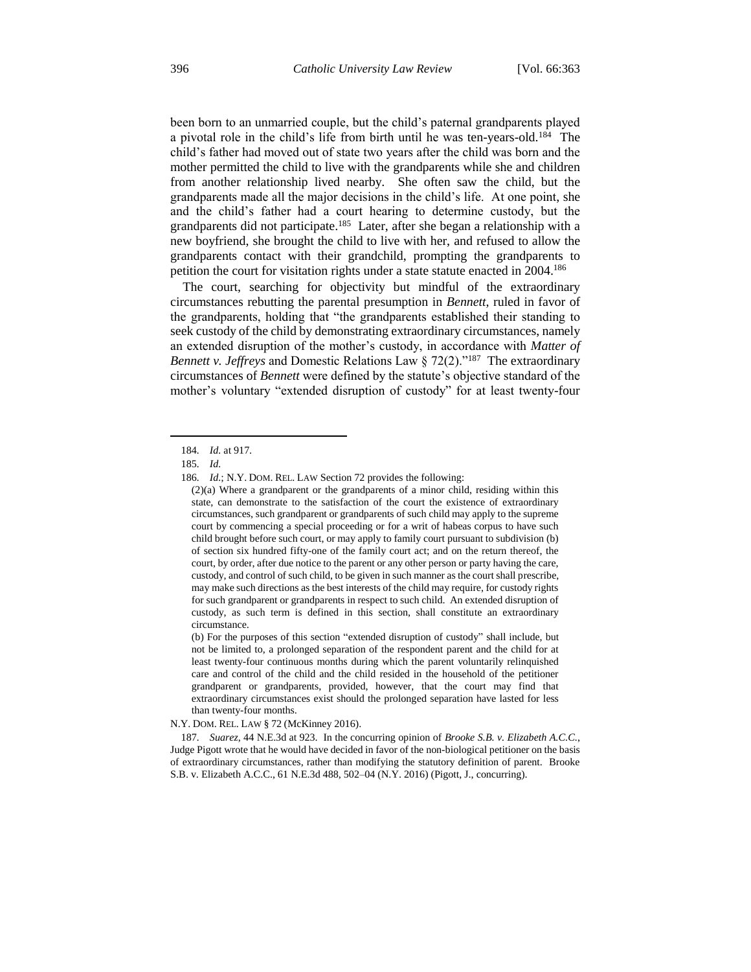been born to an unmarried couple, but the child's paternal grandparents played a pivotal role in the child's life from birth until he was ten-years-old.<sup>184</sup> The child's father had moved out of state two years after the child was born and the mother permitted the child to live with the grandparents while she and children from another relationship lived nearby. She often saw the child, but the grandparents made all the major decisions in the child's life. At one point, she and the child's father had a court hearing to determine custody, but the grandparents did not participate.<sup>185</sup> Later, after she began a relationship with a new boyfriend, she brought the child to live with her, and refused to allow the grandparents contact with their grandchild, prompting the grandparents to petition the court for visitation rights under a state statute enacted in 2004.<sup>186</sup>

The court, searching for objectivity but mindful of the extraordinary circumstances rebutting the parental presumption in *Bennett*, ruled in favor of the grandparents, holding that "the grandparents established their standing to seek custody of the child by demonstrating extraordinary circumstances, namely an extended disruption of the mother's custody, in accordance with *Matter of Bennett v. Jeffreys* and Domestic Relations Law § 72(2)."<sup>187</sup> The extraordinary circumstances of *Bennett* were defined by the statute's objective standard of the mother's voluntary "extended disruption of custody" for at least twenty-four

<sup>184</sup>*. Id.* at 917.

<sup>185</sup>*. Id.*

<sup>186</sup>*. Id.*; N.Y. DOM. REL. LAW Section 72 provides the following:

<sup>(2)(</sup>a) Where a grandparent or the grandparents of a minor child, residing within this state, can demonstrate to the satisfaction of the court the existence of extraordinary circumstances, such grandparent or grandparents of such child may apply to the supreme court by commencing a special proceeding or for a writ of habeas corpus to have such child brought before such court, or may apply to family court pursuant to subdivision (b) of section six hundred fifty-one of the family court act; and on the return thereof, the court, by order, after due notice to the parent or any other person or party having the care, custody, and control of such child, to be given in such manner as the court shall prescribe, may make such directions as the best interests of the child may require, for custody rights for such grandparent or grandparents in respect to such child. An extended disruption of custody, as such term is defined in this section, shall constitute an extraordinary circumstance.

<sup>(</sup>b) For the purposes of this section "extended disruption of custody" shall include, but not be limited to, a prolonged separation of the respondent parent and the child for at least twenty-four continuous months during which the parent voluntarily relinquished care and control of the child and the child resided in the household of the petitioner grandparent or grandparents, provided, however, that the court may find that extraordinary circumstances exist should the prolonged separation have lasted for less than twenty-four months.

N.Y. DOM. REL. LAW § 72 (McKinney 2016).

<sup>187</sup>*. Suarez*, 44 N.E.3d at 923. In the concurring opinion of *Brooke S.B. v. Elizabeth A.C.C.*, Judge Pigott wrote that he would have decided in favor of the non-biological petitioner on the basis of extraordinary circumstances, rather than modifying the statutory definition of parent. Brooke S.B. v. Elizabeth A.C.C., 61 N.E.3d 488, 502–04 (N.Y. 2016) (Pigott, J., concurring).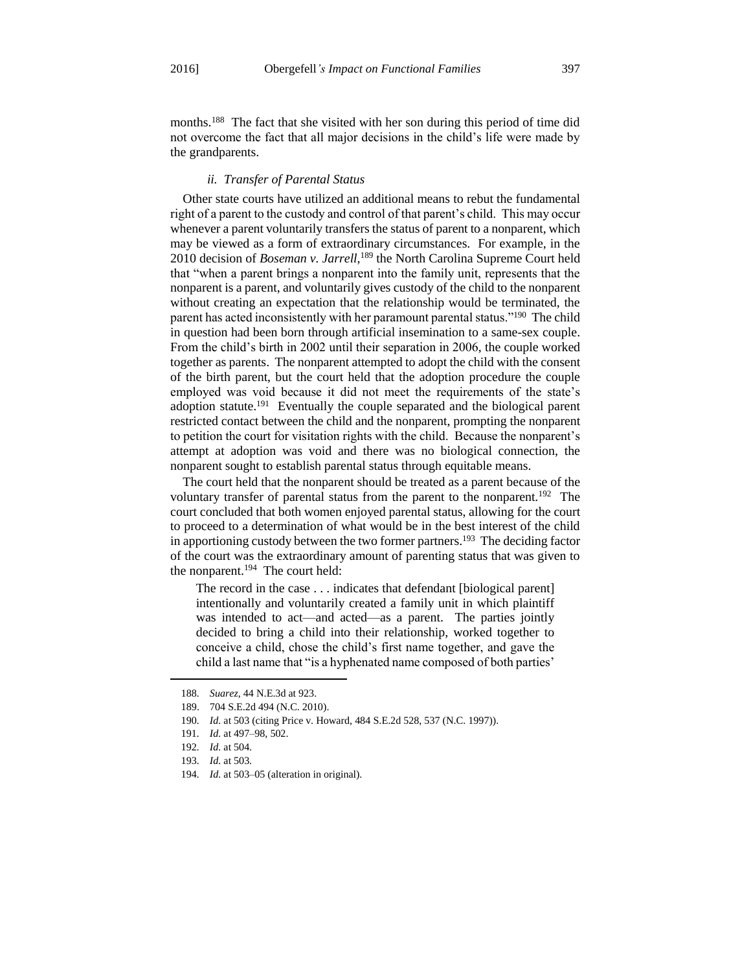months.<sup>188</sup> The fact that she visited with her son during this period of time did not overcome the fact that all major decisions in the child's life were made by the grandparents.

### *ii. Transfer of Parental Status*

Other state courts have utilized an additional means to rebut the fundamental right of a parent to the custody and control of that parent's child. This may occur whenever a parent voluntarily transfers the status of parent to a nonparent, which may be viewed as a form of extraordinary circumstances. For example, in the 2010 decision of *Boseman v. Jarrell*, <sup>189</sup> the North Carolina Supreme Court held that "when a parent brings a nonparent into the family unit, represents that the nonparent is a parent, and voluntarily gives custody of the child to the nonparent without creating an expectation that the relationship would be terminated, the parent has acted inconsistently with her paramount parental status."<sup>190</sup> The child in question had been born through artificial insemination to a same-sex couple. From the child's birth in 2002 until their separation in 2006, the couple worked together as parents. The nonparent attempted to adopt the child with the consent of the birth parent, but the court held that the adoption procedure the couple employed was void because it did not meet the requirements of the state's adoption statute.<sup>191</sup> Eventually the couple separated and the biological parent restricted contact between the child and the nonparent, prompting the nonparent to petition the court for visitation rights with the child. Because the nonparent's attempt at adoption was void and there was no biological connection, the nonparent sought to establish parental status through equitable means.

The court held that the nonparent should be treated as a parent because of the voluntary transfer of parental status from the parent to the nonparent.<sup>192</sup> The court concluded that both women enjoyed parental status, allowing for the court to proceed to a determination of what would be in the best interest of the child in apportioning custody between the two former partners.<sup>193</sup> The deciding factor of the court was the extraordinary amount of parenting status that was given to the nonparent.<sup>194</sup> The court held:

The record in the case . . . indicates that defendant [biological parent] intentionally and voluntarily created a family unit in which plaintiff was intended to act—and acted—as a parent. The parties jointly decided to bring a child into their relationship, worked together to conceive a child, chose the child's first name together, and gave the child a last name that "is a hyphenated name composed of both parties'

<sup>188</sup>*. Suarez*, 44 N.E.3d at 923.

<sup>189.</sup> 704 S.E.2d 494 (N.C. 2010).

<sup>190</sup>*. Id.* at 503 (citing Price v. Howard, 484 S.E.2d 528, 537 (N.C. 1997)).

<sup>191</sup>*. Id.* at 497–98, 502.

<sup>192</sup>*. Id.* at 504.

<sup>193</sup>*. Id.* at 503.

<sup>194</sup>*. Id.* at 503–05 (alteration in original).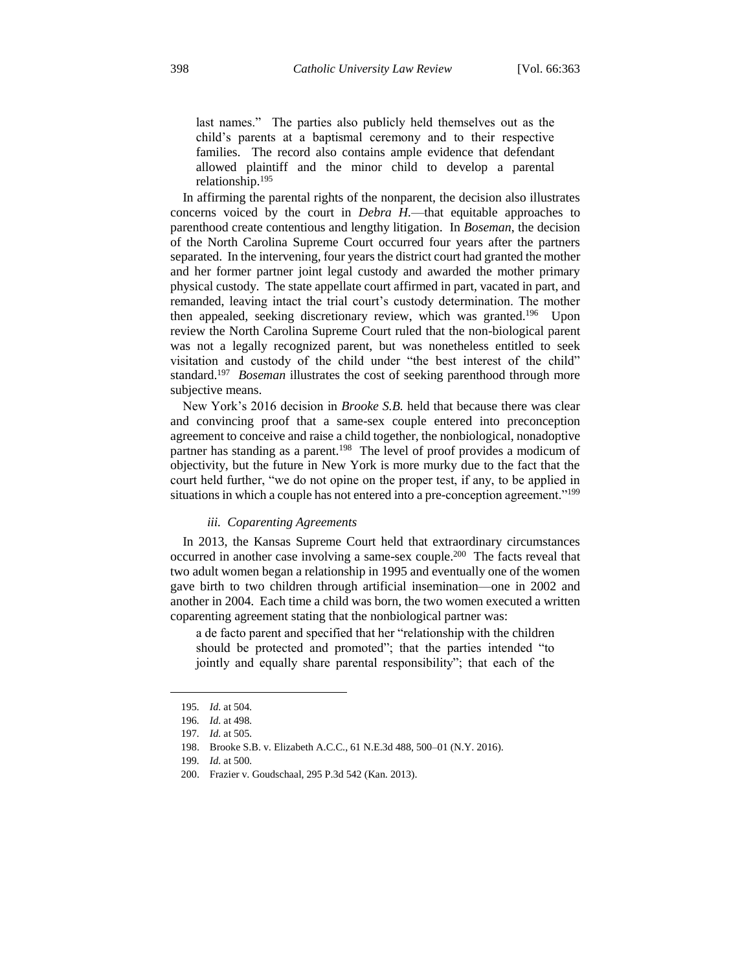last names." The parties also publicly held themselves out as the child's parents at a baptismal ceremony and to their respective families. The record also contains ample evidence that defendant allowed plaintiff and the minor child to develop a parental relationship.<sup>195</sup>

In affirming the parental rights of the nonparent, the decision also illustrates concerns voiced by the court in *Debra H.*—that equitable approaches to parenthood create contentious and lengthy litigation. In *Boseman*, the decision of the North Carolina Supreme Court occurred four years after the partners separated. In the intervening, four years the district court had granted the mother and her former partner joint legal custody and awarded the mother primary physical custody. The state appellate court affirmed in part, vacated in part, and remanded, leaving intact the trial court's custody determination. The mother then appealed, seeking discretionary review, which was granted.<sup>196</sup> Upon review the North Carolina Supreme Court ruled that the non-biological parent was not a legally recognized parent, but was nonetheless entitled to seek visitation and custody of the child under "the best interest of the child" standard.<sup>197</sup> Boseman illustrates the cost of seeking parenthood through more subjective means.

New York's 2016 decision in *Brooke S.B.* held that because there was clear and convincing proof that a same-sex couple entered into preconception agreement to conceive and raise a child together, the nonbiological, nonadoptive partner has standing as a parent.<sup>198</sup> The level of proof provides a modicum of objectivity, but the future in New York is more murky due to the fact that the court held further, "we do not opine on the proper test, if any, to be applied in situations in which a couple has not entered into a pre-conception agreement."<sup>199</sup>

#### *iii. Coparenting Agreements*

In 2013, the Kansas Supreme Court held that extraordinary circumstances occurred in another case involving a same-sex couple.<sup>200</sup> The facts reveal that two adult women began a relationship in 1995 and eventually one of the women gave birth to two children through artificial insemination—one in 2002 and another in 2004. Each time a child was born, the two women executed a written coparenting agreement stating that the nonbiological partner was:

a de facto parent and specified that her "relationship with the children should be protected and promoted"; that the parties intended "to jointly and equally share parental responsibility"; that each of the

<sup>195</sup>*. Id.* at 504.

<sup>196</sup>*. Id.* at 498.

<sup>197</sup>*. Id.* at 505.

<sup>198.</sup> Brooke S.B. v. Elizabeth A.C.C., 61 N.E.3d 488, 500–01 (N.Y. 2016).

<sup>199</sup>*. Id.* at 500.

<sup>200.</sup> Frazier v. Goudschaal, 295 P.3d 542 (Kan. 2013).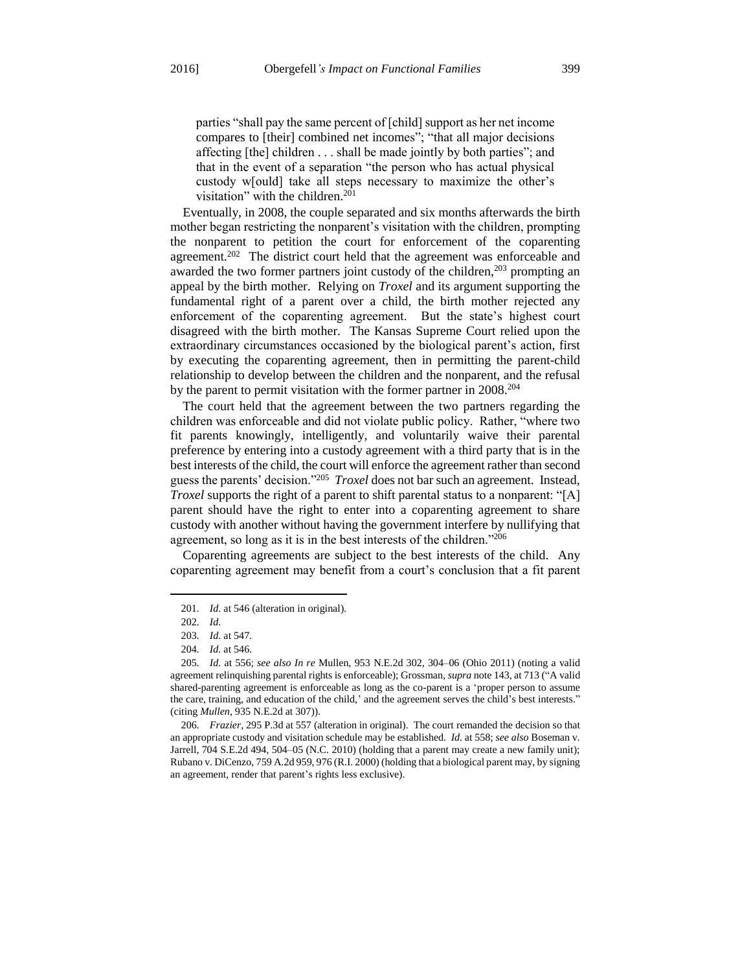parties "shall pay the same percent of [child] support as her net income compares to [their] combined net incomes"; "that all major decisions affecting [the] children . . . shall be made jointly by both parties"; and that in the event of a separation "the person who has actual physical custody w[ould] take all steps necessary to maximize the other's visitation" with the children.<sup>201</sup>

Eventually, in 2008, the couple separated and six months afterwards the birth mother began restricting the nonparent's visitation with the children, prompting the nonparent to petition the court for enforcement of the coparenting agreement.<sup>202</sup> The district court held that the agreement was enforceable and awarded the two former partners joint custody of the children,<sup>203</sup> prompting an appeal by the birth mother. Relying on *Troxel* and its argument supporting the fundamental right of a parent over a child, the birth mother rejected any enforcement of the coparenting agreement. But the state's highest court disagreed with the birth mother. The Kansas Supreme Court relied upon the extraordinary circumstances occasioned by the biological parent's action, first by executing the coparenting agreement, then in permitting the parent-child relationship to develop between the children and the nonparent, and the refusal by the parent to permit visitation with the former partner in 2008.<sup>204</sup>

The court held that the agreement between the two partners regarding the children was enforceable and did not violate public policy. Rather, "where two fit parents knowingly, intelligently, and voluntarily waive their parental preference by entering into a custody agreement with a third party that is in the best interests of the child, the court will enforce the agreement rather than second guess the parents' decision."<sup>205</sup> *Troxel* does not bar such an agreement. Instead, *Troxel* supports the right of a parent to shift parental status to a nonparent: "[A] parent should have the right to enter into a coparenting agreement to share custody with another without having the government interfere by nullifying that agreement, so long as it is in the best interests of the children."<sup>206</sup>

Coparenting agreements are subject to the best interests of the child. Any coparenting agreement may benefit from a court's conclusion that a fit parent

<sup>201</sup>*. Id.* at 546 (alteration in original).

<sup>202</sup>*. Id.*

<sup>203</sup>*. Id.* at 547.

<sup>204</sup>*. Id.* at 546.

<sup>205</sup>*. Id.* at 556; *see also In re* Mullen, 953 N.E.2d 302, 304–06 (Ohio 2011) (noting a valid agreement relinquishing parental rights is enforceable); Grossman, *supra* note 143, at 713 ("A valid shared-parenting agreement is enforceable as long as the co-parent is a 'proper person to assume the care, training, and education of the child,' and the agreement serves the child's best interests." (citing *Mullen*, 935 N.E.2d at 307)).

<sup>206</sup>*. Frazier*, 295 P.3d at 557 (alteration in original). The court remanded the decision so that an appropriate custody and visitation schedule may be established. *Id.* at 558; *see also* Boseman v. Jarrell, 704 S.E.2d 494, 504–05 (N.C. 2010) (holding that a parent may create a new family unit); Rubano v. DiCenzo, 759 A.2d 959, 976 (R.I. 2000) (holding that a biological parent may, by signing an agreement, render that parent's rights less exclusive).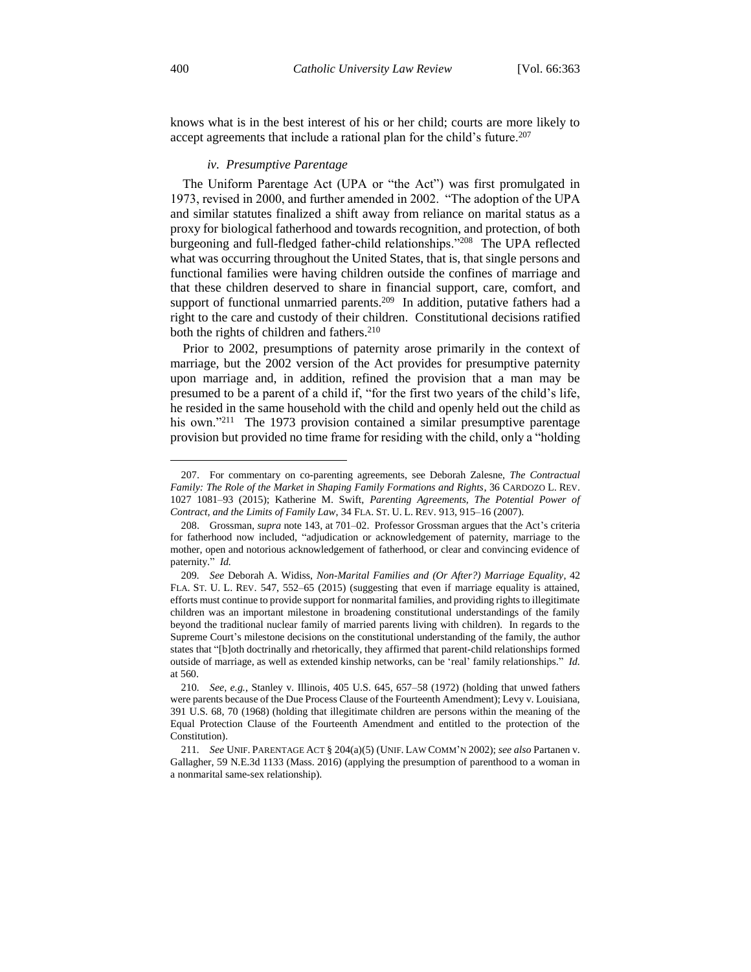knows what is in the best interest of his or her child; courts are more likely to accept agreements that include a rational plan for the child's future.<sup>207</sup>

### *iv. Presumptive Parentage*

The Uniform Parentage Act (UPA or "the Act") was first promulgated in 1973, revised in 2000, and further amended in 2002. "The adoption of the UPA and similar statutes finalized a shift away from reliance on marital status as a proxy for biological fatherhood and towards recognition, and protection, of both burgeoning and full-fledged father-child relationships."<sup>208</sup> The UPA reflected what was occurring throughout the United States, that is, that single persons and functional families were having children outside the confines of marriage and that these children deserved to share in financial support, care, comfort, and support of functional unmarried parents.<sup>209</sup> In addition, putative fathers had a right to the care and custody of their children. Constitutional decisions ratified both the rights of children and fathers.<sup>210</sup>

Prior to 2002, presumptions of paternity arose primarily in the context of marriage, but the 2002 version of the Act provides for presumptive paternity upon marriage and, in addition, refined the provision that a man may be presumed to be a parent of a child if, "for the first two years of the child's life, he resided in the same household with the child and openly held out the child as his own."<sup>211</sup> The 1973 provision contained a similar presumptive parentage provision but provided no time frame for residing with the child, only a "holding

<sup>207.</sup> For commentary on co-parenting agreements, see Deborah Zalesne, *The Contractual Family: The Role of the Market in Shaping Family Formations and Rights*, 36 CARDOZO L. REV. 1027 1081–93 (2015); Katherine M. Swift, *Parenting Agreements, The Potential Power of Contract, and the Limits of Family Law*, 34 FLA. ST. U. L. REV. 913, 915–16 (2007).

<sup>208.</sup> Grossman, *supra* note 143, at 701–02. Professor Grossman argues that the Act's criteria for fatherhood now included, "adjudication or acknowledgement of paternity, marriage to the mother, open and notorious acknowledgement of fatherhood, or clear and convincing evidence of paternity." *Id.*

<sup>209</sup>*. See* Deborah A. Widiss, *Non-Marital Families and (Or After?) Marriage Equality*, 42 FLA. ST. U. L. REV. 547, 552–65 (2015) (suggesting that even if marriage equality is attained, efforts must continue to provide support for nonmarital families, and providing rights to illegitimate children was an important milestone in broadening constitutional understandings of the family beyond the traditional nuclear family of married parents living with children). In regards to the Supreme Court's milestone decisions on the constitutional understanding of the family, the author states that "[b]oth doctrinally and rhetorically, they affirmed that parent-child relationships formed outside of marriage, as well as extended kinship networks, can be 'real' family relationships." *Id.* at 560.

<sup>210</sup>*. See, e.g.*, Stanley v. Illinois, 405 U.S. 645, 657–58 (1972) (holding that unwed fathers were parents because of the Due Process Clause of the Fourteenth Amendment); Levy v. Louisiana, 391 U.S. 68, 70 (1968) (holding that illegitimate children are persons within the meaning of the Equal Protection Clause of the Fourteenth Amendment and entitled to the protection of the Constitution).

<sup>211</sup>*. See* UNIF. PARENTAGE ACT § 204(a)(5) (UNIF. LAW COMM'N 2002); *see also* Partanen v. Gallagher, 59 N.E.3d 1133 (Mass. 2016) (applying the presumption of parenthood to a woman in a nonmarital same-sex relationship).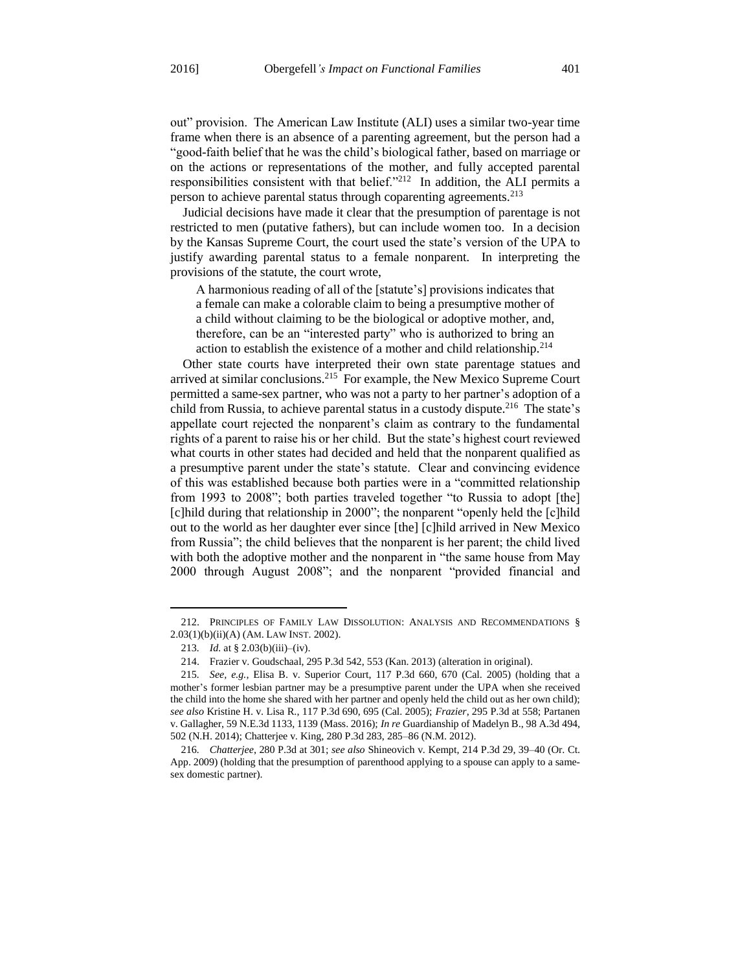out" provision. The American Law Institute (ALI) uses a similar two-year time frame when there is an absence of a parenting agreement, but the person had a "good-faith belief that he was the child's biological father, based on marriage or on the actions or representations of the mother, and fully accepted parental responsibilities consistent with that belief."<sup>212</sup> In addition, the ALI permits a person to achieve parental status through coparenting agreements.<sup>213</sup>

Judicial decisions have made it clear that the presumption of parentage is not restricted to men (putative fathers), but can include women too. In a decision by the Kansas Supreme Court, the court used the state's version of the UPA to justify awarding parental status to a female nonparent. In interpreting the provisions of the statute, the court wrote,

A harmonious reading of all of the [statute's] provisions indicates that a female can make a colorable claim to being a presumptive mother of a child without claiming to be the biological or adoptive mother, and, therefore, can be an "interested party" who is authorized to bring an action to establish the existence of a mother and child relationship.<sup>214</sup>

Other state courts have interpreted their own state parentage statues and arrived at similar conclusions.<sup>215</sup> For example, the New Mexico Supreme Court permitted a same-sex partner, who was not a party to her partner's adoption of a child from Russia, to achieve parental status in a custody dispute.<sup>216</sup> The state's appellate court rejected the nonparent's claim as contrary to the fundamental rights of a parent to raise his or her child. But the state's highest court reviewed what courts in other states had decided and held that the nonparent qualified as a presumptive parent under the state's statute. Clear and convincing evidence of this was established because both parties were in a "committed relationship from 1993 to 2008"; both parties traveled together "to Russia to adopt [the] [c]hild during that relationship in 2000"; the nonparent "openly held the [c]hild out to the world as her daughter ever since [the] [c]hild arrived in New Mexico from Russia"; the child believes that the nonparent is her parent; the child lived with both the adoptive mother and the nonparent in "the same house from May 2000 through August 2008"; and the nonparent "provided financial and

<sup>212.</sup> PRINCIPLES OF FAMILY LAW DISSOLUTION: ANALYSIS AND RECOMMENDATIONS § 2.03(1)(b)(ii)(A) (AM. LAW INST. 2002).

<sup>213</sup>*. Id.* at § 2.03(b)(iii)–(iv).

<sup>214.</sup> Frazier v. Goudschaal, 295 P.3d 542, 553 (Kan. 2013) (alteration in original).

<sup>215</sup>*. See, e.g.*, Elisa B. v. Superior Court, 117 P.3d 660, 670 (Cal. 2005) (holding that a mother's former lesbian partner may be a presumptive parent under the UPA when she received the child into the home she shared with her partner and openly held the child out as her own child); *see also* Kristine H. v. Lisa R., 117 P.3d 690, 695 (Cal. 2005); *Frazier*, 295 P.3d at 558; Partanen v. Gallagher, 59 N.E.3d 1133, 1139 (Mass. 2016); *In re* Guardianship of Madelyn B., 98 A.3d 494, 502 (N.H. 2014); Chatterjee v. King, 280 P.3d 283, 285–86 (N.M. 2012).

<sup>216</sup>*. Chatterjee*, 280 P.3d at 301; *see also* Shineovich v. Kempt, 214 P.3d 29, 39–40 (Or. Ct. App. 2009) (holding that the presumption of parenthood applying to a spouse can apply to a samesex domestic partner).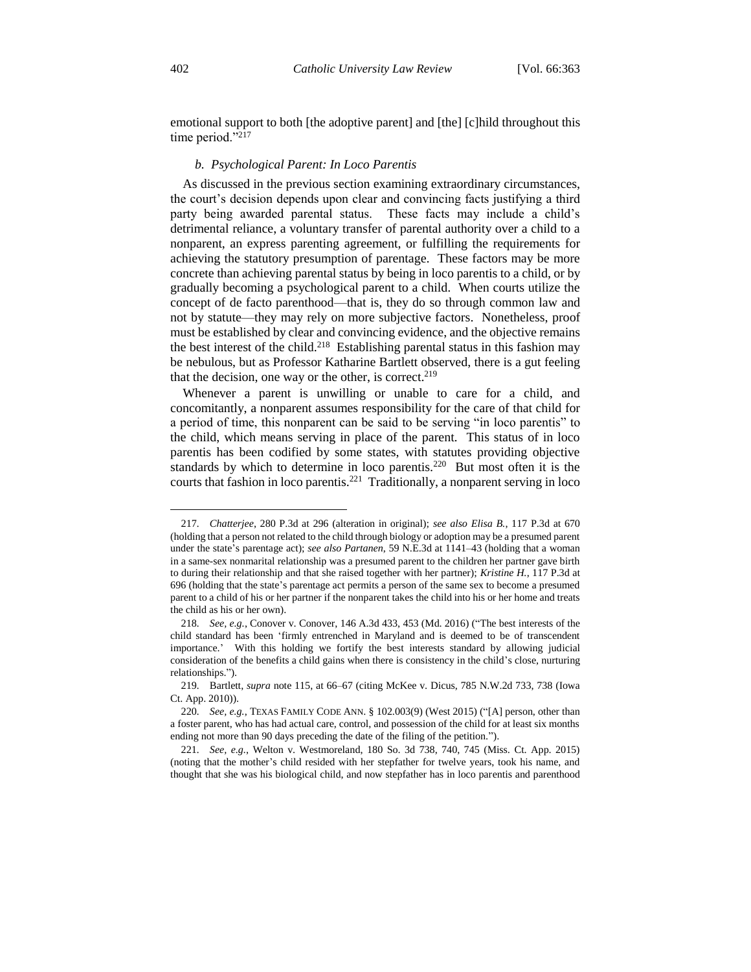emotional support to both [the adoptive parent] and [the] [c]hild throughout this time period."<sup>217</sup>

#### *b. Psychological Parent: In Loco Parentis*

As discussed in the previous section examining extraordinary circumstances, the court's decision depends upon clear and convincing facts justifying a third party being awarded parental status. These facts may include a child's detrimental reliance, a voluntary transfer of parental authority over a child to a nonparent, an express parenting agreement, or fulfilling the requirements for achieving the statutory presumption of parentage. These factors may be more concrete than achieving parental status by being in loco parentis to a child, or by gradually becoming a psychological parent to a child. When courts utilize the concept of de facto parenthood—that is, they do so through common law and not by statute—they may rely on more subjective factors. Nonetheless, proof must be established by clear and convincing evidence, and the objective remains the best interest of the child.<sup>218</sup> Establishing parental status in this fashion may be nebulous, but as Professor Katharine Bartlett observed, there is a gut feeling that the decision, one way or the other, is correct. $219$ 

Whenever a parent is unwilling or unable to care for a child, and concomitantly, a nonparent assumes responsibility for the care of that child for a period of time, this nonparent can be said to be serving "in loco parentis" to the child, which means serving in place of the parent. This status of in loco parentis has been codified by some states, with statutes providing objective standards by which to determine in loco parentis.<sup>220</sup> But most often it is the courts that fashion in loco parentis.<sup>221</sup> Traditionally, a nonparent serving in loco

<sup>217</sup>*. Chatterjee*, 280 P.3d at 296 (alteration in original); *see also Elisa B.*, 117 P.3d at 670 (holding that a person not related to the child through biology or adoption may be a presumed parent under the state's parentage act); *see also Partanen*, 59 N.E.3d at 1141–43 (holding that a woman in a same-sex nonmarital relationship was a presumed parent to the children her partner gave birth to during their relationship and that she raised together with her partner); *Kristine H.*, 117 P.3d at 696 (holding that the state's parentage act permits a person of the same sex to become a presumed parent to a child of his or her partner if the nonparent takes the child into his or her home and treats the child as his or her own).

<sup>218</sup>*. See, e.g.*, Conover v. Conover, 146 A.3d 433, 453 (Md. 2016) ("The best interests of the child standard has been 'firmly entrenched in Maryland and is deemed to be of transcendent importance.' With this holding we fortify the best interests standard by allowing judicial consideration of the benefits a child gains when there is consistency in the child's close, nurturing relationships.").

<sup>219</sup>*.* Bartlett, *supra* note 115, at 66–67 (citing McKee v. Dicus, 785 N.W.2d 733, 738 (Iowa Ct. App. 2010)).

<sup>220</sup>*. See, e.g.*, TEXAS FAMILY CODE ANN. § 102.003(9) (West 2015) ("[A] person, other than a foster parent, who has had actual care, control, and possession of the child for at least six months ending not more than 90 days preceding the date of the filing of the petition.").

<sup>221</sup>*. See, e.g.*, Welton v. Westmoreland, 180 So. 3d 738, 740, 745 (Miss. Ct. App. 2015) (noting that the mother's child resided with her stepfather for twelve years, took his name, and thought that she was his biological child, and now stepfather has in loco parentis and parenthood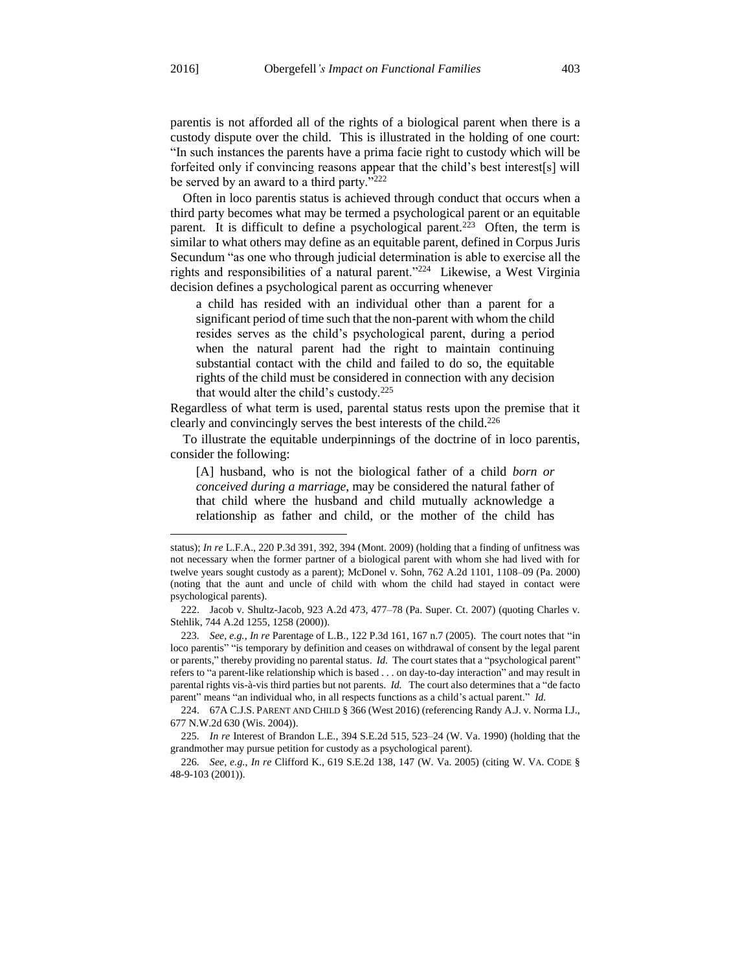$\overline{a}$ 

parentis is not afforded all of the rights of a biological parent when there is a custody dispute over the child. This is illustrated in the holding of one court: "In such instances the parents have a prima facie right to custody which will be forfeited only if convincing reasons appear that the child's best interest[s] will be served by an award to a third party."<sup>222</sup>

Often in loco parentis status is achieved through conduct that occurs when a third party becomes what may be termed a psychological parent or an equitable parent. It is difficult to define a psychological parent.<sup>223</sup> Often, the term is similar to what others may define as an equitable parent, defined in Corpus Juris Secundum "as one who through judicial determination is able to exercise all the rights and responsibilities of a natural parent."<sup>224</sup> Likewise, a West Virginia decision defines a psychological parent as occurring whenever

a child has resided with an individual other than a parent for a significant period of time such that the non-parent with whom the child resides serves as the child's psychological parent, during a period when the natural parent had the right to maintain continuing substantial contact with the child and failed to do so, the equitable rights of the child must be considered in connection with any decision that would alter the child's custody.<sup>225</sup>

Regardless of what term is used, parental status rests upon the premise that it clearly and convincingly serves the best interests of the child.<sup>226</sup>

To illustrate the equitable underpinnings of the doctrine of in loco parentis, consider the following:

[A] husband, who is not the biological father of a child *born or conceived during a marriage*, may be considered the natural father of that child where the husband and child mutually acknowledge a relationship as father and child, or the mother of the child has

status); *In re* L.F.A., 220 P.3d 391, 392, 394 (Mont. 2009) (holding that a finding of unfitness was not necessary when the former partner of a biological parent with whom she had lived with for twelve years sought custody as a parent); McDonel v. Sohn, 762 A.2d 1101, 1108–09 (Pa. 2000) (noting that the aunt and uncle of child with whom the child had stayed in contact were psychological parents).

<sup>222.</sup> Jacob v. Shultz-Jacob, 923 A.2d 473, 477–78 (Pa. Super. Ct. 2007) (quoting Charles v. Stehlik, 744 A.2d 1255, 1258 (2000)).

<sup>223</sup>*. See, e.g.*, *In re* Parentage of L.B., 122 P.3d 161, 167 n.7 (2005). The court notes that "in loco parentis" "is temporary by definition and ceases on withdrawal of consent by the legal parent or parents," thereby providing no parental status. *Id.* The court states that a "psychological parent" refers to "a parent-like relationship which is based . . . on day-to-day interaction" and may result in parental rights vis-à-vis third parties but not parents. *Id.* The court also determines that a "de facto parent" means "an individual who, in all respects functions as a child's actual parent." *Id.*

<sup>224.</sup> 67A C.J.S. PARENT AND CHILD § 366 (West 2016) (referencing Randy A.J. v. Norma I.J., 677 N.W.2d 630 (Wis. 2004)).

<sup>225</sup>*. In re* Interest of Brandon L.E., 394 S.E.2d 515, 523–24 (W. Va. 1990) (holding that the grandmother may pursue petition for custody as a psychological parent).

<sup>226</sup>*. See, e.g.*, *In re* Clifford K., 619 S.E.2d 138, 147 (W. Va. 2005) (citing W. VA. CODE § 48-9-103 (2001)).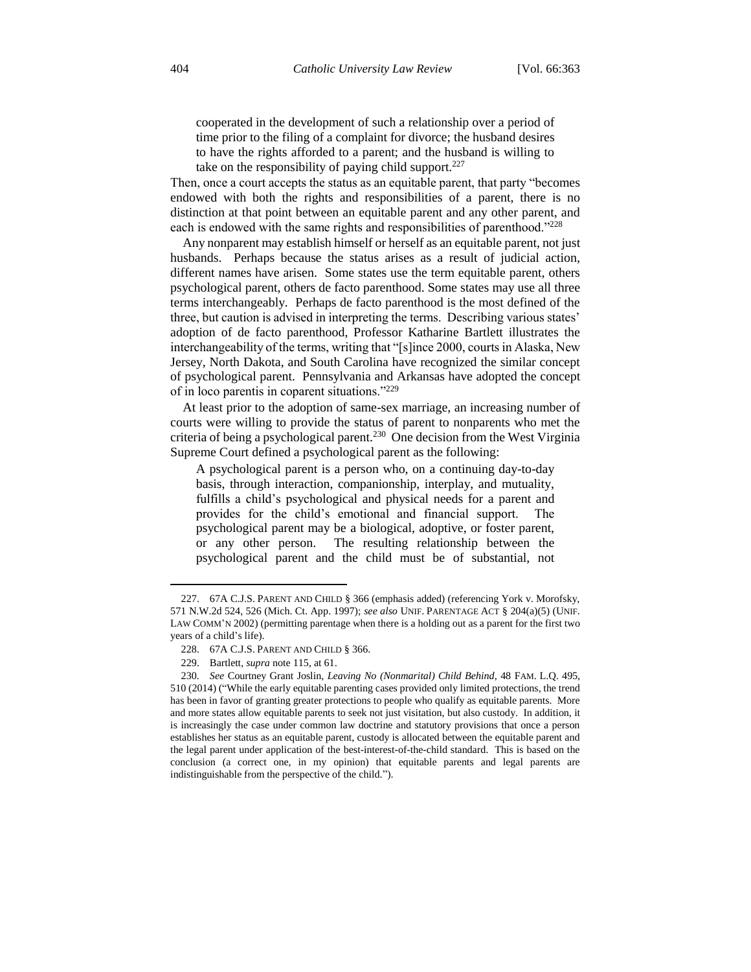cooperated in the development of such a relationship over a period of time prior to the filing of a complaint for divorce; the husband desires to have the rights afforded to a parent; and the husband is willing to take on the responsibility of paying child support. $227$ 

Then, once a court accepts the status as an equitable parent, that party "becomes endowed with both the rights and responsibilities of a parent, there is no distinction at that point between an equitable parent and any other parent, and each is endowed with the same rights and responsibilities of parenthood."<sup>228</sup>

Any nonparent may establish himself or herself as an equitable parent, not just husbands. Perhaps because the status arises as a result of judicial action, different names have arisen. Some states use the term equitable parent, others psychological parent, others de facto parenthood. Some states may use all three terms interchangeably. Perhaps de facto parenthood is the most defined of the three, but caution is advised in interpreting the terms. Describing various states' adoption of de facto parenthood, Professor Katharine Bartlett illustrates the interchangeability of the terms, writing that "[s]ince 2000, courts in Alaska, New Jersey, North Dakota, and South Carolina have recognized the similar concept of psychological parent. Pennsylvania and Arkansas have adopted the concept of in loco parentis in coparent situations."<sup>229</sup>

At least prior to the adoption of same-sex marriage, an increasing number of courts were willing to provide the status of parent to nonparents who met the criteria of being a psychological parent.<sup>230</sup> One decision from the West Virginia Supreme Court defined a psychological parent as the following:

A psychological parent is a person who, on a continuing day-to-day basis, through interaction, companionship, interplay, and mutuality, fulfills a child's psychological and physical needs for a parent and provides for the child's emotional and financial support. The psychological parent may be a biological, adoptive, or foster parent, or any other person. The resulting relationship between the psychological parent and the child must be of substantial, not

<sup>227.</sup> 67A C.J.S. PARENT AND CHILD § 366 (emphasis added) (referencing York v. Morofsky, 571 N.W.2d 524, 526 (Mich. Ct. App. 1997); *see also* UNIF. PARENTAGE ACT § 204(a)(5) (UNIF. LAW COMM'N 2002) (permitting parentage when there is a holding out as a parent for the first two years of a child's life).

<sup>228.</sup> 67A C.J.S. PARENT AND CHILD § 366.

<sup>229.</sup> Bartlett, *supra* note 115, at 61.

<sup>230</sup>*. See* Courtney Grant Joslin, *Leaving No (Nonmarital) Child Behind*, 48 FAM. L.Q. 495, 510 (2014) ("While the early equitable parenting cases provided only limited protections, the trend has been in favor of granting greater protections to people who qualify as equitable parents. More and more states allow equitable parents to seek not just visitation, but also custody. In addition, it is increasingly the case under common law doctrine and statutory provisions that once a person establishes her status as an equitable parent, custody is allocated between the equitable parent and the legal parent under application of the best-interest-of-the-child standard. This is based on the conclusion (a correct one, in my opinion) that equitable parents and legal parents are indistinguishable from the perspective of the child.").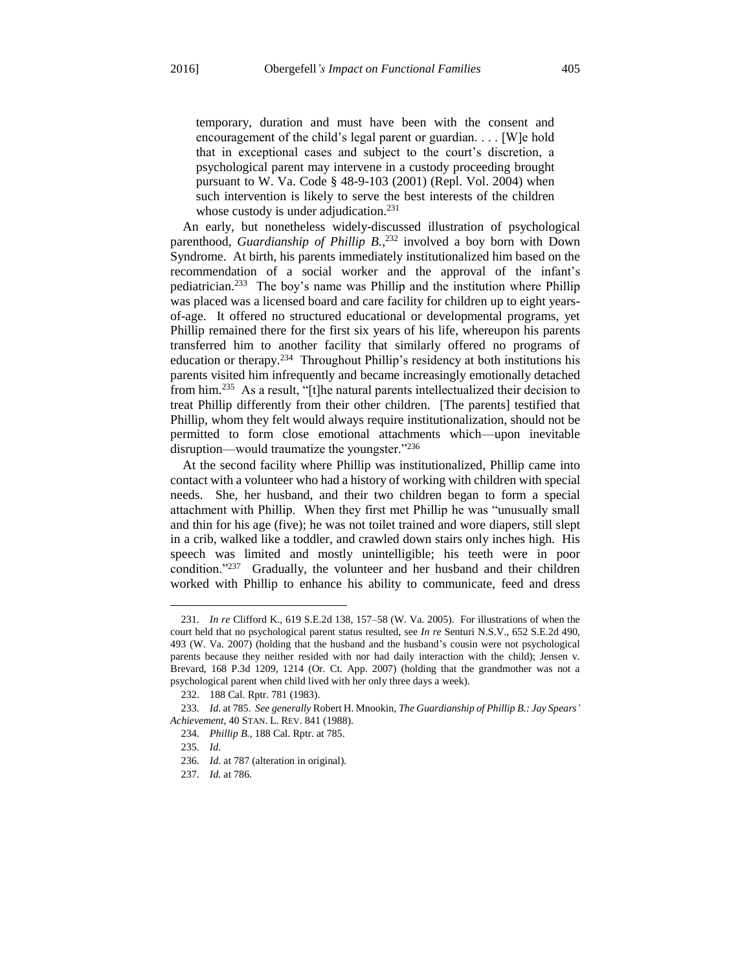temporary, duration and must have been with the consent and encouragement of the child's legal parent or guardian. . . . [W]e hold that in exceptional cases and subject to the court's discretion, a psychological parent may intervene in a custody proceeding brought pursuant to W. Va. Code § 48-9-103 (2001) (Repl. Vol. 2004) when such intervention is likely to serve the best interests of the children whose custody is under adjudication.<sup>231</sup>

An early, but nonetheless widely-discussed illustration of psychological parenthood, *Guardianship of Phillip B.*, <sup>232</sup> involved a boy born with Down Syndrome. At birth, his parents immediately institutionalized him based on the recommendation of a social worker and the approval of the infant's pediatrician.<sup>233</sup> The boy's name was Phillip and the institution where Phillip was placed was a licensed board and care facility for children up to eight yearsof-age. It offered no structured educational or developmental programs, yet Phillip remained there for the first six years of his life, whereupon his parents transferred him to another facility that similarly offered no programs of education or therapy.<sup>234</sup> Throughout Phillip's residency at both institutions his parents visited him infrequently and became increasingly emotionally detached from him.<sup>235</sup> As a result, "[t]he natural parents intellectualized their decision to treat Phillip differently from their other children. [The parents] testified that Phillip, whom they felt would always require institutionalization, should not be permitted to form close emotional attachments which—upon inevitable disruption—would traumatize the youngster."<sup>236</sup>

At the second facility where Phillip was institutionalized, Phillip came into contact with a volunteer who had a history of working with children with special needs. She, her husband, and their two children began to form a special attachment with Phillip. When they first met Phillip he was "unusually small and thin for his age (five); he was not toilet trained and wore diapers, still slept in a crib, walked like a toddler, and crawled down stairs only inches high. His speech was limited and mostly unintelligible; his teeth were in poor condition."<sup>237</sup> Gradually, the volunteer and her husband and their children worked with Phillip to enhance his ability to communicate, feed and dress

<sup>231</sup>*. In re* Clifford K., 619 S.E.2d 138, 157–58 (W. Va. 2005). For illustrations of when the court held that no psychological parent status resulted, see *In re* Senturi N.S.V., 652 S.E.2d 490, 493 (W. Va. 2007) (holding that the husband and the husband's cousin were not psychological parents because they neither resided with nor had daily interaction with the child); Jensen v. Brevard, 168 P.3d 1209, 1214 (Or. Ct. App. 2007) (holding that the grandmother was not a psychological parent when child lived with her only three days a week).

<sup>232.</sup> 188 Cal. Rptr. 781 (1983).

<sup>233</sup>*. Id.* at 785. *See generally* Robert H. Mnookin, *The Guardianship of Phillip B.: Jay Spears' Achievement*, 40 STAN. L. REV. 841 (1988).

<sup>234</sup>*. Phillip B.*, 188 Cal. Rptr. at 785.

<sup>235</sup>*. Id.*

<sup>236</sup>*. Id.* at 787 (alteration in original).

<sup>237</sup>*. Id.* at 786.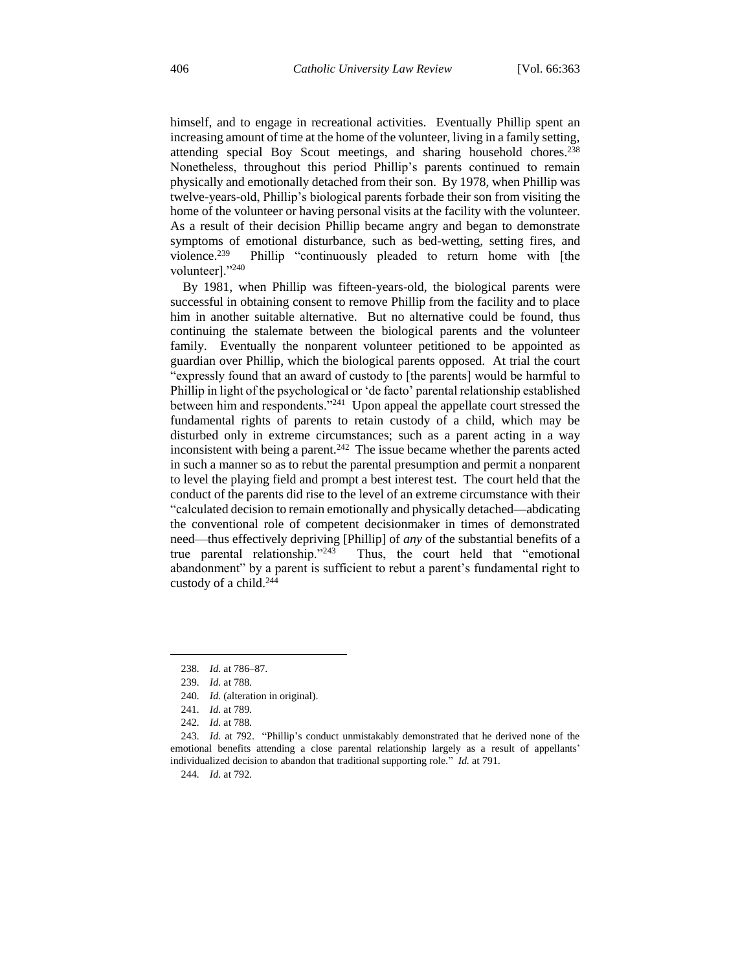himself, and to engage in recreational activities. Eventually Phillip spent an increasing amount of time at the home of the volunteer, living in a family setting, attending special Boy Scout meetings, and sharing household chores.<sup>238</sup> Nonetheless, throughout this period Phillip's parents continued to remain physically and emotionally detached from their son. By 1978, when Phillip was twelve-years-old, Phillip's biological parents forbade their son from visiting the home of the volunteer or having personal visits at the facility with the volunteer. As a result of their decision Phillip became angry and began to demonstrate symptoms of emotional disturbance, such as bed-wetting, setting fires, and violence.<sup>239</sup> Phillip "continuously pleaded to return home with [the volunteer]."<sup>240</sup>

By 1981, when Phillip was fifteen-years-old, the biological parents were successful in obtaining consent to remove Phillip from the facility and to place him in another suitable alternative. But no alternative could be found, thus continuing the stalemate between the biological parents and the volunteer family. Eventually the nonparent volunteer petitioned to be appointed as guardian over Phillip, which the biological parents opposed. At trial the court "expressly found that an award of custody to [the parents] would be harmful to Phillip in light of the psychological or 'de facto' parental relationship established between him and respondents."<sup>241</sup> Upon appeal the appellate court stressed the fundamental rights of parents to retain custody of a child, which may be disturbed only in extreme circumstances; such as a parent acting in a way inconsistent with being a parent.<sup>242</sup> The issue became whether the parents acted in such a manner so as to rebut the parental presumption and permit a nonparent to level the playing field and prompt a best interest test. The court held that the conduct of the parents did rise to the level of an extreme circumstance with their "calculated decision to remain emotionally and physically detached—abdicating the conventional role of competent decisionmaker in times of demonstrated need—thus effectively depriving [Phillip] of *any* of the substantial benefits of a true parental relationship."<sup>243</sup> Thus, the court held that "emotional abandonment" by a parent is sufficient to rebut a parent's fundamental right to custody of a child. $244$ 

 $\ddot{\phantom{a}}$ 

244*. Id.* at 792.

<sup>238</sup>*. Id.* at 786–87.

<sup>239</sup>*. Id.* at 788.

<sup>240</sup>*. Id.* (alteration in original).

<sup>241</sup>*. Id.* at 789.

<sup>242</sup>*. Id.* at 788.

<sup>243</sup>*. Id.* at 792. "Phillip's conduct unmistakably demonstrated that he derived none of the emotional benefits attending a close parental relationship largely as a result of appellants' individualized decision to abandon that traditional supporting role." *Id.* at 791.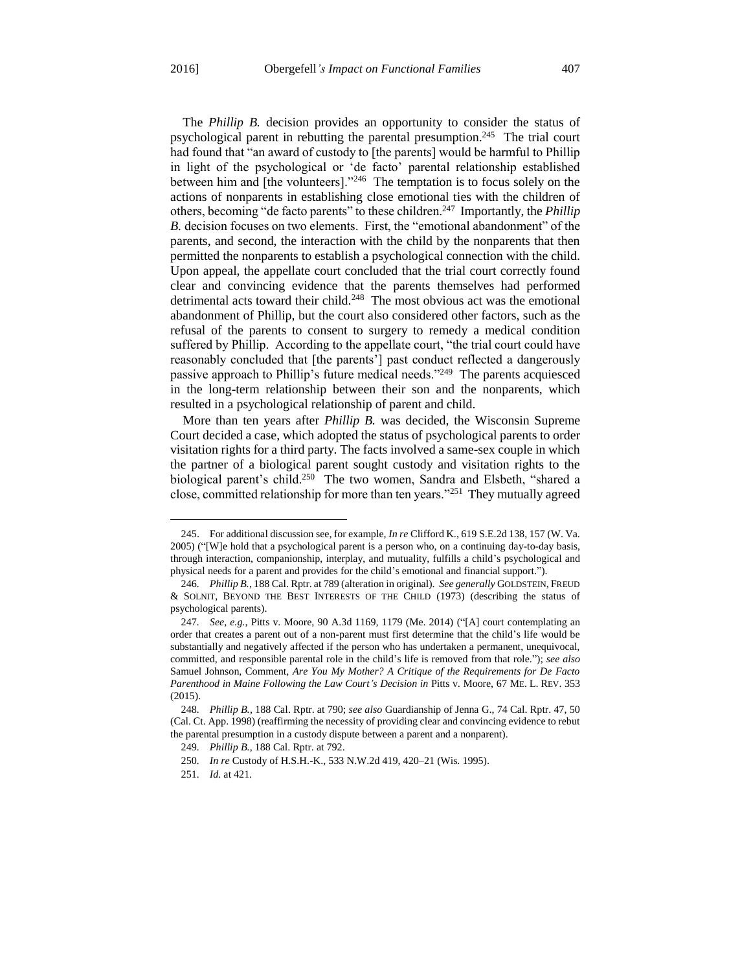The *Phillip B.* decision provides an opportunity to consider the status of psychological parent in rebutting the parental presumption.<sup>245</sup> The trial court had found that "an award of custody to [the parents] would be harmful to Phillip in light of the psychological or 'de facto' parental relationship established between him and [the volunteers]."<sup>246</sup> The temptation is to focus solely on the actions of nonparents in establishing close emotional ties with the children of others, becoming "de facto parents" to these children.<sup>247</sup> Importantly, the *Phillip B.* decision focuses on two elements. First, the "emotional abandonment" of the parents, and second, the interaction with the child by the nonparents that then permitted the nonparents to establish a psychological connection with the child. Upon appeal, the appellate court concluded that the trial court correctly found clear and convincing evidence that the parents themselves had performed detrimental acts toward their child.<sup>248</sup> The most obvious act was the emotional abandonment of Phillip, but the court also considered other factors, such as the refusal of the parents to consent to surgery to remedy a medical condition suffered by Phillip. According to the appellate court, "the trial court could have reasonably concluded that [the parents'] past conduct reflected a dangerously passive approach to Phillip's future medical needs."<sup>249</sup> The parents acquiesced in the long-term relationship between their son and the nonparents, which resulted in a psychological relationship of parent and child.

More than ten years after *Phillip B.* was decided, the Wisconsin Supreme Court decided a case, which adopted the status of psychological parents to order visitation rights for a third party. The facts involved a same-sex couple in which the partner of a biological parent sought custody and visitation rights to the biological parent's child.<sup>250</sup> The two women, Sandra and Elsbeth, "shared a close, committed relationship for more than ten years."<sup>251</sup> They mutually agreed

<sup>245.</sup> For additional discussion see, for example, *In re* Clifford K., 619 S.E.2d 138, 157 (W. Va. 2005) ("[W]e hold that a psychological parent is a person who, on a continuing day-to-day basis, through interaction, companionship, interplay, and mutuality, fulfills a child's psychological and physical needs for a parent and provides for the child's emotional and financial support.").

<sup>246</sup>*. Phillip B.*, 188 Cal. Rptr. at 789 (alteration in original). *See generally* GOLDSTEIN, FREUD & SOLNIT, BEYOND THE BEST INTERESTS OF THE CHILD (1973) (describing the status of psychological parents).

<sup>247</sup>*. See, e.g.*, Pitts v. Moore, 90 A.3d 1169, 1179 (Me. 2014) ("[A] court contemplating an order that creates a parent out of a non-parent must first determine that the child's life would be substantially and negatively affected if the person who has undertaken a permanent, unequivocal, committed, and responsible parental role in the child's life is removed from that role."); *see also* Samuel Johnson, Comment, *Are You My Mother? A Critique of the Requirements for De Facto*  Parenthood in Maine Following the Law Court's Decision in Pitts v. Moore, 67 ME. L. REV. 353 (2015).

<sup>248</sup>*. Phillip B.*, 188 Cal. Rptr. at 790; *see also* Guardianship of Jenna G., 74 Cal. Rptr. 47, 50 (Cal. Ct. App. 1998) (reaffirming the necessity of providing clear and convincing evidence to rebut the parental presumption in a custody dispute between a parent and a nonparent).

<sup>249</sup>*. Phillip B.*, 188 Cal. Rptr. at 792.

<sup>250</sup>*. In re* Custody of H.S.H.-K., 533 N.W.2d 419, 420–21 (Wis. 1995).

<sup>251</sup>*. Id.* at 421.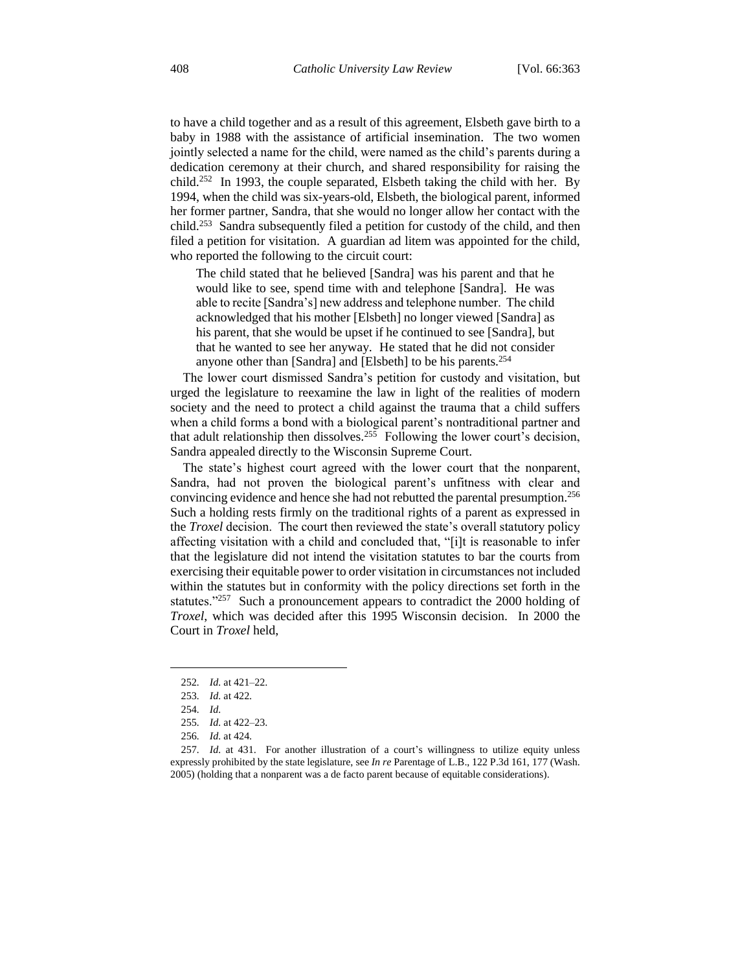to have a child together and as a result of this agreement, Elsbeth gave birth to a baby in 1988 with the assistance of artificial insemination. The two women jointly selected a name for the child, were named as the child's parents during a dedication ceremony at their church, and shared responsibility for raising the child.<sup>252</sup> In 1993, the couple separated, Elsbeth taking the child with her. By 1994, when the child was six-years-old, Elsbeth, the biological parent, informed her former partner, Sandra, that she would no longer allow her contact with the child.<sup>253</sup> Sandra subsequently filed a petition for custody of the child, and then filed a petition for visitation. A guardian ad litem was appointed for the child, who reported the following to the circuit court:

The child stated that he believed [Sandra] was his parent and that he would like to see, spend time with and telephone [Sandra]. He was able to recite [Sandra's] new address and telephone number. The child acknowledged that his mother [Elsbeth] no longer viewed [Sandra] as his parent, that she would be upset if he continued to see [Sandra], but that he wanted to see her anyway. He stated that he did not consider anyone other than [Sandra] and [Elsbeth] to be his parents.<sup>254</sup>

The lower court dismissed Sandra's petition for custody and visitation, but urged the legislature to reexamine the law in light of the realities of modern society and the need to protect a child against the trauma that a child suffers when a child forms a bond with a biological parent's nontraditional partner and that adult relationship then dissolves.<sup>255</sup> Following the lower court's decision, Sandra appealed directly to the Wisconsin Supreme Court.

The state's highest court agreed with the lower court that the nonparent, Sandra, had not proven the biological parent's unfitness with clear and convincing evidence and hence she had not rebutted the parental presumption.<sup>256</sup> Such a holding rests firmly on the traditional rights of a parent as expressed in the *Troxel* decision. The court then reviewed the state's overall statutory policy affecting visitation with a child and concluded that, "[i]t is reasonable to infer that the legislature did not intend the visitation statutes to bar the courts from exercising their equitable power to order visitation in circumstances not included within the statutes but in conformity with the policy directions set forth in the statutes."<sup>257</sup> Such a pronouncement appears to contradict the 2000 holding of *Troxel*, which was decided after this 1995 Wisconsin decision. In 2000 the Court in *Troxel* held,

<sup>252</sup>*. Id.* at 421–22.

<sup>253</sup>*. Id.* at 422.

<sup>254</sup>*. Id.*

<sup>255</sup>*. Id.* at 422–23.

<sup>256</sup>*. Id.* at 424.

<sup>257</sup>*. Id.* at 431. For another illustration of a court's willingness to utilize equity unless expressly prohibited by the state legislature, see *In re* Parentage of L.B., 122 P.3d 161, 177 (Wash. 2005) (holding that a nonparent was a de facto parent because of equitable considerations).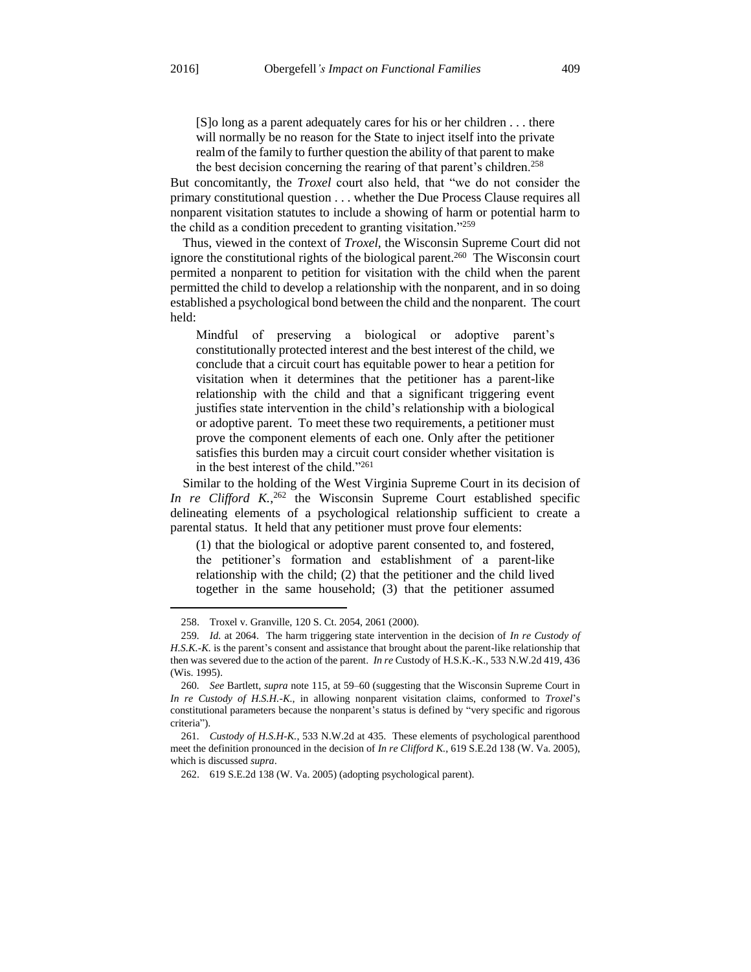[S]o long as a parent adequately cares for his or her children . . . there will normally be no reason for the State to inject itself into the private realm of the family to further question the ability of that parent to make the best decision concerning the rearing of that parent's children.<sup>258</sup>

But concomitantly, the *Troxel* court also held, that "we do not consider the primary constitutional question . . . whether the Due Process Clause requires all nonparent visitation statutes to include a showing of harm or potential harm to the child as a condition precedent to granting visitation."<sup>259</sup>

Thus, viewed in the context of *Troxel*, the Wisconsin Supreme Court did not ignore the constitutional rights of the biological parent.<sup>260</sup> The Wisconsin court permited a nonparent to petition for visitation with the child when the parent permitted the child to develop a relationship with the nonparent, and in so doing established a psychological bond between the child and the nonparent. The court held:

Mindful of preserving a biological or adoptive parent's constitutionally protected interest and the best interest of the child, we conclude that a circuit court has equitable power to hear a petition for visitation when it determines that the petitioner has a parent-like relationship with the child and that a significant triggering event justifies state intervention in the child's relationship with a biological or adoptive parent. To meet these two requirements, a petitioner must prove the component elements of each one. Only after the petitioner satisfies this burden may a circuit court consider whether visitation is in the best interest of the child."<sup>261</sup>

Similar to the holding of the West Virginia Supreme Court in its decision of *In re Clifford K.*, <sup>262</sup> the Wisconsin Supreme Court established specific delineating elements of a psychological relationship sufficient to create a parental status. It held that any petitioner must prove four elements:

(1) that the biological or adoptive parent consented to, and fostered, the petitioner's formation and establishment of a parent-like relationship with the child; (2) that the petitioner and the child lived together in the same household; (3) that the petitioner assumed

<sup>258.</sup> Troxel v. Granville, 120 S. Ct. 2054, 2061 (2000).

<sup>259</sup>*. Id.* at 2064. The harm triggering state intervention in the decision of *In re Custody of H.S.K.-K.* is the parent's consent and assistance that brought about the parent-like relationship that then was severed due to the action of the parent. *In re* Custody of H.S.K.-K., 533 N.W.2d 419, 436 (Wis. 1995).

<sup>260</sup>*. See* Bartlett, *supra* note 115, at 59–60 (suggesting that the Wisconsin Supreme Court in *In re Custody of H.S.H.-K.*, in allowing nonparent visitation claims, conformed to *Troxel*'s constitutional parameters because the nonparent's status is defined by "very specific and rigorous criteria").

<sup>261</sup>*. Custody of H.S.H-K.*, 533 N.W.2d at 435. These elements of psychological parenthood meet the definition pronounced in the decision of *In re Clifford K.*, 619 S.E.2d 138 (W. Va. 2005), which is discussed *supra*.

<sup>262.</sup> 619 S.E.2d 138 (W. Va. 2005) (adopting psychological parent).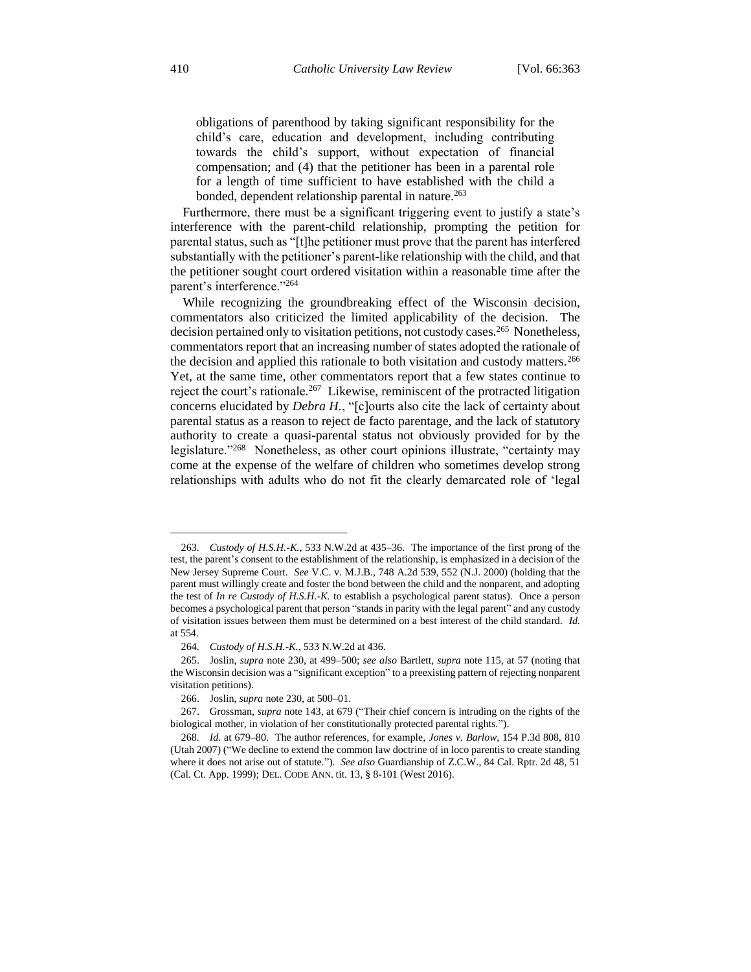obligations of parenthood by taking significant responsibility for the child's care, education and development, including contributing towards the child's support, without expectation of financial compensation; and (4) that the petitioner has been in a parental role for a length of time sufficient to have established with the child a bonded, dependent relationship parental in nature.<sup>263</sup>

Furthermore, there must be a significant triggering event to justify a state's interference with the parent-child relationship, prompting the petition for parental status, such as "[t]he petitioner must prove that the parent has interfered substantially with the petitioner's parent-like relationship with the child, and that the petitioner sought court ordered visitation within a reasonable time after the parent's interference."<sup>264</sup>

While recognizing the groundbreaking effect of the Wisconsin decision, commentators also criticized the limited applicability of the decision. The decision pertained only to visitation petitions, not custody cases.<sup>265</sup> Nonetheless, commentators report that an increasing number of states adopted the rationale of the decision and applied this rationale to both visitation and custody matters.<sup>266</sup> Yet, at the same time, other commentators report that a few states continue to reject the court's rationale.<sup>267</sup> Likewise, reminiscent of the protracted litigation concerns elucidated by *Debra H.*, "[c]ourts also cite the lack of certainty about parental status as a reason to reject de facto parentage, and the lack of statutory authority to create a quasi-parental status not obviously provided for by the legislature."<sup>268</sup> Nonetheless, as other court opinions illustrate, "certainty may come at the expense of the welfare of children who sometimes develop strong relationships with adults who do not fit the clearly demarcated role of 'legal

<sup>263</sup>*. Custody of H.S.H.-K.*, 533 N.W.2d at 435–36. The importance of the first prong of the test, the parent's consent to the establishment of the relationship, is emphasized in a decision of the New Jersey Supreme Court. *See* V.C. v. M.J.B., 748 A.2d 539, 552 (N.J. 2000) (holding that the parent must willingly create and foster the bond between the child and the nonparent, and adopting the test of *In re Custody of H.S.H.-K.* to establish a psychological parent status). Once a person becomes a psychological parent that person "stands in parity with the legal parent" and any custody of visitation issues between them must be determined on a best interest of the child standard. *Id.* at 554.

<sup>264</sup>*. Custody of H.S.H.-K.*, 533 N.W.2d at 436.

<sup>265.</sup> Joslin, *supra* note 230, at 499–500; *see also* Bartlett, *supra* note 115, at 57 (noting that the Wisconsin decision was a "significant exception" to a preexisting pattern of rejecting nonparent visitation petitions).

<sup>266.</sup> Joslin, *supra* note 230, at 500–01.

<sup>267.</sup> Grossman, *supra* note 143, at 679 ("Their chief concern is intruding on the rights of the biological mother, in violation of her constitutionally protected parental rights.").

<sup>268</sup>*. Id.* at 679–80. The author references, for example, *Jones v. Barlow*, 154 P.3d 808, 810 (Utah 2007) ("We decline to extend the common law doctrine of in loco parentis to create standing where it does not arise out of statute."). *See also* Guardianship of Z.C.W., 84 Cal. Rptr. 2d 48, 51 (Cal. Ct. App. 1999); DEL. CODE ANN. tit. 13, § 8-101 (West 2016).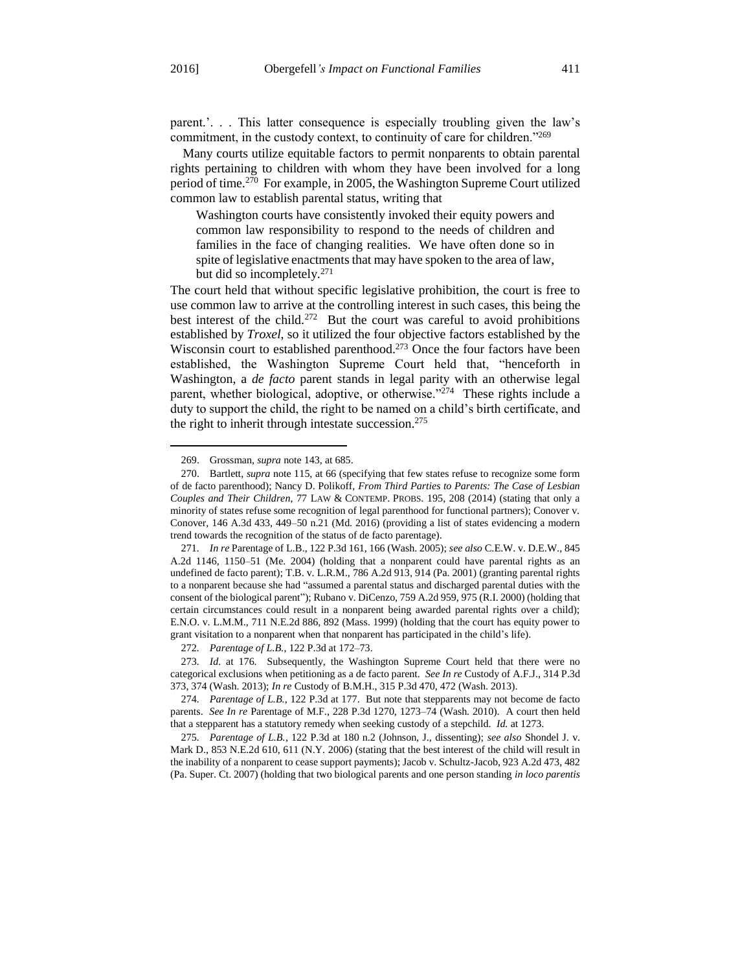$\overline{a}$ 

parent.'. . . This latter consequence is especially troubling given the law's commitment, in the custody context, to continuity of care for children."<sup>269</sup>

Many courts utilize equitable factors to permit nonparents to obtain parental rights pertaining to children with whom they have been involved for a long period of time.<sup>270</sup> For example, in 2005, the Washington Supreme Court utilized common law to establish parental status, writing that

Washington courts have consistently invoked their equity powers and common law responsibility to respond to the needs of children and families in the face of changing realities. We have often done so in spite of legislative enactments that may have spoken to the area of law, but did so incompletely.<sup>271</sup>

The court held that without specific legislative prohibition, the court is free to use common law to arrive at the controlling interest in such cases, this being the best interest of the child.<sup>272</sup> But the court was careful to avoid prohibitions established by *Troxel*, so it utilized the four objective factors established by the Wisconsin court to established parenthood.<sup>273</sup> Once the four factors have been established, the Washington Supreme Court held that, "henceforth in Washington, a *de facto* parent stands in legal parity with an otherwise legal parent, whether biological, adoptive, or otherwise."<sup>274</sup> These rights include a duty to support the child, the right to be named on a child's birth certificate, and the right to inherit through intestate succession.<sup>275</sup>

272*. Parentage of L.B.*, 122 P.3d at 172–73.

<sup>269.</sup> Grossman, *supra* note 143, at 685.

<sup>270.</sup> Bartlett, *supra* note 115, at 66 (specifying that few states refuse to recognize some form of de facto parenthood); Nancy D. Polikoff, *From Third Parties to Parents: The Case of Lesbian Couples and Their Children*, 77 LAW & CONTEMP. PROBS. 195, 208 (2014) (stating that only a minority of states refuse some recognition of legal parenthood for functional partners); Conover v. Conover, 146 A.3d 433, 449–50 n.21 (Md. 2016) (providing a list of states evidencing a modern trend towards the recognition of the status of de facto parentage).

<sup>271</sup>*. In re* Parentage of L.B., 122 P.3d 161, 166 (Wash. 2005); *see also* C.E.W. v. D.E.W., 845 A.2d 1146, 1150–51 (Me. 2004) (holding that a nonparent could have parental rights as an undefined de facto parent); T.B. v. L.R.M., 786 A.2d 913, 914 (Pa. 2001) (granting parental rights to a nonparent because she had "assumed a parental status and discharged parental duties with the consent of the biological parent"); Rubano v. DiCenzo, 759 A.2d 959, 975 (R.I. 2000) (holding that certain circumstances could result in a nonparent being awarded parental rights over a child); E.N.O. v. L.M.M., 711 N.E.2d 886, 892 (Mass. 1999) (holding that the court has equity power to grant visitation to a nonparent when that nonparent has participated in the child's life).

<sup>273</sup>*. Id.* at 176. Subsequently, the Washington Supreme Court held that there were no categorical exclusions when petitioning as a de facto parent. *See In re* Custody of A.F.J., 314 P.3d 373, 374 (Wash. 2013); *In re* Custody of B.M.H., 315 P.3d 470, 472 (Wash. 2013).

<sup>274</sup>*. Parentage of L.B.*, 122 P.3d at 177. But note that stepparents may not become de facto parents. *See In re* Parentage of M.F., 228 P.3d 1270, 1273–74 (Wash. 2010). A court then held that a stepparent has a statutory remedy when seeking custody of a stepchild. *Id.* at 1273.

<sup>275</sup>*. Parentage of L.B.*, 122 P.3d at 180 n.2 (Johnson, J., dissenting); *see also* Shondel J. v. Mark D., 853 N.E.2d 610, 611 (N.Y. 2006) (stating that the best interest of the child will result in the inability of a nonparent to cease support payments); Jacob v. Schultz-Jacob, 923 A.2d 473, 482 (Pa. Super. Ct. 2007) (holding that two biological parents and one person standing *in loco parentis*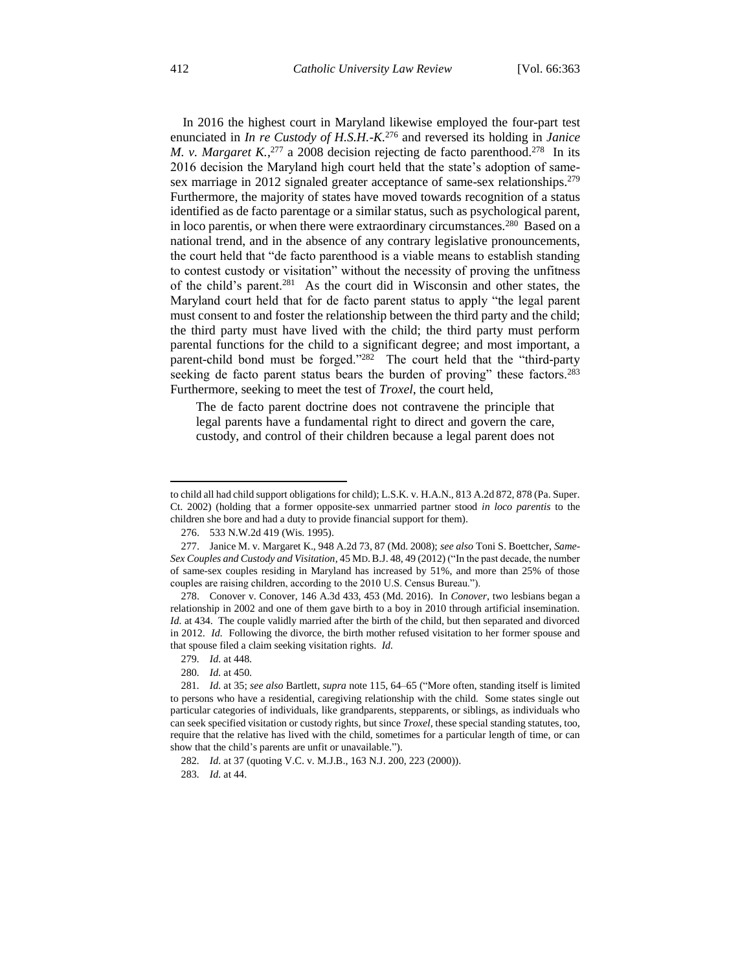In 2016 the highest court in Maryland likewise employed the four-part test enunciated in *In re Custody of H.S.H.-K.*<sup>276</sup> and reversed its holding in *Janice M. v. Margaret K.*,<sup>277</sup> a 2008 decision rejecting de facto parenthood.<sup>278</sup> In its 2016 decision the Maryland high court held that the state's adoption of samesex marriage in 2012 signaled greater acceptance of same-sex relationships.<sup>279</sup> Furthermore, the majority of states have moved towards recognition of a status identified as de facto parentage or a similar status, such as psychological parent, in loco parentis, or when there were extraordinary circumstances.<sup>280</sup> Based on a national trend, and in the absence of any contrary legislative pronouncements, the court held that "de facto parenthood is a viable means to establish standing to contest custody or visitation" without the necessity of proving the unfitness of the child's parent.<sup>281</sup> As the court did in Wisconsin and other states, the Maryland court held that for de facto parent status to apply "the legal parent must consent to and foster the relationship between the third party and the child; the third party must have lived with the child; the third party must perform parental functions for the child to a significant degree; and most important, a parent-child bond must be forged."282 The court held that the "third-party seeking de facto parent status bears the burden of proving" these factors.<sup>283</sup> Furthermore, seeking to meet the test of *Troxel*, the court held,

The de facto parent doctrine does not contravene the principle that legal parents have a fundamental right to direct and govern the care, custody, and control of their children because a legal parent does not

to child all had child support obligations for child); L.S.K. v. H.A.N., 813 A.2d 872, 878 (Pa. Super. Ct. 2002) (holding that a former opposite-sex unmarried partner stood *in loco parentis* to the children she bore and had a duty to provide financial support for them).

<sup>276.</sup> 533 N.W.2d 419 (Wis. 1995).

<sup>277.</sup> Janice M. v. Margaret K., 948 A.2d 73, 87 (Md. 2008); *see also* Toni S. Boettcher, *Same-Sex Couples and Custody and Visitation*, 45 MD.B.J. 48, 49 (2012) ("In the past decade, the number of same-sex couples residing in Maryland has increased by 51%, and more than 25% of those couples are raising children, according to the 2010 U.S. Census Bureau.").

<sup>278.</sup> Conover v. Conover, 146 A.3d 433, 453 (Md. 2016). In *Conover*, two lesbians began a relationship in 2002 and one of them gave birth to a boy in 2010 through artificial insemination. *Id.* at 434. The couple validly married after the birth of the child, but then separated and divorced in 2012. *Id.* Following the divorce, the birth mother refused visitation to her former spouse and that spouse filed a claim seeking visitation rights. *Id.*

<sup>279</sup>*. Id.* at 448.

<sup>280</sup>*. Id.* at 450.

<sup>281</sup>*. Id.* at 35; *see also* Bartlett, *supra* note 115, 64–65 ("More often, standing itself is limited to persons who have a residential, caregiving relationship with the child. Some states single out particular categories of individuals, like grandparents, stepparents, or siblings, as individuals who can seek specified visitation or custody rights, but since *Troxel*, these special standing statutes, too, require that the relative has lived with the child, sometimes for a particular length of time, or can show that the child's parents are unfit or unavailable.").

<sup>282</sup>*. Id.* at 37 (quoting V.C. v. M.J.B., 163 N.J. 200, 223 (2000)).

<sup>283</sup>*. Id.* at 44.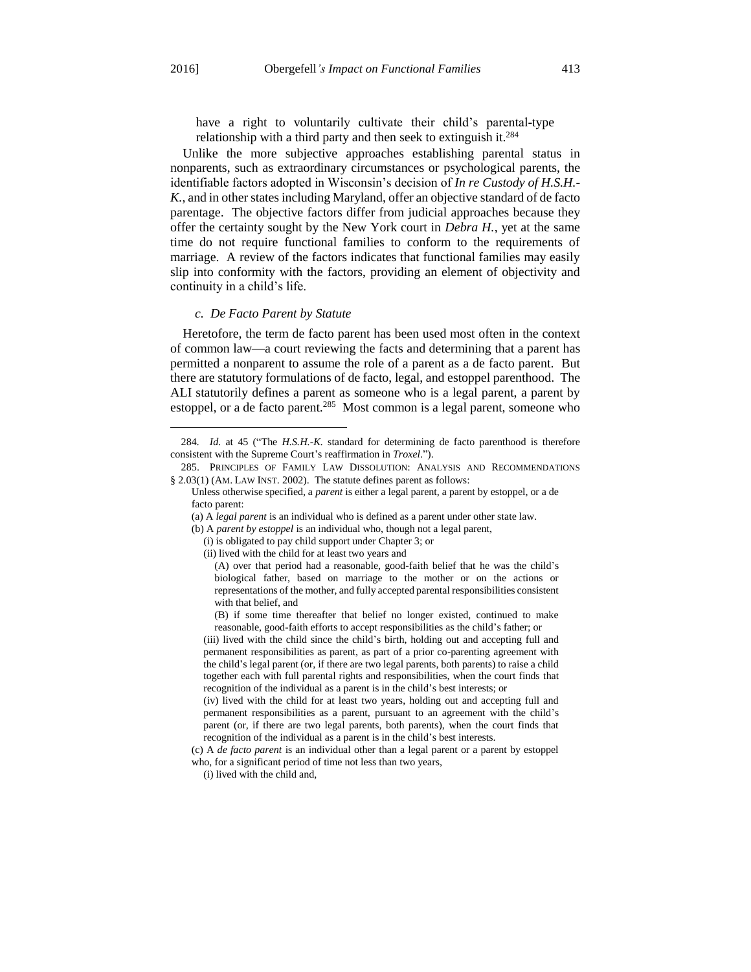$\overline{a}$ 

have a right to voluntarily cultivate their child's parental-type relationship with a third party and then seek to extinguish it.<sup>284</sup>

Unlike the more subjective approaches establishing parental status in nonparents, such as extraordinary circumstances or psychological parents, the identifiable factors adopted in Wisconsin's decision of *In re Custody of H.S.H.- K.*, and in other states including Maryland, offer an objective standard of de facto parentage. The objective factors differ from judicial approaches because they offer the certainty sought by the New York court in *Debra H.*, yet at the same time do not require functional families to conform to the requirements of marriage. A review of the factors indicates that functional families may easily slip into conformity with the factors, providing an element of objectivity and continuity in a child's life.

### *c. De Facto Parent by Statute*

Heretofore, the term de facto parent has been used most often in the context of common law—a court reviewing the facts and determining that a parent has permitted a nonparent to assume the role of a parent as a de facto parent. But there are statutory formulations of de facto, legal, and estoppel parenthood. The ALI statutorily defines a parent as someone who is a legal parent, a parent by estoppel, or a de facto parent.<sup>285</sup> Most common is a legal parent, someone who

<sup>284</sup>*. Id.* at 45 ("The *H.S.H.-K.* standard for determining de facto parenthood is therefore consistent with the Supreme Court's reaffirmation in *Troxel*.").

<sup>285.</sup> PRINCIPLES OF FAMILY LAW DISSOLUTION: ANALYSIS AND RECOMMENDATIONS § 2.03(1) (AM. LAW INST. 2002). The statute defines parent as follows:

Unless otherwise specified, a *parent* is either a legal parent, a parent by estoppel, or a de facto parent:

<sup>(</sup>a) A *legal parent* is an individual who is defined as a parent under other state law.

<sup>(</sup>b) A *parent by estoppel* is an individual who, though not a legal parent,

<sup>(</sup>i) is obligated to pay child support under Chapter 3; or

<sup>(</sup>ii) lived with the child for at least two years and

<sup>(</sup>A) over that period had a reasonable, good-faith belief that he was the child's biological father, based on marriage to the mother or on the actions or representations of the mother, and fully accepted parental responsibilities consistent with that belief, and

<sup>(</sup>B) if some time thereafter that belief no longer existed, continued to make reasonable, good-faith efforts to accept responsibilities as the child's father; or

<sup>(</sup>iii) lived with the child since the child's birth, holding out and accepting full and permanent responsibilities as parent, as part of a prior co-parenting agreement with the child's legal parent (or, if there are two legal parents, both parents) to raise a child together each with full parental rights and responsibilities, when the court finds that recognition of the individual as a parent is in the child's best interests; or

<sup>(</sup>iv) lived with the child for at least two years, holding out and accepting full and permanent responsibilities as a parent, pursuant to an agreement with the child's parent (or, if there are two legal parents, both parents), when the court finds that recognition of the individual as a parent is in the child's best interests.

<sup>(</sup>c) A *de facto parent* is an individual other than a legal parent or a parent by estoppel who, for a significant period of time not less than two years,

<sup>(</sup>i) lived with the child and,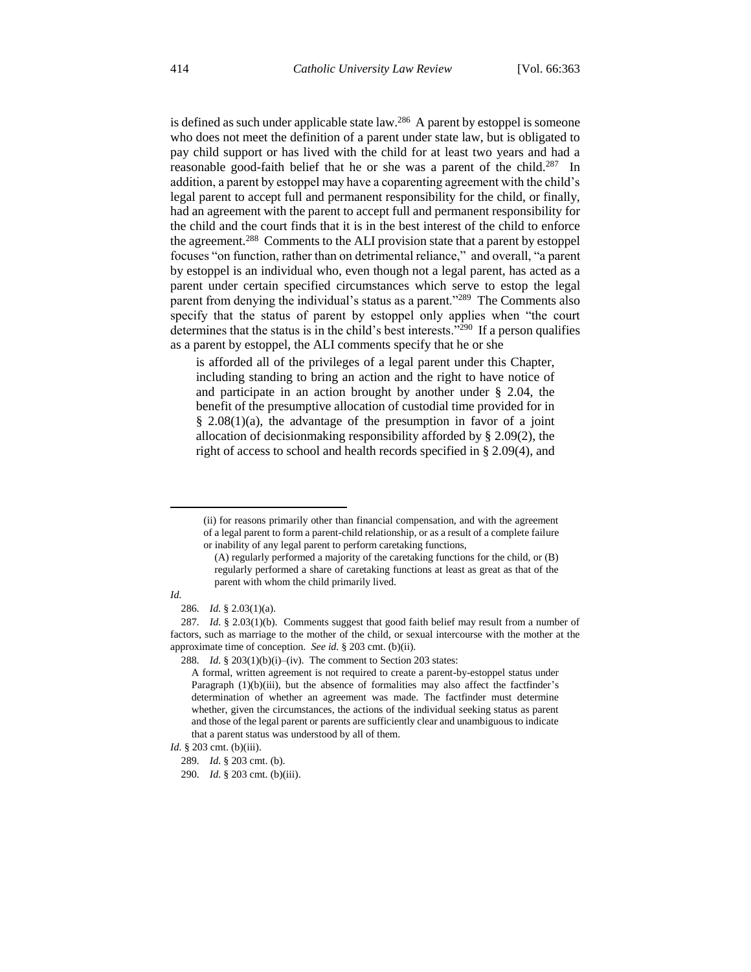is defined as such under applicable state law.<sup>286</sup> A parent by estoppel is someone who does not meet the definition of a parent under state law, but is obligated to pay child support or has lived with the child for at least two years and had a reasonable good-faith belief that he or she was a parent of the child.<sup>287</sup> In addition, a parent by estoppel may have a coparenting agreement with the child's legal parent to accept full and permanent responsibility for the child, or finally, had an agreement with the parent to accept full and permanent responsibility for the child and the court finds that it is in the best interest of the child to enforce the agreement.<sup>288</sup> Comments to the ALI provision state that a parent by estoppel focuses "on function, rather than on detrimental reliance," and overall, "a parent by estoppel is an individual who, even though not a legal parent, has acted as a parent under certain specified circumstances which serve to estop the legal parent from denying the individual's status as a parent."<sup>289</sup> The Comments also specify that the status of parent by estoppel only applies when "the court determines that the status is in the child's best interests."<sup>290</sup> If a person qualifies as a parent by estoppel, the ALI comments specify that he or she

is afforded all of the privileges of a legal parent under this Chapter, including standing to bring an action and the right to have notice of and participate in an action brought by another under § 2.04, the benefit of the presumptive allocation of custodial time provided for in § 2.08(1)(a), the advantage of the presumption in favor of a joint allocation of decisionmaking responsibility afforded by § 2.09(2), the right of access to school and health records specified in § 2.09(4), and

*Id.*

<sup>(</sup>ii) for reasons primarily other than financial compensation, and with the agreement of a legal parent to form a parent-child relationship, or as a result of a complete failure or inability of any legal parent to perform caretaking functions,

<sup>(</sup>A) regularly performed a majority of the caretaking functions for the child, or (B) regularly performed a share of caretaking functions at least as great as that of the parent with whom the child primarily lived.

<sup>286</sup>*. Id.* § 2.03(1)(a).

<sup>287</sup>*. Id.* § 2.03(1)(b). Comments suggest that good faith belief may result from a number of factors, such as marriage to the mother of the child, or sexual intercourse with the mother at the approximate time of conception. *See id.* § 203 cmt. (b)(ii).

<sup>288</sup>*. Id.* § 203(1)(b)(i)–(iv). The comment to Section 203 states:

A formal, written agreement is not required to create a parent-by-estoppel status under Paragraph  $(1)(b)(iii)$ , but the absence of formalities may also affect the factfinder's determination of whether an agreement was made. The factfinder must determine whether, given the circumstances, the actions of the individual seeking status as parent and those of the legal parent or parents are sufficiently clear and unambiguous to indicate that a parent status was understood by all of them.

*Id.* § 203 cmt. (b)(iii).

<sup>289</sup>*. Id.* § 203 cmt. (b).

<sup>290</sup>*. Id.* § 203 cmt. (b)(iii).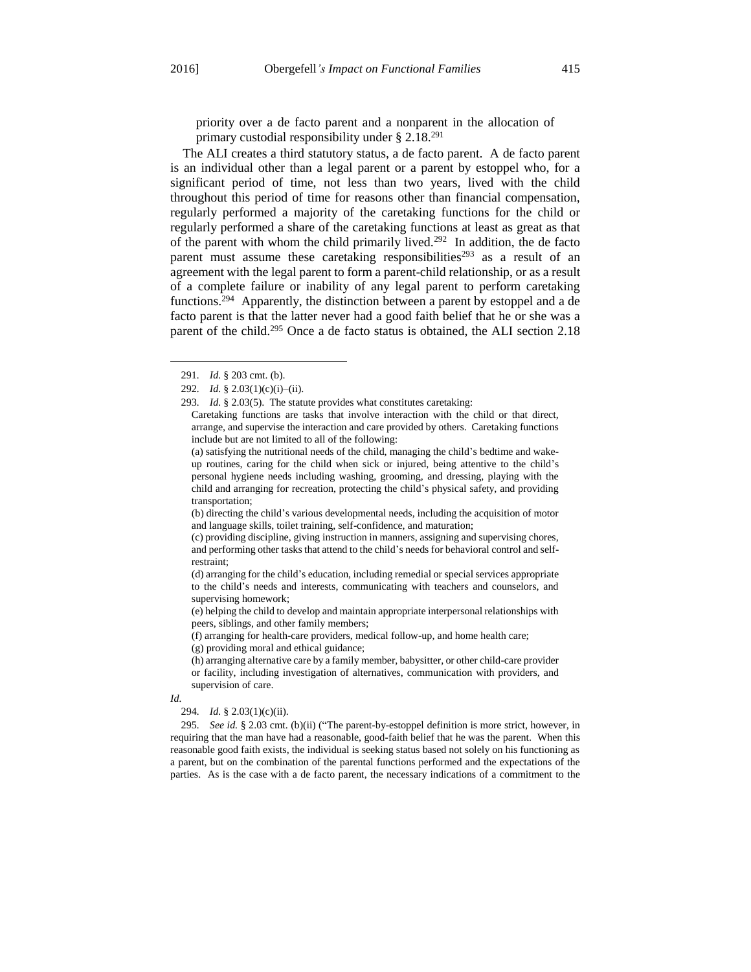priority over a de facto parent and a nonparent in the allocation of primary custodial responsibility under § 2.18.<sup>291</sup>

The ALI creates a third statutory status, a de facto parent. A de facto parent is an individual other than a legal parent or a parent by estoppel who, for a significant period of time, not less than two years, lived with the child throughout this period of time for reasons other than financial compensation, regularly performed a majority of the caretaking functions for the child or regularly performed a share of the caretaking functions at least as great as that of the parent with whom the child primarily lived.<sup>292</sup> In addition, the de facto parent must assume these caretaking responsibilities<sup>293</sup> as a result of an agreement with the legal parent to form a parent-child relationship, or as a result of a complete failure or inability of any legal parent to perform caretaking functions.<sup>294</sup> Apparently, the distinction between a parent by estoppel and a de facto parent is that the latter never had a good faith belief that he or she was a parent of the child.<sup>295</sup> Once a de facto status is obtained, the ALI section 2.18

<sup>291</sup>*. Id.* § 203 cmt. (b).

<sup>292</sup>*. Id.* § 2.03(1)(c)(i)–(ii).

<sup>293</sup>*. Id.* § 2.03(5). The statute provides what constitutes caretaking:

Caretaking functions are tasks that involve interaction with the child or that direct, arrange, and supervise the interaction and care provided by others. Caretaking functions include but are not limited to all of the following:

<sup>(</sup>a) satisfying the nutritional needs of the child, managing the child's bedtime and wakeup routines, caring for the child when sick or injured, being attentive to the child's personal hygiene needs including washing, grooming, and dressing, playing with the child and arranging for recreation, protecting the child's physical safety, and providing transportation;

<sup>(</sup>b) directing the child's various developmental needs, including the acquisition of motor and language skills, toilet training, self-confidence, and maturation;

<sup>(</sup>c) providing discipline, giving instruction in manners, assigning and supervising chores, and performing other tasks that attend to the child's needs for behavioral control and selfrestraint;

<sup>(</sup>d) arranging for the child's education, including remedial or special services appropriate to the child's needs and interests, communicating with teachers and counselors, and supervising homework;

<sup>(</sup>e) helping the child to develop and maintain appropriate interpersonal relationships with peers, siblings, and other family members;

<sup>(</sup>f) arranging for health-care providers, medical follow-up, and home health care;

<sup>(</sup>g) providing moral and ethical guidance;

<sup>(</sup>h) arranging alternative care by a family member, babysitter, or other child-care provider or facility, including investigation of alternatives, communication with providers, and supervision of care.

*Id.*

<sup>294</sup>*. Id.* § 2.03(1)(c)(ii).

<sup>295</sup>*. See id.* § 2.03 cmt. (b)(ii) ("The parent-by-estoppel definition is more strict, however, in requiring that the man have had a reasonable, good-faith belief that he was the parent. When this reasonable good faith exists, the individual is seeking status based not solely on his functioning as a parent, but on the combination of the parental functions performed and the expectations of the parties. As is the case with a de facto parent, the necessary indications of a commitment to the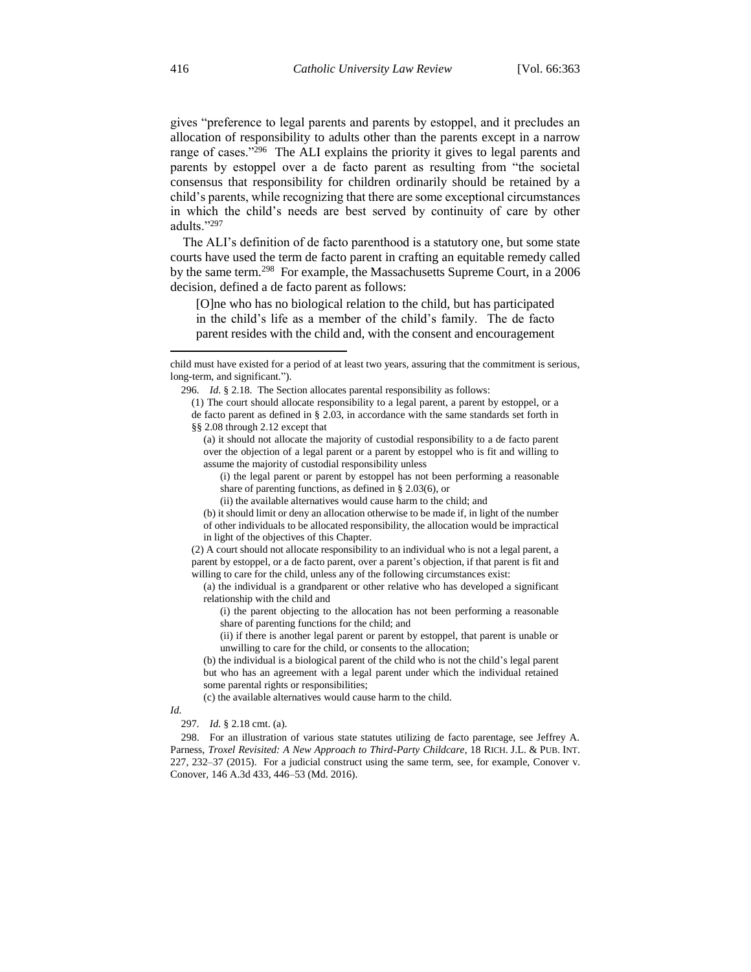gives "preference to legal parents and parents by estoppel, and it precludes an allocation of responsibility to adults other than the parents except in a narrow range of cases."<sup>296</sup> The ALI explains the priority it gives to legal parents and parents by estoppel over a de facto parent as resulting from "the societal consensus that responsibility for children ordinarily should be retained by a child's parents, while recognizing that there are some exceptional circumstances in which the child's needs are best served by continuity of care by other adults."<sup>297</sup>

The ALI's definition of de facto parenthood is a statutory one, but some state courts have used the term de facto parent in crafting an equitable remedy called by the same term.<sup>298</sup> For example, the Massachusetts Supreme Court, in a 2006 decision, defined a de facto parent as follows:

[O]ne who has no biological relation to the child, but has participated in the child's life as a member of the child's family. The de facto parent resides with the child and, with the consent and encouragement

- (1) The court should allocate responsibility to a legal parent, a parent by estoppel, or a
- de facto parent as defined in § 2.03, in accordance with the same standards set forth in §§ 2.08 through 2.12 except that
- (a) it should not allocate the majority of custodial responsibility to a de facto parent over the objection of a legal parent or a parent by estoppel who is fit and willing to assume the majority of custodial responsibility unless
	- (i) the legal parent or parent by estoppel has not been performing a reasonable share of parenting functions, as defined in § 2.03(6), or
	- (ii) the available alternatives would cause harm to the child; and
- (b) it should limit or deny an allocation otherwise to be made if, in light of the number
- of other individuals to be allocated responsibility, the allocation would be impractical in light of the objectives of this Chapter.

(2) A court should not allocate responsibility to an individual who is not a legal parent, a parent by estoppel, or a de facto parent, over a parent's objection, if that parent is fit and willing to care for the child, unless any of the following circumstances exist:

(a) the individual is a grandparent or other relative who has developed a significant relationship with the child and

- (i) the parent objecting to the allocation has not been performing a reasonable share of parenting functions for the child; and
- (ii) if there is another legal parent or parent by estoppel, that parent is unable or unwilling to care for the child, or consents to the allocation;
- (b) the individual is a biological parent of the child who is not the child's legal parent but who has an agreement with a legal parent under which the individual retained some parental rights or responsibilities;
- (c) the available alternatives would cause harm to the child.

*Id.*

298. For an illustration of various state statutes utilizing de facto parentage, see Jeffrey A. Parness, *Troxel Revisited: A New Approach to Third-Party Childcare*, 18 RICH. J.L. & PUB. INT. 227, 232–37 (2015). For a judicial construct using the same term, see, for example, Conover v. Conover, 146 A.3d 433, 446–53 (Md. 2016).

child must have existed for a period of at least two years, assuring that the commitment is serious, long-term, and significant.").

<sup>296</sup>*. Id.* § 2.18. The Section allocates parental responsibility as follows:

<sup>297</sup>*. Id.* § 2.18 cmt. (a).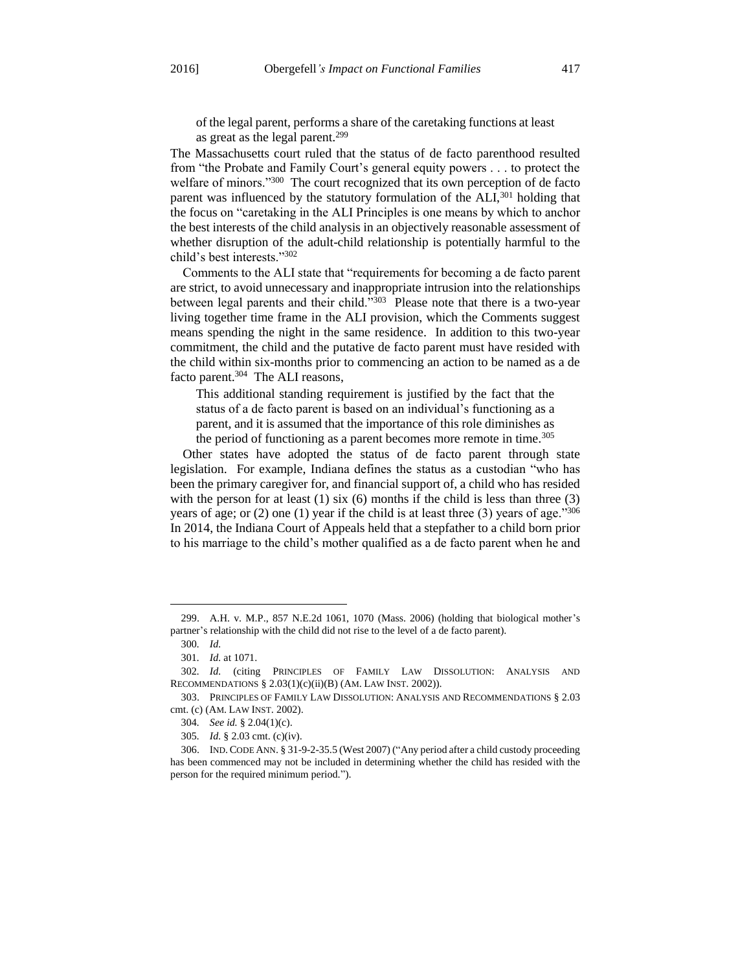of the legal parent, performs a share of the caretaking functions at least as great as the legal parent.<sup>299</sup>

The Massachusetts court ruled that the status of de facto parenthood resulted from "the Probate and Family Court's general equity powers . . . to protect the welfare of minors."<sup>300</sup> The court recognized that its own perception of de facto parent was influenced by the statutory formulation of the ALI,<sup>301</sup> holding that the focus on "caretaking in the ALI Principles is one means by which to anchor the best interests of the child analysis in an objectively reasonable assessment of whether disruption of the adult-child relationship is potentially harmful to the child's best interests."<sup>302</sup>

Comments to the ALI state that "requirements for becoming a de facto parent are strict, to avoid unnecessary and inappropriate intrusion into the relationships between legal parents and their child."<sup>303</sup> Please note that there is a two-year living together time frame in the ALI provision, which the Comments suggest means spending the night in the same residence. In addition to this two-year commitment, the child and the putative de facto parent must have resided with the child within six-months prior to commencing an action to be named as a de facto parent.<sup>304</sup> The ALI reasons,

This additional standing requirement is justified by the fact that the status of a de facto parent is based on an individual's functioning as a parent, and it is assumed that the importance of this role diminishes as the period of functioning as a parent becomes more remote in time.<sup>305</sup>

Other states have adopted the status of de facto parent through state legislation. For example, Indiana defines the status as a custodian "who has been the primary caregiver for, and financial support of, a child who has resided with the person for at least  $(1)$  six  $(6)$  months if the child is less than three  $(3)$ years of age; or (2) one (1) year if the child is at least three (3) years of age."<sup>306</sup> In 2014, the Indiana Court of Appeals held that a stepfather to a child born prior to his marriage to the child's mother qualified as a de facto parent when he and

<sup>299.</sup> A.H. v. M.P., 857 N.E.2d 1061, 1070 (Mass. 2006) (holding that biological mother's partner's relationship with the child did not rise to the level of a de facto parent).

<sup>300</sup>*. Id.*

<sup>301</sup>*. Id.* at 1071.

<sup>302</sup>*. Id.* (citing PRINCIPLES OF FAMILY LAW DISSOLUTION: ANALYSIS AND RECOMMENDATIONS  $§ 2.03(1)(c)(ii)(B)$  (AM. LAW INST. 2002)).

<sup>303.</sup> PRINCIPLES OF FAMILY LAW DISSOLUTION: ANALYSIS AND RECOMMENDATIONS § 2.03 cmt. (c) (AM. LAW INST. 2002).

<sup>304</sup>*. See id.* § 2.04(1)(c).

<sup>305</sup>*. Id.* § 2.03 cmt. (c)(iv).

<sup>306.</sup> IND.CODE ANN. § 31-9-2-35.5 (West 2007) ("Any period after a child custody proceeding has been commenced may not be included in determining whether the child has resided with the person for the required minimum period.").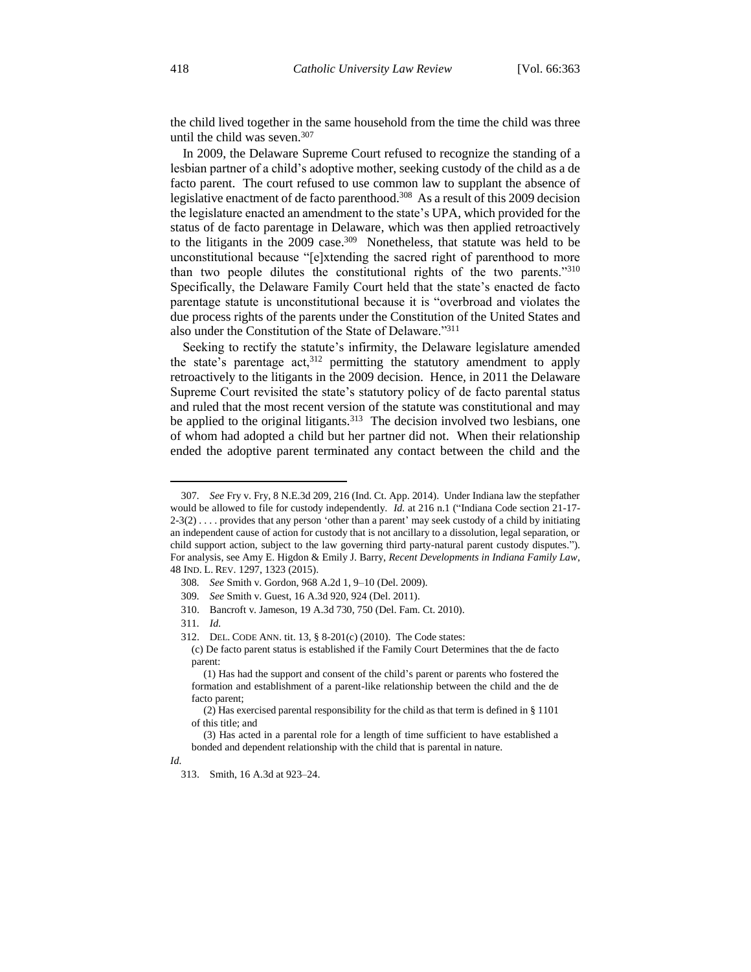the child lived together in the same household from the time the child was three until the child was seven.<sup>307</sup>

In 2009, the Delaware Supreme Court refused to recognize the standing of a lesbian partner of a child's adoptive mother, seeking custody of the child as a de facto parent. The court refused to use common law to supplant the absence of legislative enactment of de facto parenthood.<sup>308</sup> As a result of this 2009 decision the legislature enacted an amendment to the state's UPA, which provided for the status of de facto parentage in Delaware, which was then applied retroactively to the litigants in the  $2009 \text{ case.}^{309}$  Nonetheless, that statute was held to be unconstitutional because "[e]xtending the sacred right of parenthood to more than two people dilutes the constitutional rights of the two parents."<sup>310</sup> Specifically, the Delaware Family Court held that the state's enacted de facto parentage statute is unconstitutional because it is "overbroad and violates the due process rights of the parents under the Constitution of the United States and also under the Constitution of the State of Delaware."<sup>311</sup>

Seeking to rectify the statute's infirmity, the Delaware legislature amended the state's parentage  $act<sub>312</sub>$  permitting the statutory amendment to apply retroactively to the litigants in the 2009 decision. Hence, in 2011 the Delaware Supreme Court revisited the state's statutory policy of de facto parental status and ruled that the most recent version of the statute was constitutional and may be applied to the original litigants.<sup>313</sup> The decision involved two lesbians, one of whom had adopted a child but her partner did not. When their relationship ended the adoptive parent terminated any contact between the child and the

 $\overline{a}$ 

*Id.*

<sup>307</sup>*. See* Fry v. Fry, 8 N.E.3d 209, 216 (Ind. Ct. App. 2014). Under Indiana law the stepfather would be allowed to file for custody independently. *Id.* at 216 n.1 ("Indiana Code section 21-17- 2-3(2) . . . . provides that any person 'other than a parent' may seek custody of a child by initiating an independent cause of action for custody that is not ancillary to a dissolution, legal separation, or child support action, subject to the law governing third party-natural parent custody disputes."). For analysis, see Amy E. Higdon & Emily J. Barry, *Recent Developments in Indiana Family Law*, 48 IND. L. REV. 1297, 1323 (2015).

<sup>308</sup>*. See* Smith v. Gordon, 968 A.2d 1, 9–10 (Del. 2009).

<sup>309</sup>*. See* Smith v. Guest, 16 A.3d 920, 924 (Del. 2011).

<sup>310.</sup> Bancroft v. Jameson, 19 A.3d 730, 750 (Del. Fam. Ct. 2010).

<sup>311</sup>*. Id.*

<sup>312.</sup> DEL. CODE ANN. tit. 13, § 8-201(c) (2010). The Code states:

<sup>(</sup>c) De facto parent status is established if the Family Court Determines that the de facto parent:

<sup>(1)</sup> Has had the support and consent of the child's parent or parents who fostered the formation and establishment of a parent-like relationship between the child and the de facto parent;

<sup>(2)</sup> Has exercised parental responsibility for the child as that term is defined in § 1101 of this title; and

<sup>(3)</sup> Has acted in a parental role for a length of time sufficient to have established a bonded and dependent relationship with the child that is parental in nature.

<sup>313.</sup> Smith, 16 A.3d at 923–24.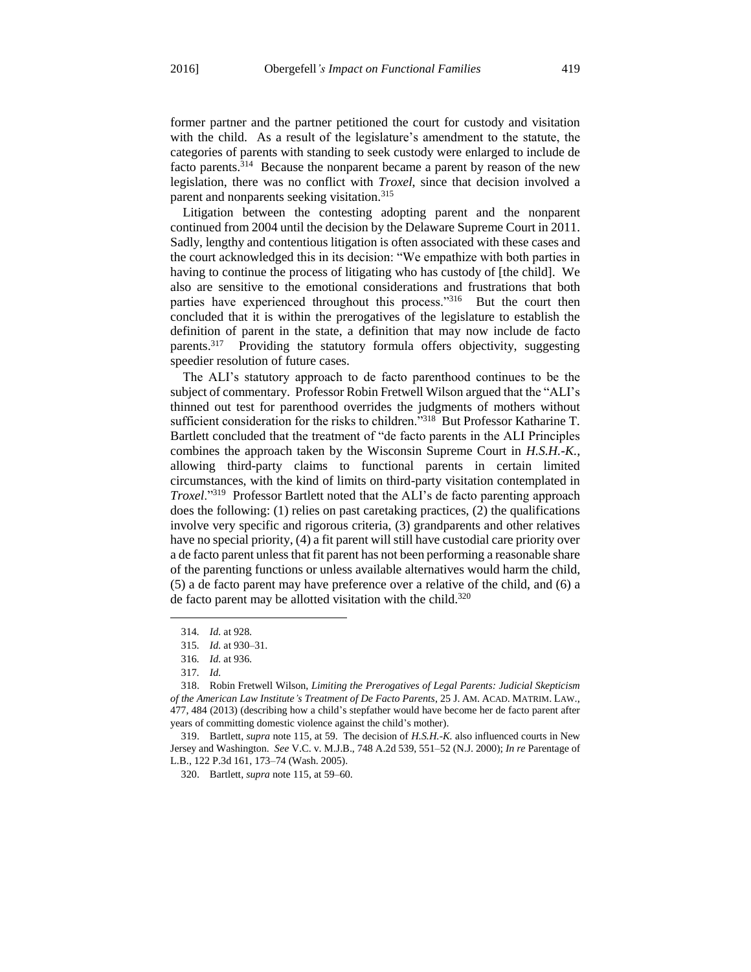former partner and the partner petitioned the court for custody and visitation with the child. As a result of the legislature's amendment to the statute, the categories of parents with standing to seek custody were enlarged to include de facto parents.<sup>314</sup> Because the nonparent became a parent by reason of the new legislation, there was no conflict with *Troxel*, since that decision involved a parent and nonparents seeking visitation.<sup>315</sup>

Litigation between the contesting adopting parent and the nonparent continued from 2004 until the decision by the Delaware Supreme Court in 2011. Sadly, lengthy and contentious litigation is often associated with these cases and the court acknowledged this in its decision: "We empathize with both parties in having to continue the process of litigating who has custody of [the child]. We also are sensitive to the emotional considerations and frustrations that both parties have experienced throughout this process."<sup>316</sup> But the court then concluded that it is within the prerogatives of the legislature to establish the definition of parent in the state, a definition that may now include de facto parents.<sup>317</sup> Providing the statutory formula offers objectivity, suggesting speedier resolution of future cases.

The ALI's statutory approach to de facto parenthood continues to be the subject of commentary. Professor Robin Fretwell Wilson argued that the "ALI's thinned out test for parenthood overrides the judgments of mothers without sufficient consideration for the risks to children."<sup>318</sup> But Professor Katharine T. Bartlett concluded that the treatment of "de facto parents in the ALI Principles combines the approach taken by the Wisconsin Supreme Court in *H.S.H.-K.*, allowing third-party claims to functional parents in certain limited circumstances, with the kind of limits on third-party visitation contemplated in *Troxel*."<sup>319</sup> Professor Bartlett noted that the ALI's de facto parenting approach does the following: (1) relies on past caretaking practices, (2) the qualifications involve very specific and rigorous criteria, (3) grandparents and other relatives have no special priority, (4) a fit parent will still have custodial care priority over a de facto parent unless that fit parent has not been performing a reasonable share of the parenting functions or unless available alternatives would harm the child, (5) a de facto parent may have preference over a relative of the child, and (6) a de facto parent may be allotted visitation with the child.<sup>320</sup>

<sup>314</sup>*. Id.* at 928.

<sup>315</sup>*. Id.* at 930–31.

<sup>316</sup>*. Id.* at 936.

<sup>317</sup>*. Id.*

<sup>318.</sup> Robin Fretwell Wilson, *Limiting the Prerogatives of Legal Parents: Judicial Skepticism of the American Law Institute's Treatment of De Facto Parents*, 25 J. AM. ACAD. MATRIM. LAW., 477, 484 (2013) (describing how a child's stepfather would have become her de facto parent after years of committing domestic violence against the child's mother).

<sup>319.</sup> Bartlett, *supra* note 115, at 59. The decision of *H.S.H.-K.* also influenced courts in New Jersey and Washington. *See* V.C. v. M.J.B., 748 A.2d 539, 551–52 (N.J. 2000); *In re* Parentage of L.B., 122 P.3d 161, 173–74 (Wash. 2005).

<sup>320.</sup> Bartlett, *supra* note 115, at 59–60.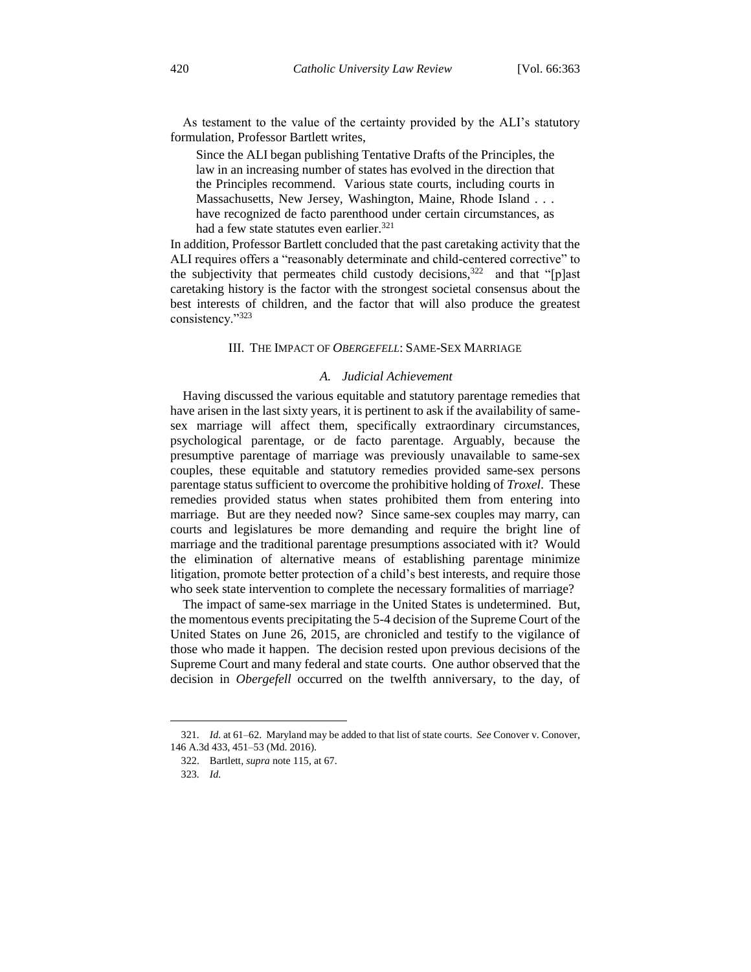As testament to the value of the certainty provided by the ALI's statutory formulation, Professor Bartlett writes,

Since the ALI began publishing Tentative Drafts of the Principles, the law in an increasing number of states has evolved in the direction that the Principles recommend. Various state courts, including courts in Massachusetts, New Jersey, Washington, Maine, Rhode Island . . . have recognized de facto parenthood under certain circumstances, as had a few state statutes even earlier.<sup>321</sup>

In addition, Professor Bartlett concluded that the past caretaking activity that the ALI requires offers a "reasonably determinate and child-centered corrective" to the subjectivity that permeates child custody decisions,  $322$  and that "[p]ast caretaking history is the factor with the strongest societal consensus about the best interests of children, and the factor that will also produce the greatest consistency."<sup>323</sup>

### III. THE IMPACT OF *OBERGEFELL*: SAME-SEX MARRIAGE

# *A. Judicial Achievement*

Having discussed the various equitable and statutory parentage remedies that have arisen in the last sixty years, it is pertinent to ask if the availability of samesex marriage will affect them, specifically extraordinary circumstances, psychological parentage, or de facto parentage. Arguably, because the presumptive parentage of marriage was previously unavailable to same-sex couples, these equitable and statutory remedies provided same-sex persons parentage status sufficient to overcome the prohibitive holding of *Troxel*. These remedies provided status when states prohibited them from entering into marriage. But are they needed now? Since same-sex couples may marry, can courts and legislatures be more demanding and require the bright line of marriage and the traditional parentage presumptions associated with it? Would the elimination of alternative means of establishing parentage minimize litigation, promote better protection of a child's best interests, and require those who seek state intervention to complete the necessary formalities of marriage?

The impact of same-sex marriage in the United States is undetermined. But, the momentous events precipitating the 5-4 decision of the Supreme Court of the United States on June 26, 2015, are chronicled and testify to the vigilance of those who made it happen. The decision rested upon previous decisions of the Supreme Court and many federal and state courts. One author observed that the decision in *Obergefell* occurred on the twelfth anniversary, to the day, of

<sup>321</sup>*. Id.* at 61–62. Maryland may be added to that list of state courts. *See* Conover v. Conover, 146 A.3d 433, 451–53 (Md. 2016).

<sup>322.</sup> Bartlett, *supra* note 115, at 67.

<sup>323</sup>*. Id.*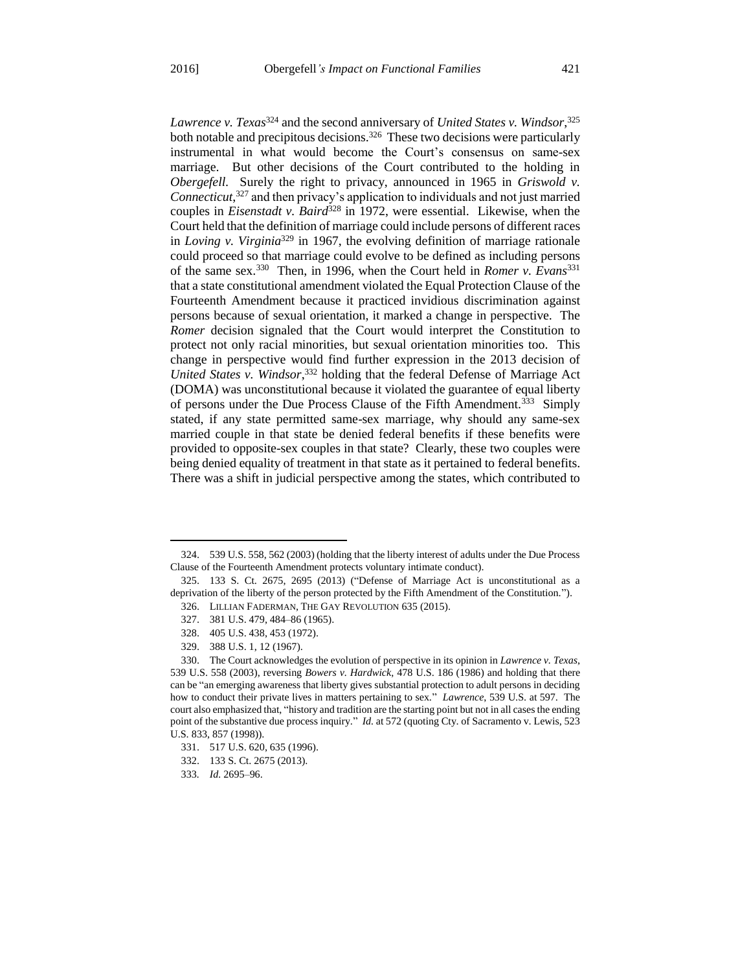*Lawrence v. Texas*<sup>324</sup> and the second anniversary of *United States v. Windsor*, 325 both notable and precipitous decisions.<sup>326</sup> These two decisions were particularly instrumental in what would become the Court's consensus on same-sex marriage. But other decisions of the Court contributed to the holding in *Obergefell*. Surely the right to privacy, announced in 1965 in *Griswold v. Connecticut*, <sup>327</sup> and then privacy's application to individuals and not just married couples in *Eisenstadt v. Baird*<sup>328</sup> in 1972, were essential. Likewise, when the Court held that the definition of marriage could include persons of different races in *Loving v. Virginia*<sup>329</sup> in 1967, the evolving definition of marriage rationale could proceed so that marriage could evolve to be defined as including persons of the same sex.<sup>330</sup> Then, in 1996, when the Court held in *Romer v. Evans*<sup>331</sup> that a state constitutional amendment violated the Equal Protection Clause of the Fourteenth Amendment because it practiced invidious discrimination against persons because of sexual orientation, it marked a change in perspective. The *Romer* decision signaled that the Court would interpret the Constitution to protect not only racial minorities, but sexual orientation minorities too. This change in perspective would find further expression in the 2013 decision of *United States v. Windsor*, <sup>332</sup> holding that the federal Defense of Marriage Act (DOMA) was unconstitutional because it violated the guarantee of equal liberty of persons under the Due Process Clause of the Fifth Amendment.<sup>333</sup> Simply stated, if any state permitted same-sex marriage, why should any same-sex married couple in that state be denied federal benefits if these benefits were provided to opposite-sex couples in that state? Clearly, these two couples were being denied equality of treatment in that state as it pertained to federal benefits. There was a shift in judicial perspective among the states, which contributed to

<sup>324.</sup> 539 U.S. 558, 562 (2003) (holding that the liberty interest of adults under the Due Process Clause of the Fourteenth Amendment protects voluntary intimate conduct).

<sup>325.</sup> 133 S. Ct. 2675, 2695 (2013) ("Defense of Marriage Act is unconstitutional as a deprivation of the liberty of the person protected by the Fifth Amendment of the Constitution.").

<sup>326.</sup> LILLIAN FADERMAN, THE GAY REVOLUTION 635 (2015).

<sup>327.</sup> 381 U.S. 479, 484–86 (1965).

<sup>328.</sup> 405 U.S. 438, 453 (1972).

<sup>329.</sup> 388 U.S. 1, 12 (1967).

<sup>330.</sup> The Court acknowledges the evolution of perspective in its opinion in *Lawrence v. Texas*, 539 U.S. 558 (2003), reversing *Bowers v. Hardwick*, 478 U.S. 186 (1986) and holding that there can be "an emerging awareness that liberty gives substantial protection to adult persons in deciding how to conduct their private lives in matters pertaining to sex." *Lawrence*, 539 U.S. at 597. The court also emphasized that, "history and tradition are the starting point but not in all cases the ending point of the substantive due process inquiry." *Id.* at 572 (quoting Cty. of Sacramento v. Lewis, 523 U.S. 833, 857 (1998)).

<sup>331.</sup> 517 U.S. 620, 635 (1996).

<sup>332.</sup> 133 S. Ct. 2675 (2013).

<sup>333</sup>*. Id.* 2695–96.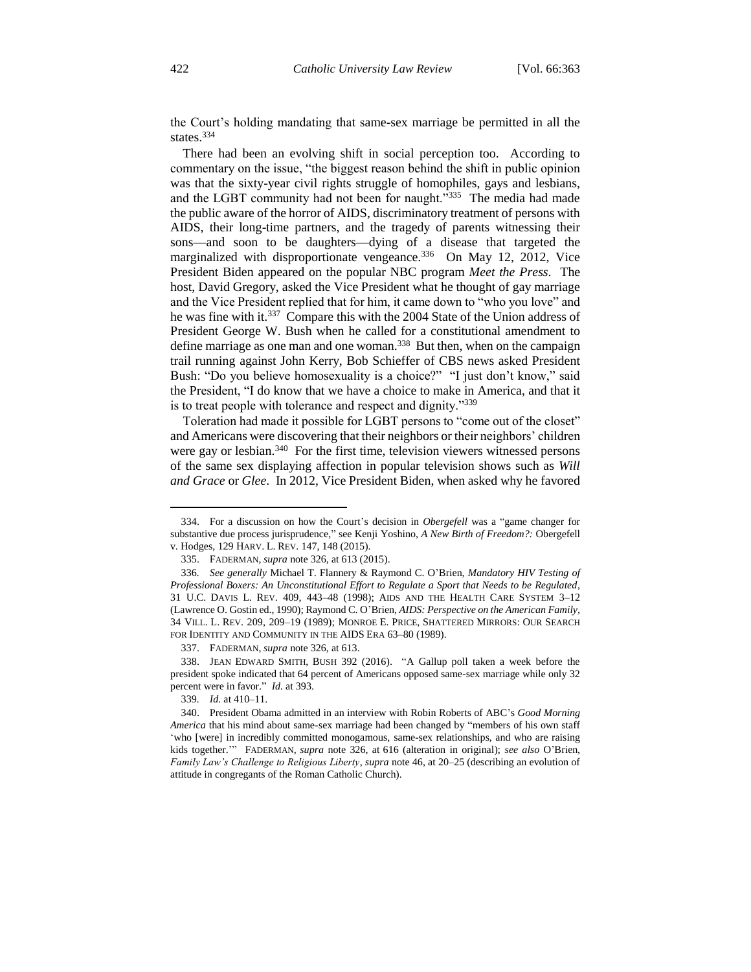the Court's holding mandating that same-sex marriage be permitted in all the states.<sup>334</sup>

There had been an evolving shift in social perception too. According to commentary on the issue, "the biggest reason behind the shift in public opinion was that the sixty-year civil rights struggle of homophiles, gays and lesbians, and the LGBT community had not been for naught."<sup>335</sup> The media had made the public aware of the horror of AIDS, discriminatory treatment of persons with AIDS, their long-time partners, and the tragedy of parents witnessing their sons—and soon to be daughters—dying of a disease that targeted the marginalized with disproportionate vengeance.<sup>336</sup> On May 12, 2012, Vice President Biden appeared on the popular NBC program *Meet the Press*. The host, David Gregory, asked the Vice President what he thought of gay marriage and the Vice President replied that for him, it came down to "who you love" and he was fine with it.<sup>337</sup> Compare this with the 2004 State of the Union address of President George W. Bush when he called for a constitutional amendment to define marriage as one man and one woman.<sup>338</sup> But then, when on the campaign trail running against John Kerry, Bob Schieffer of CBS news asked President Bush: "Do you believe homosexuality is a choice?" "I just don't know," said the President, "I do know that we have a choice to make in America, and that it is to treat people with tolerance and respect and dignity."<sup>339</sup>

Toleration had made it possible for LGBT persons to "come out of the closet" and Americans were discovering that their neighbors or their neighbors' children were gay or lesbian.<sup>340</sup> For the first time, television viewers witnessed persons of the same sex displaying affection in popular television shows such as *Will and Grace* or *Glee*. In 2012, Vice President Biden, when asked why he favored

<sup>334.</sup> For a discussion on how the Court's decision in *Obergefell* was a "game changer for substantive due process jurisprudence," see Kenji Yoshino, *A New Birth of Freedom?:* Obergefell v. Hodges, 129 HARV. L. REV. 147, 148 (2015).

<sup>335.</sup> FADERMAN, *supra* note 326, at 613 (2015).

<sup>336</sup>*. See generally* Michael T. Flannery & Raymond C. O'Brien, *Mandatory HIV Testing of Professional Boxers: An Unconstitutional Effort to Regulate a Sport that Needs to be Regulated*, 31 U.C. DAVIS L. REV. 409, 443–48 (1998); AIDS AND THE HEALTH CARE SYSTEM 3–12 (Lawrence O. Gostin ed., 1990); Raymond C. O'Brien, *AIDS: Perspective on the American Family*, 34 VILL. L. REV. 209, 209–19 (1989); MONROE E. PRICE, SHATTERED MIRRORS: OUR SEARCH FOR IDENTITY AND COMMUNITY IN THE AIDS ERA 63-80 (1989).

<sup>337.</sup> FADERMAN, *supra* note 326, at 613.

<sup>338.</sup> JEAN EDWARD SMITH, BUSH 392 (2016). "A Gallup poll taken a week before the president spoke indicated that 64 percent of Americans opposed same-sex marriage while only 32 percent were in favor." *Id.* at 393.

<sup>339</sup>*. Id.* at 410–11.

<sup>340.</sup> President Obama admitted in an interview with Robin Roberts of ABC's *Good Morning America* that his mind about same-sex marriage had been changed by "members of his own staff 'who [were] in incredibly committed monogamous, same-sex relationships, and who are raising kids together.'" FADERMAN, *supra* note 326, at 616 (alteration in original); *see also* O'Brien, *Family Law's Challenge to Religious Liberty*, *supra* note 46, at 20–25 (describing an evolution of attitude in congregants of the Roman Catholic Church).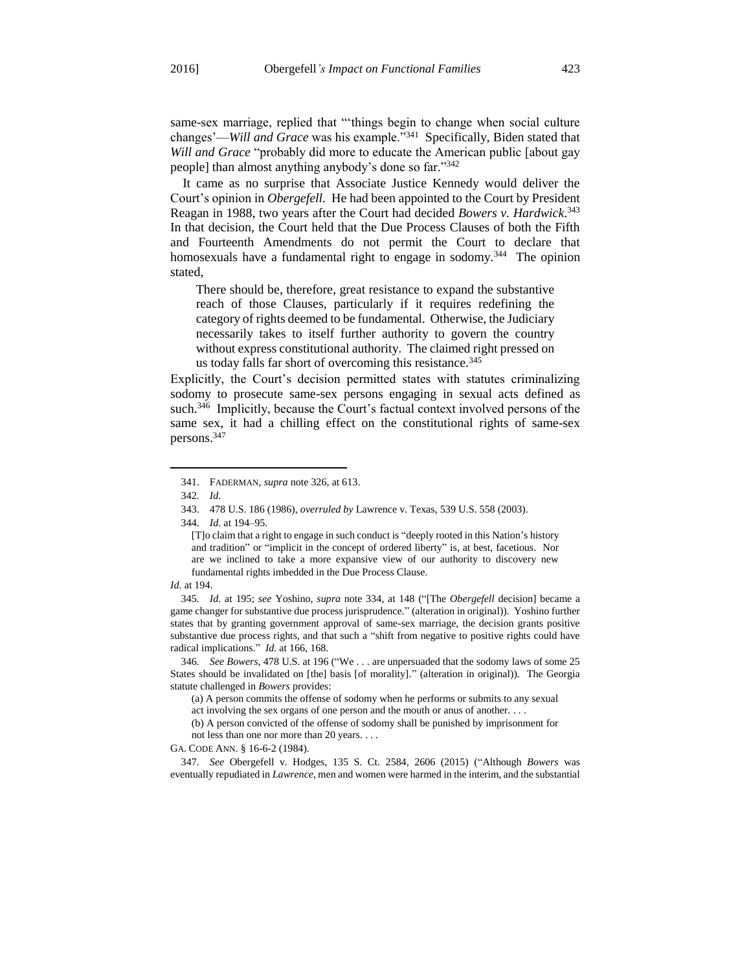same-sex marriage, replied that "'things begin to change when social culture changes'—*Will and Grace* was his example."<sup>341</sup> Specifically, Biden stated that *Will and Grace* "probably did more to educate the American public [about gay people] than almost anything anybody's done so far."<sup>342</sup>

It came as no surprise that Associate Justice Kennedy would deliver the Court's opinion in *Obergefell*. He had been appointed to the Court by President Reagan in 1988, two years after the Court had decided *Bowers v. Hardwick*. 343 In that decision, the Court held that the Due Process Clauses of both the Fifth and Fourteenth Amendments do not permit the Court to declare that homosexuals have a fundamental right to engage in sodomy.<sup>344</sup> The opinion stated,

There should be, therefore, great resistance to expand the substantive reach of those Clauses, particularly if it requires redefining the category of rights deemed to be fundamental. Otherwise, the Judiciary necessarily takes to itself further authority to govern the country without express constitutional authority. The claimed right pressed on us today falls far short of overcoming this resistance.<sup>345</sup>

Explicitly, the Court's decision permitted states with statutes criminalizing sodomy to prosecute same-sex persons engaging in sexual acts defined as such.<sup>346</sup> Implicitly, because the Court's factual context involved persons of the same sex, it had a chilling effect on the constitutional rights of same-sex persons.<sup>347</sup>

 $\overline{a}$ 

345*. Id.* at 195; *see* Yoshino, *supra* note 334, at 148 ("[The *Obergefell* decision] became a game changer for substantive due process jurisprudence." (alteration in original)). Yoshino further states that by granting government approval of same-sex marriage, the decision grants positive substantive due process rights, and that such a "shift from negative to positive rights could have radical implications." *Id.* at 166, 168.

346*. See Bowers*, 478 U.S. at 196 ("We . . . are unpersuaded that the sodomy laws of some 25 States should be invalidated on [the] basis [of morality]." (alteration in original)). The Georgia statute challenged in *Bowers* provides:

act involving the sex organs of one person and the mouth or anus of another. . . .

GA. CODE ANN. § 16-6-2 (1984).

347*. See* Obergefell v. Hodges, 135 S. Ct. 2584, 2606 (2015) ("Although *Bowers* was eventually repudiated in *Lawrence*, men and women were harmed in the interim, and the substantial

<sup>341.</sup> FADERMAN, *supra* note 326, at 613.

<sup>342</sup>*. Id.*

<sup>343.</sup> 478 U.S. 186 (1986), *overruled by* Lawrence v. Texas, 539 U.S. 558 (2003).

<sup>344</sup>*. Id.* at 194–95.

<sup>[</sup>T]o claim that a right to engage in such conduct is "deeply rooted in this Nation's history and tradition" or "implicit in the concept of ordered liberty" is, at best, facetious. Nor are we inclined to take a more expansive view of our authority to discovery new fundamental rights imbedded in the Due Process Clause.

*Id.* at 194.

<sup>(</sup>a) A person commits the offense of sodomy when he performs or submits to any sexual

<sup>(</sup>b) A person convicted of the offense of sodomy shall be punished by imprisonment for not less than one nor more than 20 years. . . .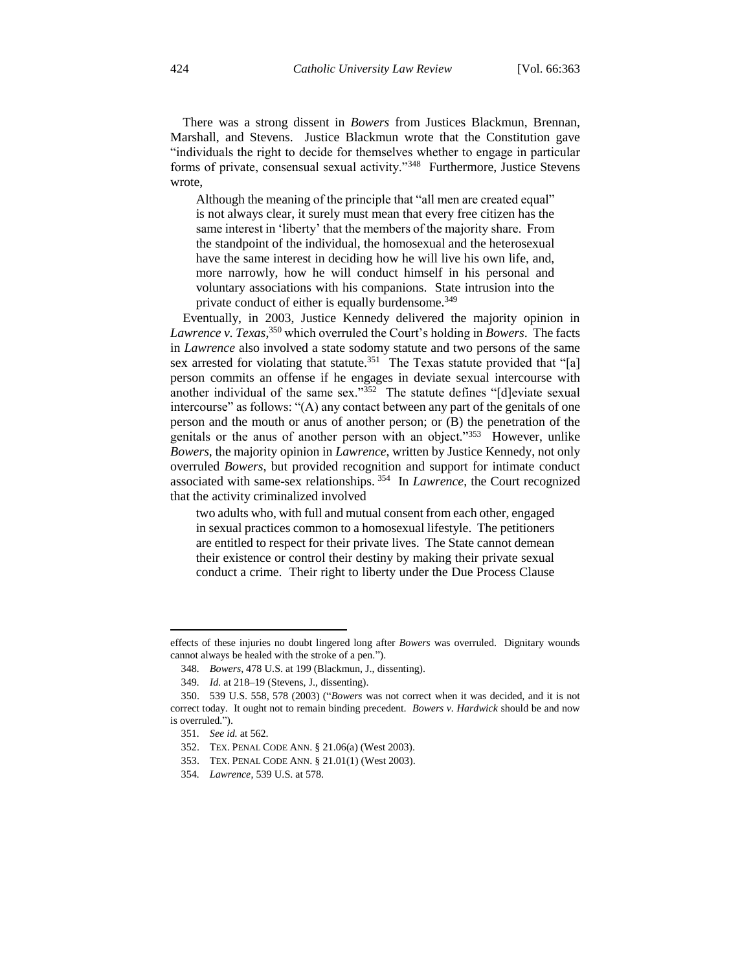There was a strong dissent in *Bowers* from Justices Blackmun, Brennan, Marshall, and Stevens. Justice Blackmun wrote that the Constitution gave "individuals the right to decide for themselves whether to engage in particular forms of private, consensual sexual activity."<sup>348</sup> Furthermore, Justice Stevens wrote,

Although the meaning of the principle that "all men are created equal" is not always clear, it surely must mean that every free citizen has the same interest in 'liberty' that the members of the majority share. From the standpoint of the individual, the homosexual and the heterosexual have the same interest in deciding how he will live his own life, and, more narrowly, how he will conduct himself in his personal and voluntary associations with his companions. State intrusion into the private conduct of either is equally burdensome.<sup>349</sup>

Eventually, in 2003, Justice Kennedy delivered the majority opinion in *Lawrence v. Texas*, <sup>350</sup> which overruled the Court's holding in *Bowers*. The facts in *Lawrence* also involved a state sodomy statute and two persons of the same sex arrested for violating that statute.<sup>351</sup> The Texas statute provided that "[a] person commits an offense if he engages in deviate sexual intercourse with another individual of the same sex."<sup>352</sup> The statute defines "[d]eviate sexual intercourse" as follows: "(A) any contact between any part of the genitals of one person and the mouth or anus of another person; or (B) the penetration of the genitals or the anus of another person with an object."<sup>353</sup> However, unlike *Bowers*, the majority opinion in *Lawrence*, written by Justice Kennedy, not only overruled *Bowers*, but provided recognition and support for intimate conduct associated with same-sex relationships. <sup>354</sup> In *Lawrence*, the Court recognized that the activity criminalized involved

two adults who, with full and mutual consent from each other, engaged in sexual practices common to a homosexual lifestyle. The petitioners are entitled to respect for their private lives. The State cannot demean their existence or control their destiny by making their private sexual conduct a crime. Their right to liberty under the Due Process Clause

effects of these injuries no doubt lingered long after *Bowers* was overruled. Dignitary wounds cannot always be healed with the stroke of a pen.").

<sup>348</sup>*. Bowers*, 478 U.S. at 199 (Blackmun, J., dissenting).

<sup>349</sup>*. Id.* at 218–19 (Stevens, J., dissenting).

<sup>350.</sup> 539 U.S. 558, 578 (2003) ("*Bowers* was not correct when it was decided, and it is not correct today. It ought not to remain binding precedent. *Bowers v. Hardwick* should be and now is overruled.").

<sup>351</sup>*. See id.* at 562.

<sup>352.</sup> TEX. PENAL CODE ANN. § 21.06(a) (West 2003).

<sup>353.</sup> TEX. PENAL CODE ANN. § 21.01(1) (West 2003).

<sup>354</sup>*. Lawrence*, 539 U.S. at 578.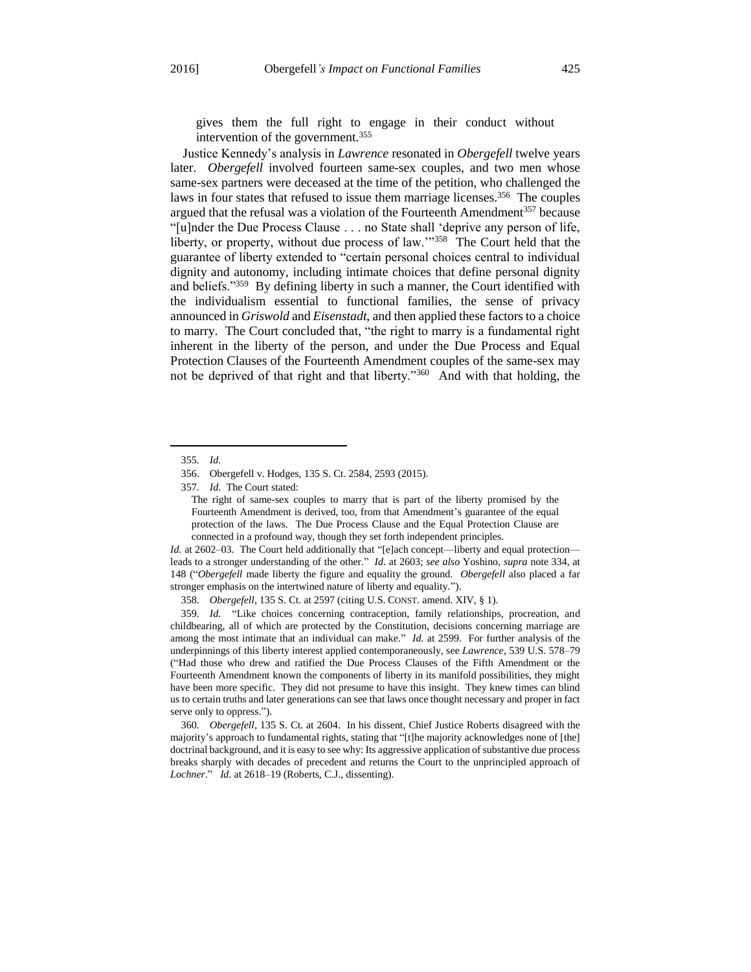gives them the full right to engage in their conduct without intervention of the government.<sup>355</sup>

Justice Kennedy's analysis in *Lawrence* resonated in *Obergefell* twelve years later. *Obergefell* involved fourteen same-sex couples, and two men whose same-sex partners were deceased at the time of the petition, who challenged the laws in four states that refused to issue them marriage licenses.<sup>356</sup> The couples argued that the refusal was a violation of the Fourteenth Amendment $357$  because "[u]nder the Due Process Clause . . . no State shall 'deprive any person of life, liberty, or property, without due process of law.<sup>358</sup> The Court held that the guarantee of liberty extended to "certain personal choices central to individual dignity and autonomy, including intimate choices that define personal dignity and beliefs."<sup>359</sup> By defining liberty in such a manner, the Court identified with the individualism essential to functional families, the sense of privacy announced in *Griswold* and *Eisenstadt*, and then applied these factors to a choice to marry. The Court concluded that, "the right to marry is a fundamental right inherent in the liberty of the person, and under the Due Process and Equal Protection Clauses of the Fourteenth Amendment couples of the same-sex may not be deprived of that right and that liberty."<sup>360</sup> And with that holding, the

 $\overline{a}$ 

*Id.* at 2602–03. The Court held additionally that "[e]ach concept—liberty and equal protection leads to a stronger understanding of the other." *Id.* at 2603; *see also* Yoshino, *supra* note 334, at 148 ("*Obergefell* made liberty the figure and equality the ground. *Obergefell* also placed a far stronger emphasis on the intertwined nature of liberty and equality.").

360*. Obergefell*, 135 S. Ct. at 2604. In his dissent, Chief Justice Roberts disagreed with the majority's approach to fundamental rights, stating that "[t]he majority acknowledges none of [the] doctrinal background, and it is easy to see why: Its aggressive application of substantive due process breaks sharply with decades of precedent and returns the Court to the unprincipled approach of *Lochner*." *Id.* at 2618–19 (Roberts, C.J., dissenting).

<sup>355</sup>*. Id.*

<sup>356.</sup> Obergefell v. Hodges, 135 S. Ct. 2584, 2593 (2015).

<sup>357</sup>*. Id.* The Court stated:

The right of same-sex couples to marry that is part of the liberty promised by the Fourteenth Amendment is derived, too, from that Amendment's guarantee of the equal protection of the laws. The Due Process Clause and the Equal Protection Clause are connected in a profound way, though they set forth independent principles.

<sup>358</sup>*. Obergefell*, 135 S. Ct. at 2597 (citing U.S. CONST. amend. XIV, § 1).

<sup>359</sup>*. Id.* "Like choices concerning contraception, family relationships, procreation, and childbearing, all of which are protected by the Constitution, decisions concerning marriage are among the most intimate that an individual can make." *Id.* at 2599. For further analysis of the underpinnings of this liberty interest applied contemporaneously, see *Lawrence*, 539 U.S. 578–79 ("Had those who drew and ratified the Due Process Clauses of the Fifth Amendment or the Fourteenth Amendment known the components of liberty in its manifold possibilities, they might have been more specific. They did not presume to have this insight. They knew times can blind us to certain truths and later generations can see that laws once thought necessary and proper in fact serve only to oppress.").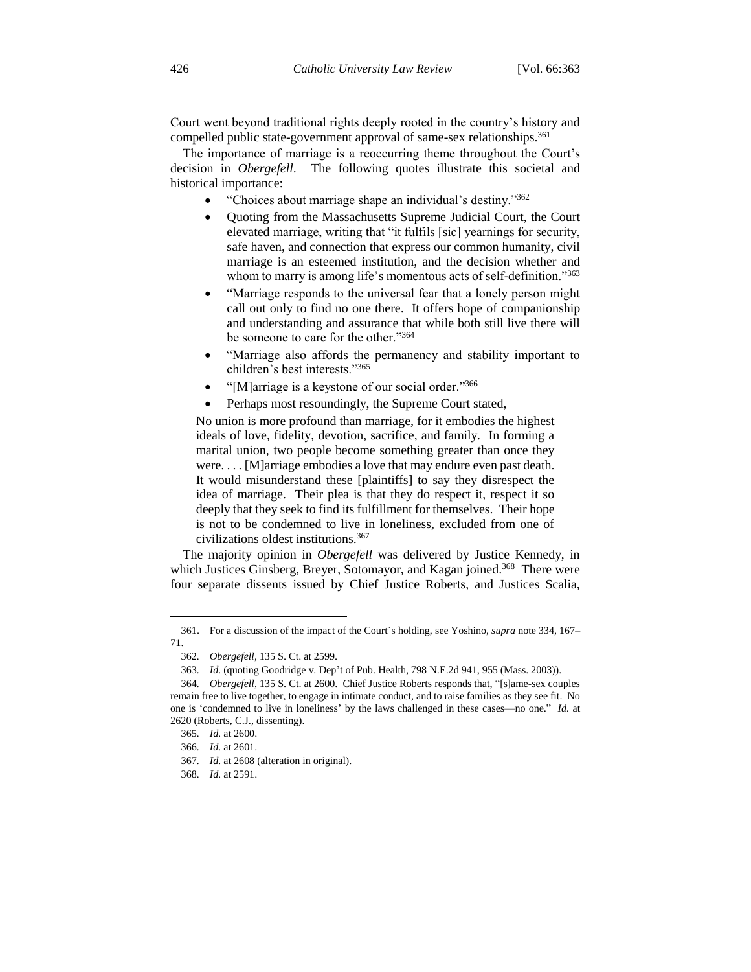Court went beyond traditional rights deeply rooted in the country's history and compelled public state-government approval of same-sex relationships.<sup>361</sup>

The importance of marriage is a reoccurring theme throughout the Court's decision in *Obergefell*.The following quotes illustrate this societal and historical importance:

- "Choices about marriage shape an individual's destiny."362
- Quoting from the Massachusetts Supreme Judicial Court, the Court elevated marriage, writing that "it fulfils [sic] yearnings for security, safe haven, and connection that express our common humanity, civil marriage is an esteemed institution, and the decision whether and whom to marry is among life's momentous acts of self-definition."<sup>363</sup>
- "Marriage responds to the universal fear that a lonely person might call out only to find no one there. It offers hope of companionship and understanding and assurance that while both still live there will be someone to care for the other."<sup>364</sup>
- "Marriage also affords the permanency and stability important to children's best interests."<sup>365</sup>
- "[M]arriage is a keystone of our social order."366
- Perhaps most resoundingly, the Supreme Court stated,

No union is more profound than marriage, for it embodies the highest ideals of love, fidelity, devotion, sacrifice, and family. In forming a marital union, two people become something greater than once they were. . . . [M]arriage embodies a love that may endure even past death. It would misunderstand these [plaintiffs] to say they disrespect the idea of marriage. Their plea is that they do respect it, respect it so deeply that they seek to find its fulfillment for themselves. Their hope is not to be condemned to live in loneliness, excluded from one of civilizations oldest institutions.<sup>367</sup>

The majority opinion in *Obergefell* was delivered by Justice Kennedy, in which Justices Ginsberg, Breyer, Sotomayor, and Kagan joined.<sup>368</sup> There were four separate dissents issued by Chief Justice Roberts, and Justices Scalia,

<sup>361.</sup> For a discussion of the impact of the Court's holding, see Yoshino, *supra* note 334, 167– 71.

<sup>362</sup>*. Obergefell*, 135 S. Ct. at 2599.

<sup>363</sup>*. Id.* (quoting Goodridge v. Dep't of Pub. Health, 798 N.E.2d 941, 955 (Mass. 2003)).

<sup>364</sup>*. Obergefell*, 135 S. Ct. at 2600. Chief Justice Roberts responds that, "[s]ame-sex couples remain free to live together, to engage in intimate conduct, and to raise families as they see fit. No one is 'condemned to live in loneliness' by the laws challenged in these cases—no one." *Id.* at 2620 (Roberts, C.J., dissenting).

<sup>365</sup>*. Id.* at 2600.

<sup>366</sup>*. Id.* at 2601.

<sup>367</sup>*. Id.* at 2608 (alteration in original).

<sup>368</sup>*. Id.* at 2591.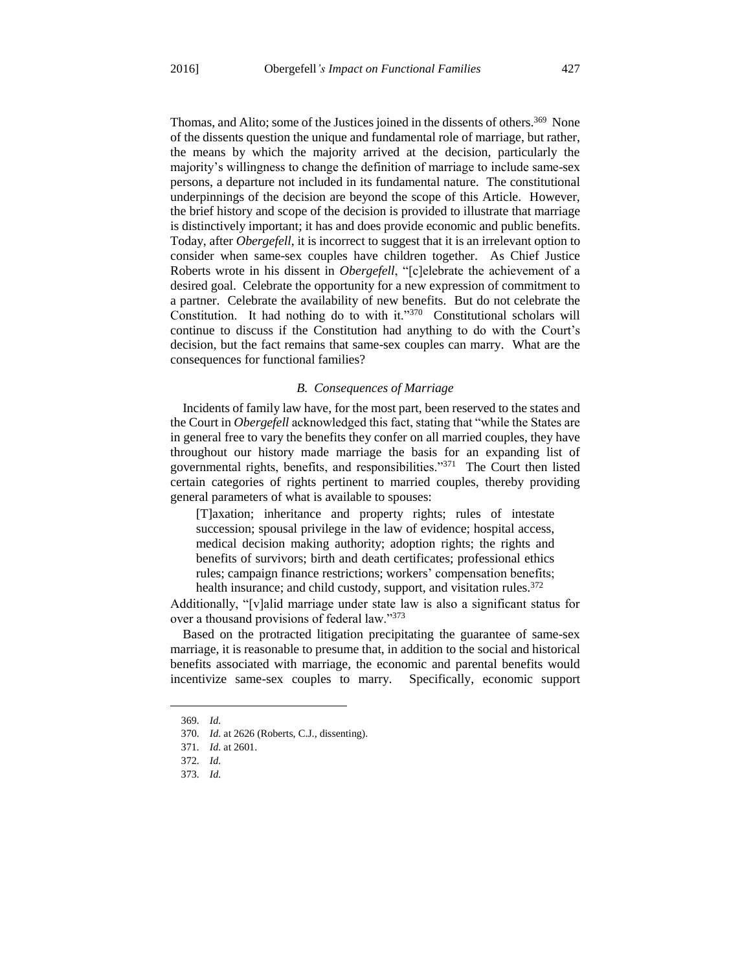Thomas, and Alito; some of the Justices joined in the dissents of others.<sup>369</sup> None of the dissents question the unique and fundamental role of marriage, but rather, the means by which the majority arrived at the decision, particularly the majority's willingness to change the definition of marriage to include same-sex persons, a departure not included in its fundamental nature. The constitutional underpinnings of the decision are beyond the scope of this Article. However, the brief history and scope of the decision is provided to illustrate that marriage is distinctively important; it has and does provide economic and public benefits. Today, after *Obergefell*, it is incorrect to suggest that it is an irrelevant option to consider when same-sex couples have children together. As Chief Justice Roberts wrote in his dissent in *Obergefell*, "[c]elebrate the achievement of a desired goal. Celebrate the opportunity for a new expression of commitment to a partner. Celebrate the availability of new benefits. But do not celebrate the Constitution. It had nothing do to with it."370 Constitutional scholars will continue to discuss if the Constitution had anything to do with the Court's decision, but the fact remains that same-sex couples can marry. What are the consequences for functional families?

## *B. Consequences of Marriage*

Incidents of family law have, for the most part, been reserved to the states and the Court in *Obergefell* acknowledged this fact, stating that "while the States are in general free to vary the benefits they confer on all married couples, they have throughout our history made marriage the basis for an expanding list of governmental rights, benefits, and responsibilities."<sup>371</sup> The Court then listed certain categories of rights pertinent to married couples, thereby providing general parameters of what is available to spouses:

[T]axation; inheritance and property rights; rules of intestate succession; spousal privilege in the law of evidence; hospital access, medical decision making authority; adoption rights; the rights and benefits of survivors; birth and death certificates; professional ethics rules; campaign finance restrictions; workers' compensation benefits; health insurance; and child custody, support, and visitation rules.<sup>372</sup>

Additionally, "[v]alid marriage under state law is also a significant status for over a thousand provisions of federal law."<sup>373</sup>

Based on the protracted litigation precipitating the guarantee of same-sex marriage, it is reasonable to presume that, in addition to the social and historical benefits associated with marriage, the economic and parental benefits would incentivize same-sex couples to marry. Specifically, economic support

<sup>369</sup>*. Id.*

<sup>370</sup>*. Id.* at 2626 (Roberts, C.J., dissenting).

<sup>371</sup>*. Id.* at 2601.

<sup>372</sup>*. Id.*

<sup>373</sup>*. Id.*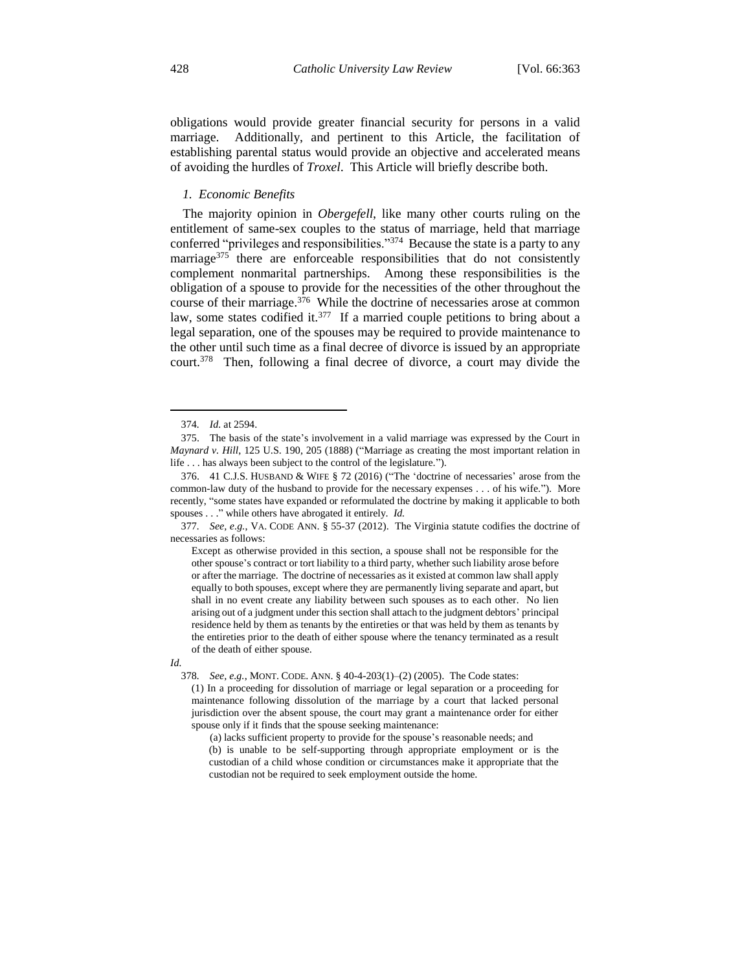obligations would provide greater financial security for persons in a valid marriage. Additionally, and pertinent to this Article, the facilitation of establishing parental status would provide an objective and accelerated means of avoiding the hurdles of *Troxel*. This Article will briefly describe both.

# *1. Economic Benefits*

The majority opinion in *Obergefell*, like many other courts ruling on the entitlement of same-sex couples to the status of marriage, held that marriage conferred "privileges and responsibilities."<sup>374</sup> Because the state is a party to any marriage $375$  there are enforceable responsibilities that do not consistently complement nonmarital partnerships. Among these responsibilities is the obligation of a spouse to provide for the necessities of the other throughout the course of their marriage.<sup>376</sup> While the doctrine of necessaries arose at common law, some states codified it.<sup>377</sup> If a married couple petitions to bring about a legal separation, one of the spouses may be required to provide maintenance to the other until such time as a final decree of divorce is issued by an appropriate court.<sup>378</sup> Then, following a final decree of divorce, a court may divide the

 $\ddot{\phantom{a}}$ 

*Id.*

378*. See, e.g.*, MONT. CODE. ANN. § 40-4-203(1)–(2) (2005). The Code states:

<sup>374</sup>*. Id.* at 2594.

<sup>375.</sup> The basis of the state's involvement in a valid marriage was expressed by the Court in *Maynard v. Hill*, 125 U.S. 190, 205 (1888) ("Marriage as creating the most important relation in life . . . has always been subject to the control of the legislature.").

<sup>376.</sup> 41 C.J.S. HUSBAND & WIFE § 72 (2016) ("The 'doctrine of necessaries' arose from the common-law duty of the husband to provide for the necessary expenses . . . of his wife."). More recently, "some states have expanded or reformulated the doctrine by making it applicable to both spouses . . ." while others have abrogated it entirely. *Id.*

<sup>377</sup>*. See, e.g.*, VA. CODE ANN. § 55-37 (2012). The Virginia statute codifies the doctrine of necessaries as follows:

Except as otherwise provided in this section, a spouse shall not be responsible for the other spouse's contract or tort liability to a third party, whether such liability arose before or after the marriage. The doctrine of necessaries as it existed at common law shall apply equally to both spouses, except where they are permanently living separate and apart, but shall in no event create any liability between such spouses as to each other. No lien arising out of a judgment under this section shall attach to the judgment debtors' principal residence held by them as tenants by the entireties or that was held by them as tenants by the entireties prior to the death of either spouse where the tenancy terminated as a result of the death of either spouse.

<sup>(1)</sup> In a proceeding for dissolution of marriage or legal separation or a proceeding for maintenance following dissolution of the marriage by a court that lacked personal jurisdiction over the absent spouse, the court may grant a maintenance order for either spouse only if it finds that the spouse seeking maintenance:

<sup>(</sup>a) lacks sufficient property to provide for the spouse's reasonable needs; and (b) is unable to be self-supporting through appropriate employment or is the custodian of a child whose condition or circumstances make it appropriate that the custodian not be required to seek employment outside the home.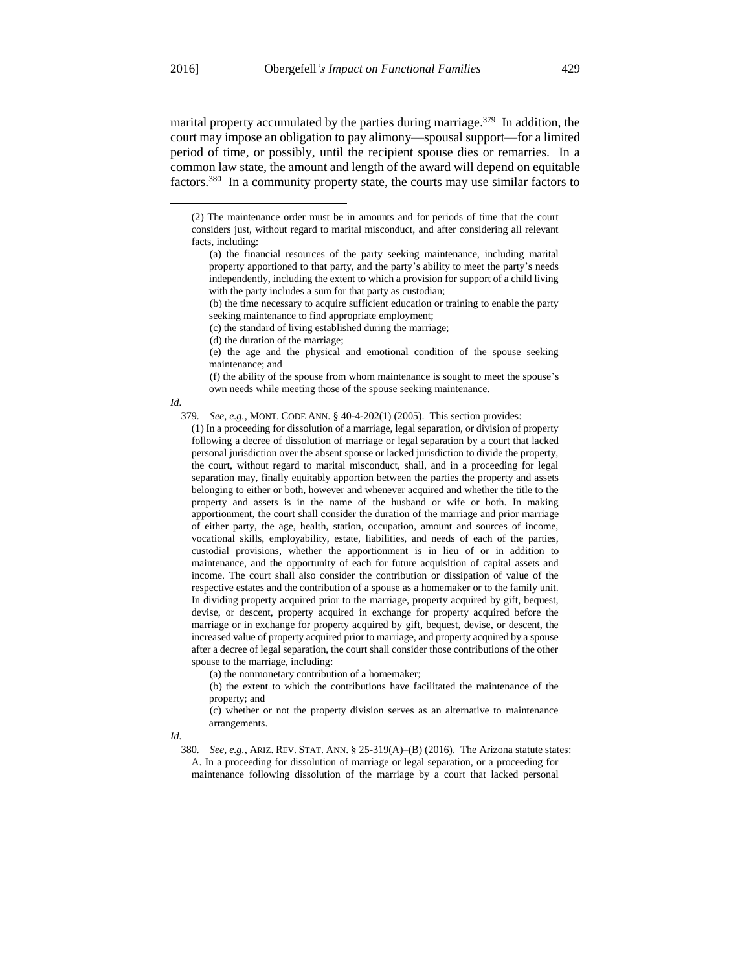$\ddot{\phantom{a}}$ 

marital property accumulated by the parties during marriage.<sup>379</sup> In addition, the court may impose an obligation to pay alimony—spousal support—for a limited period of time, or possibly, until the recipient spouse dies or remarries. In a common law state, the amount and length of the award will depend on equitable factors.<sup>380</sup> In a community property state, the courts may use similar factors to

(b) the time necessary to acquire sufficient education or training to enable the party seeking maintenance to find appropriate employment;

(c) the standard of living established during the marriage;

(d) the duration of the marriage;

(e) the age and the physical and emotional condition of the spouse seeking maintenance; and

(f) the ability of the spouse from whom maintenance is sought to meet the spouse's own needs while meeting those of the spouse seeking maintenance.

379*. See, e.g.*, MONT. CODE ANN. § 40-4-202(1) (2005). This section provides:

(1) In a proceeding for dissolution of a marriage, legal separation, or division of property following a decree of dissolution of marriage or legal separation by a court that lacked personal jurisdiction over the absent spouse or lacked jurisdiction to divide the property, the court, without regard to marital misconduct, shall, and in a proceeding for legal separation may, finally equitably apportion between the parties the property and assets belonging to either or both, however and whenever acquired and whether the title to the property and assets is in the name of the husband or wife or both. In making apportionment, the court shall consider the duration of the marriage and prior marriage of either party, the age, health, station, occupation, amount and sources of income, vocational skills, employability, estate, liabilities, and needs of each of the parties, custodial provisions, whether the apportionment is in lieu of or in addition to maintenance, and the opportunity of each for future acquisition of capital assets and income. The court shall also consider the contribution or dissipation of value of the respective estates and the contribution of a spouse as a homemaker or to the family unit. In dividing property acquired prior to the marriage, property acquired by gift, bequest, devise, or descent, property acquired in exchange for property acquired before the marriage or in exchange for property acquired by gift, bequest, devise, or descent, the increased value of property acquired prior to marriage, and property acquired by a spouse after a decree of legal separation, the court shall consider those contributions of the other spouse to the marriage, including:

(a) the nonmonetary contribution of a homemaker;

(b) the extent to which the contributions have facilitated the maintenance of the property; and

(c) whether or not the property division serves as an alternative to maintenance arrangements.

*Id.*

380*. See, e.g.*, ARIZ. REV. STAT. ANN. § 25-319(A)–(B) (2016). The Arizona statute states: A. In a proceeding for dissolution of marriage or legal separation, or a proceeding for maintenance following dissolution of the marriage by a court that lacked personal

<sup>(2)</sup> The maintenance order must be in amounts and for periods of time that the court considers just, without regard to marital misconduct, and after considering all relevant facts, including:

<sup>(</sup>a) the financial resources of the party seeking maintenance, including marital property apportioned to that party, and the party's ability to meet the party's needs independently, including the extent to which a provision for support of a child living with the party includes a sum for that party as custodian;

*Id.*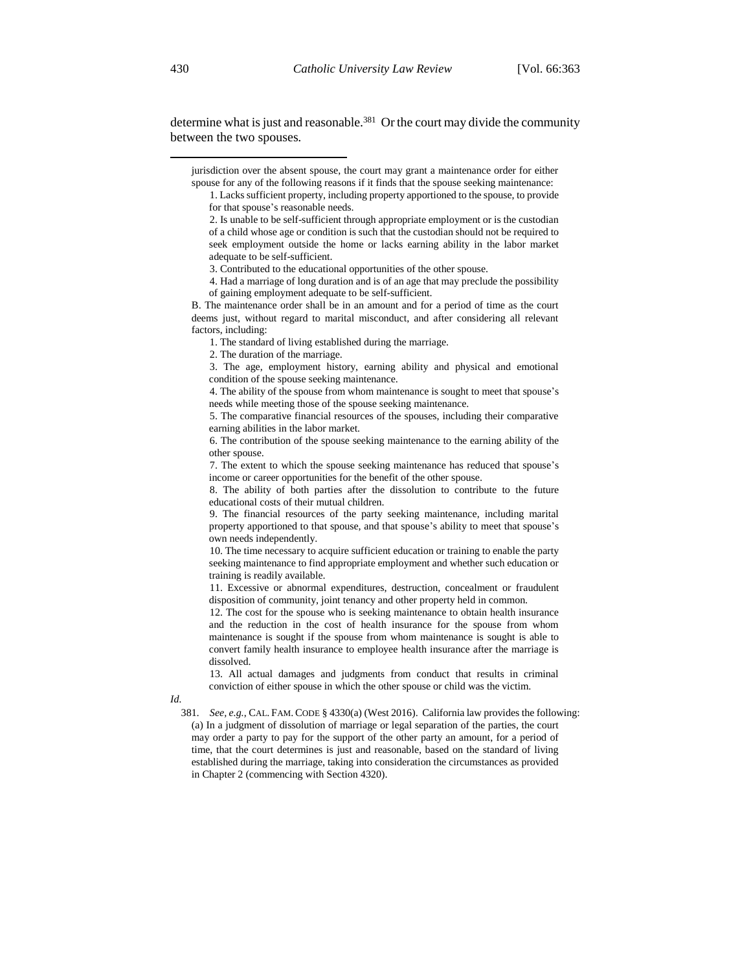determine what is just and reasonable.<sup>381</sup> Or the court may divide the community between the two spouses.

jurisdiction over the absent spouse, the court may grant a maintenance order for either spouse for any of the following reasons if it finds that the spouse seeking maintenance:

B. The maintenance order shall be in an amount and for a period of time as the court deems just, without regard to marital misconduct, and after considering all relevant factors, including:

1. The standard of living established during the marriage.

2. The duration of the marriage.

3. The age, employment history, earning ability and physical and emotional condition of the spouse seeking maintenance.

4. The ability of the spouse from whom maintenance is sought to meet that spouse's needs while meeting those of the spouse seeking maintenance.

5. The comparative financial resources of the spouses, including their comparative earning abilities in the labor market.

6. The contribution of the spouse seeking maintenance to the earning ability of the other spouse.

7. The extent to which the spouse seeking maintenance has reduced that spouse's income or career opportunities for the benefit of the other spouse.

8. The ability of both parties after the dissolution to contribute to the future educational costs of their mutual children.

9. The financial resources of the party seeking maintenance, including marital property apportioned to that spouse, and that spouse's ability to meet that spouse's own needs independently.

10. The time necessary to acquire sufficient education or training to enable the party seeking maintenance to find appropriate employment and whether such education or training is readily available.

11. Excessive or abnormal expenditures, destruction, concealment or fraudulent disposition of community, joint tenancy and other property held in common.

12. The cost for the spouse who is seeking maintenance to obtain health insurance and the reduction in the cost of health insurance for the spouse from whom maintenance is sought if the spouse from whom maintenance is sought is able to convert family health insurance to employee health insurance after the marriage is dissolved.

13. All actual damages and judgments from conduct that results in criminal conviction of either spouse in which the other spouse or child was the victim.

381*. See, e.g.*, CAL. FAM. CODE § 4330(a) (West 2016). California law provides the following: (a) In a judgment of dissolution of marriage or legal separation of the parties, the court may order a party to pay for the support of the other party an amount, for a period of time, that the court determines is just and reasonable, based on the standard of living established during the marriage, taking into consideration the circumstances as provided in Chapter 2 (commencing with Section 4320).

<sup>1.</sup> Lacks sufficient property, including property apportioned to the spouse, to provide for that spouse's reasonable needs.

<sup>2.</sup> Is unable to be self-sufficient through appropriate employment or is the custodian of a child whose age or condition is such that the custodian should not be required to seek employment outside the home or lacks earning ability in the labor market adequate to be self-sufficient.

<sup>3.</sup> Contributed to the educational opportunities of the other spouse.

<sup>4.</sup> Had a marriage of long duration and is of an age that may preclude the possibility of gaining employment adequate to be self-sufficient.

*Id.*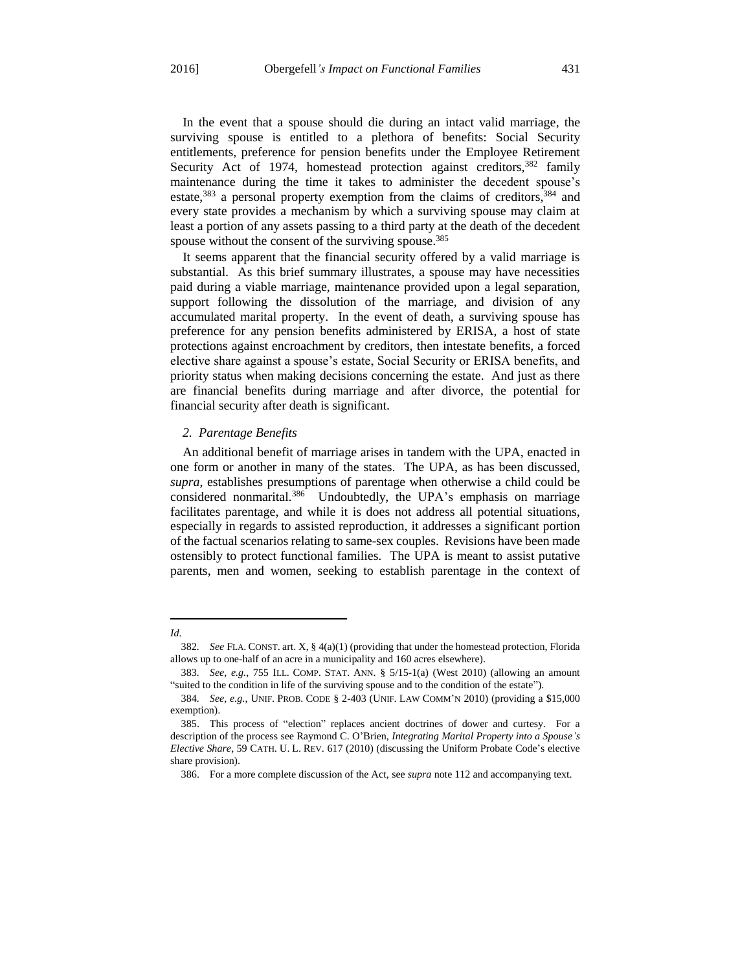In the event that a spouse should die during an intact valid marriage, the surviving spouse is entitled to a plethora of benefits: Social Security entitlements, preference for pension benefits under the Employee Retirement Security Act of 1974, homestead protection against creditors,<sup>382</sup> family maintenance during the time it takes to administer the decedent spouse's estate,<sup>383</sup> a personal property exemption from the claims of creditors,<sup>384</sup> and every state provides a mechanism by which a surviving spouse may claim at least a portion of any assets passing to a third party at the death of the decedent spouse without the consent of the surviving spouse.<sup>385</sup>

It seems apparent that the financial security offered by a valid marriage is substantial. As this brief summary illustrates, a spouse may have necessities paid during a viable marriage, maintenance provided upon a legal separation, support following the dissolution of the marriage, and division of any accumulated marital property. In the event of death, a surviving spouse has preference for any pension benefits administered by ERISA, a host of state protections against encroachment by creditors, then intestate benefits, a forced elective share against a spouse's estate, Social Security or ERISA benefits, and priority status when making decisions concerning the estate. And just as there are financial benefits during marriage and after divorce, the potential for financial security after death is significant.

## *2. Parentage Benefits*

An additional benefit of marriage arises in tandem with the UPA, enacted in one form or another in many of the states. The UPA, as has been discussed, *supra*, establishes presumptions of parentage when otherwise a child could be considered nonmarital.<sup>386</sup> Undoubtedly, the UPA's emphasis on marriage facilitates parentage, and while it is does not address all potential situations, especially in regards to assisted reproduction, it addresses a significant portion of the factual scenarios relating to same-sex couples. Revisions have been made ostensibly to protect functional families. The UPA is meant to assist putative parents, men and women, seeking to establish parentage in the context of

 $\overline{a}$ *Id.*

<sup>382</sup>*. See* FLA. CONST. art. X, § 4(a)(1) (providing that under the homestead protection, Florida allows up to one-half of an acre in a municipality and 160 acres elsewhere).

<sup>383</sup>*. See, e.g.*, 755 ILL. COMP. STAT. ANN. § 5/15-1(a) (West 2010) (allowing an amount "suited to the condition in life of the surviving spouse and to the condition of the estate").

<sup>384</sup>*. See, e.g.*, UNIF. PROB. CODE § 2-403 (UNIF. LAW COMM'N 2010) (providing a \$15,000 exemption).

<sup>385.</sup> This process of "election" replaces ancient doctrines of dower and curtesy. For a description of the process see Raymond C. O'Brien, *Integrating Marital Property into a Spouse's Elective Share*, 59 CATH. U. L. REV. 617 (2010) (discussing the Uniform Probate Code's elective share provision).

<sup>386.</sup> For a more complete discussion of the Act, see *supra* note 112 and accompanying text.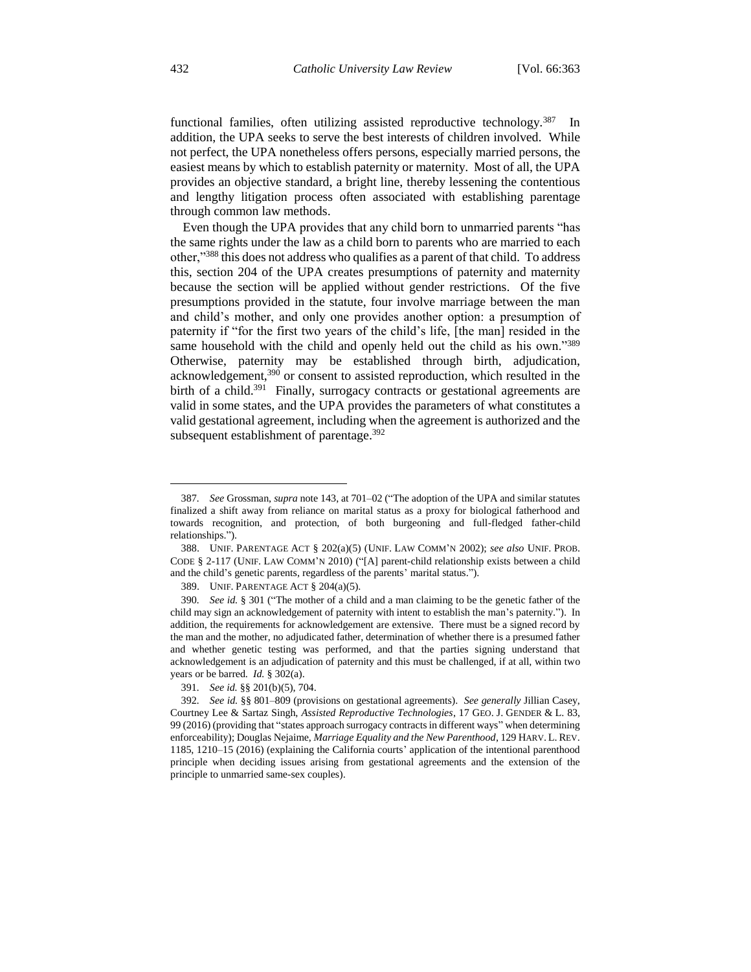functional families, often utilizing assisted reproductive technology.<sup>387</sup> In addition, the UPA seeks to serve the best interests of children involved. While not perfect, the UPA nonetheless offers persons, especially married persons, the easiest means by which to establish paternity or maternity. Most of all, the UPA provides an objective standard, a bright line, thereby lessening the contentious and lengthy litigation process often associated with establishing parentage through common law methods.

Even though the UPA provides that any child born to unmarried parents "has the same rights under the law as a child born to parents who are married to each other,"<sup>388</sup> this does not address who qualifies as a parent of that child. To address this, section 204 of the UPA creates presumptions of paternity and maternity because the section will be applied without gender restrictions. Of the five presumptions provided in the statute, four involve marriage between the man and child's mother, and only one provides another option: a presumption of paternity if "for the first two years of the child's life, [the man] resided in the same household with the child and openly held out the child as his own."389 Otherwise, paternity may be established through birth, adjudication, acknowledgement,<sup>390</sup> or consent to assisted reproduction, which resulted in the birth of a child.<sup>391</sup> Finally, surrogacy contracts or gestational agreements are valid in some states, and the UPA provides the parameters of what constitutes a valid gestational agreement, including when the agreement is authorized and the subsequent establishment of parentage. $392$ 

<sup>387</sup>*. See* Grossman, *supra* note 143, at 701–02 ("The adoption of the UPA and similar statutes finalized a shift away from reliance on marital status as a proxy for biological fatherhood and towards recognition, and protection, of both burgeoning and full-fledged father-child relationships.").

<sup>388.</sup> UNIF. PARENTAGE ACT § 202(a)(5) (UNIF. LAW COMM'N 2002); *see also* UNIF. PROB. CODE § 2-117 (UNIF. LAW COMM'N 2010) ("[A] parent-child relationship exists between a child and the child's genetic parents, regardless of the parents' marital status.").

<sup>389.</sup> UNIF. PARENTAGE ACT § 204(a)(5).

<sup>390</sup>*. See id.* § 301 ("The mother of a child and a man claiming to be the genetic father of the child may sign an acknowledgement of paternity with intent to establish the man's paternity."). In addition, the requirements for acknowledgement are extensive. There must be a signed record by the man and the mother, no adjudicated father, determination of whether there is a presumed father and whether genetic testing was performed, and that the parties signing understand that acknowledgement is an adjudication of paternity and this must be challenged, if at all, within two years or be barred. *Id.* § 302(a).

<sup>391</sup>*. See id.* §§ 201(b)(5), 704.

<sup>392</sup>*. See id.* §§ 801–809 (provisions on gestational agreements). *See generally* Jillian Casey, Courtney Lee & Sartaz Singh, *Assisted Reproductive Technologies*, 17 GEO. J. GENDER & L. 83, 99 (2016) (providing that "states approach surrogacy contracts in different ways" when determining enforceability); Douglas Nejaime, *Marriage Equality and the New Parenthood*, 129 HARV. L. REV. 1185, 1210–15 (2016) (explaining the California courts' application of the intentional parenthood principle when deciding issues arising from gestational agreements and the extension of the principle to unmarried same-sex couples).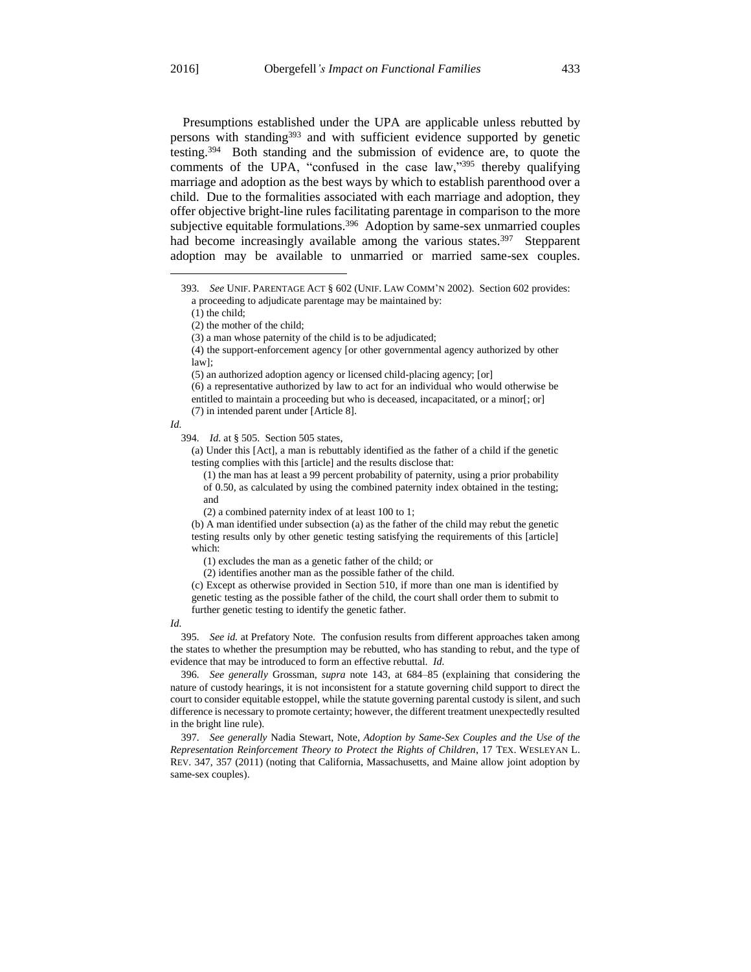Presumptions established under the UPA are applicable unless rebutted by persons with standing<sup>393</sup> and with sufficient evidence supported by genetic testing.<sup>394</sup> Both standing and the submission of evidence are, to quote the comments of the UPA, "confused in the case law,"<sup>395</sup> thereby qualifying marriage and adoption as the best ways by which to establish parenthood over a child. Due to the formalities associated with each marriage and adoption, they offer objective bright-line rules facilitating parentage in comparison to the more subjective equitable formulations.<sup>396</sup> Adoption by same-sex unmarried couples had become increasingly available among the various states.<sup>397</sup> Stepparent adoption may be available to unmarried or married same-sex couples.

*Id.*

 $\ddot{\phantom{a}}$ 

(a) Under this [Act], a man is rebuttably identified as the father of a child if the genetic testing complies with this [article] and the results disclose that:

(1) the man has at least a 99 percent probability of paternity, using a prior probability of 0.50, as calculated by using the combined paternity index obtained in the testing; and

(2) a combined paternity index of at least 100 to 1;

(b) A man identified under subsection (a) as the father of the child may rebut the genetic testing results only by other genetic testing satisfying the requirements of this [article] which:

(1) excludes the man as a genetic father of the child; or

(2) identifies another man as the possible father of the child.

(c) Except as otherwise provided in Section 510, if more than one man is identified by genetic testing as the possible father of the child, the court shall order them to submit to further genetic testing to identify the genetic father.

*Id.*

395*. See id.* at Prefatory Note. The confusion results from different approaches taken among the states to whether the presumption may be rebutted, who has standing to rebut, and the type of evidence that may be introduced to form an effective rebuttal. *Id.*

396*. See generally* Grossman, *supra* note 143, at 684–85 (explaining that considering the nature of custody hearings, it is not inconsistent for a statute governing child support to direct the court to consider equitable estoppel, while the statute governing parental custody is silent, and such difference is necessary to promote certainty; however, the different treatment unexpectedly resulted in the bright line rule).

397*. See generally* Nadia Stewart, Note, *Adoption by Same-Sex Couples and the Use of the Representation Reinforcement Theory to Protect the Rights of Children*, 17 TEX. WESLEYAN L. REV. 347, 357 (2011) (noting that California, Massachusetts, and Maine allow joint adoption by same-sex couples).

<sup>393</sup>*. See* UNIF. PARENTAGE ACT § 602 (UNIF. LAW COMM'N 2002). Section 602 provides: a proceeding to adjudicate parentage may be maintained by:

<sup>(1)</sup> the child;

<sup>(2)</sup> the mother of the child;

<sup>(3)</sup> a man whose paternity of the child is to be adjudicated;

<sup>(4)</sup> the support-enforcement agency [or other governmental agency authorized by other law];

<sup>(5)</sup> an authorized adoption agency or licensed child-placing agency; [or]

<sup>(6)</sup> a representative authorized by law to act for an individual who would otherwise be entitled to maintain a proceeding but who is deceased, incapacitated, or a minor[; or] (7) in intended parent under [Article 8].

<sup>394</sup>*. Id.* at § 505. Section 505 states,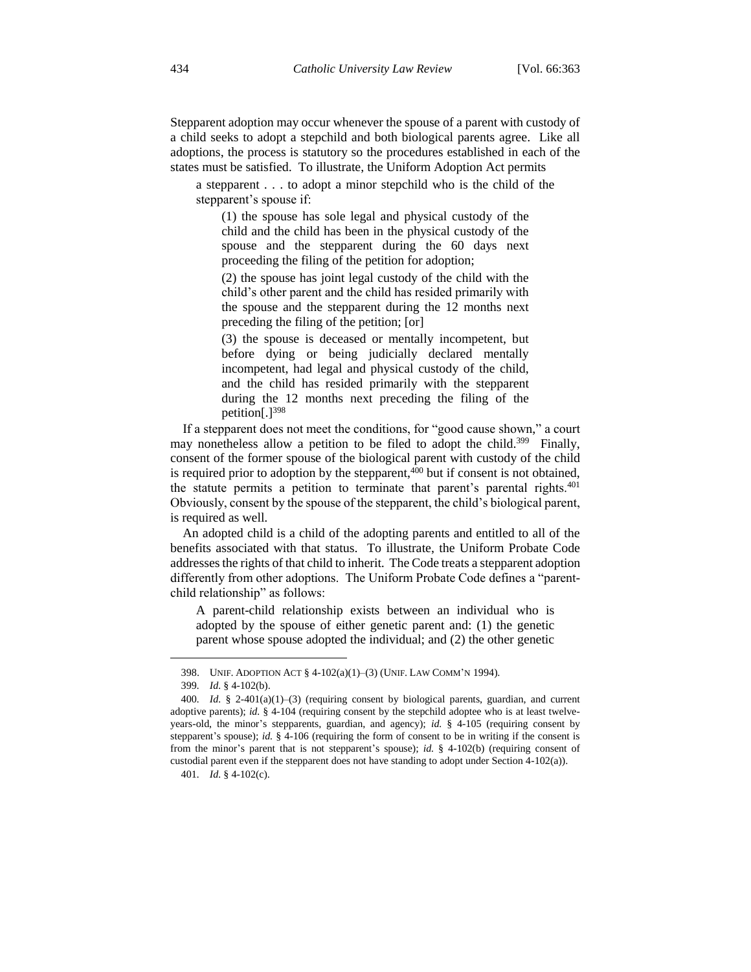Stepparent adoption may occur whenever the spouse of a parent with custody of a child seeks to adopt a stepchild and both biological parents agree. Like all adoptions, the process is statutory so the procedures established in each of the states must be satisfied. To illustrate, the Uniform Adoption Act permits

a stepparent . . . to adopt a minor stepchild who is the child of the stepparent's spouse if:

(1) the spouse has sole legal and physical custody of the child and the child has been in the physical custody of the spouse and the stepparent during the 60 days next proceeding the filing of the petition for adoption;

(2) the spouse has joint legal custody of the child with the child's other parent and the child has resided primarily with the spouse and the stepparent during the 12 months next preceding the filing of the petition; [or]

(3) the spouse is deceased or mentally incompetent, but before dying or being judicially declared mentally incompetent, had legal and physical custody of the child, and the child has resided primarily with the stepparent during the 12 months next preceding the filing of the petition[.]<sup>398</sup>

If a stepparent does not meet the conditions, for "good cause shown," a court may nonetheless allow a petition to be filed to adopt the child.<sup>399</sup> Finally, consent of the former spouse of the biological parent with custody of the child is required prior to adoption by the stepparent, $400$  but if consent is not obtained, the statute permits a petition to terminate that parent's parental rights.<sup>401</sup> Obviously, consent by the spouse of the stepparent, the child's biological parent, is required as well.

An adopted child is a child of the adopting parents and entitled to all of the benefits associated with that status. To illustrate, the Uniform Probate Code addresses the rights of that child to inherit. The Code treats a stepparent adoption differently from other adoptions. The Uniform Probate Code defines a "parentchild relationship" as follows:

A parent-child relationship exists between an individual who is adopted by the spouse of either genetic parent and: (1) the genetic parent whose spouse adopted the individual; and (2) the other genetic

<sup>398.</sup> UNIF. ADOPTION ACT § 4-102(a)(1)–(3) (UNIF. LAW COMM'N 1994).

<sup>399</sup>*. Id.* § 4-102(b).

<sup>400</sup>*. Id.* § 2-401(a)(1)–(3) (requiring consent by biological parents, guardian, and current adoptive parents); *id.* § 4-104 (requiring consent by the stepchild adoptee who is at least twelveyears-old, the minor's stepparents, guardian, and agency); *id.* § 4-105 (requiring consent by stepparent's spouse); *id.* § 4-106 (requiring the form of consent to be in writing if the consent is from the minor's parent that is not stepparent's spouse); *id.* § 4-102(b) (requiring consent of custodial parent even if the stepparent does not have standing to adopt under Section 4-102(a)).

<sup>401</sup>*. Id.* § 4-102(c).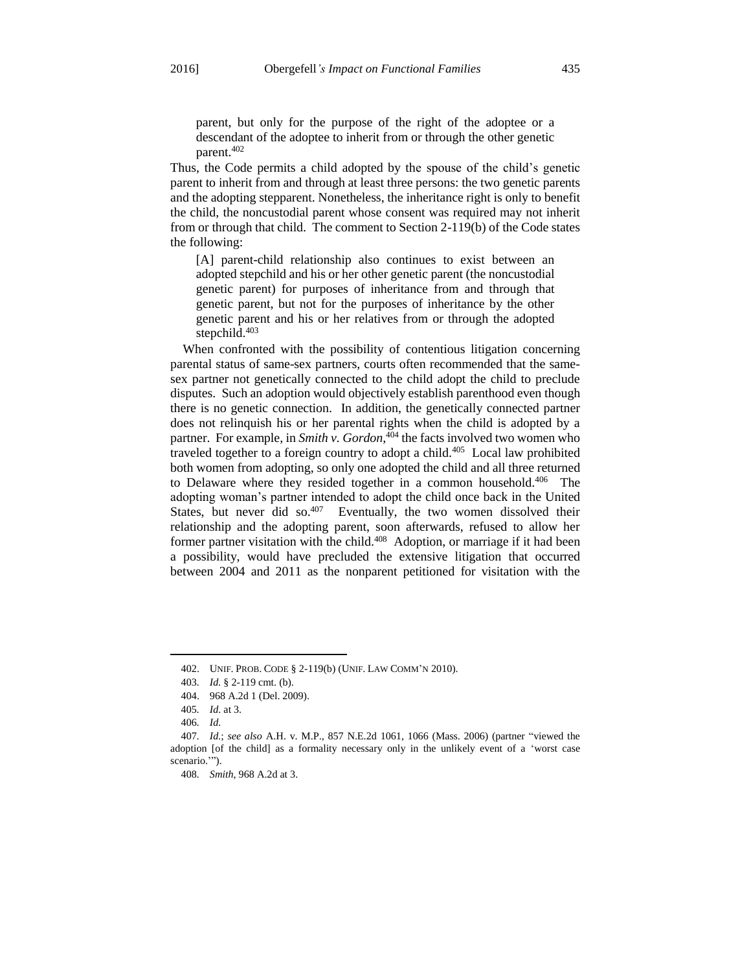parent, but only for the purpose of the right of the adoptee or a descendant of the adoptee to inherit from or through the other genetic parent.<sup>402</sup>

Thus, the Code permits a child adopted by the spouse of the child's genetic parent to inherit from and through at least three persons: the two genetic parents and the adopting stepparent. Nonetheless, the inheritance right is only to benefit the child, the noncustodial parent whose consent was required may not inherit from or through that child. The comment to Section 2-119(b) of the Code states the following:

[A] parent-child relationship also continues to exist between an adopted stepchild and his or her other genetic parent (the noncustodial genetic parent) for purposes of inheritance from and through that genetic parent, but not for the purposes of inheritance by the other genetic parent and his or her relatives from or through the adopted stepchild.<sup>403</sup>

When confronted with the possibility of contentious litigation concerning parental status of same-sex partners, courts often recommended that the samesex partner not genetically connected to the child adopt the child to preclude disputes. Such an adoption would objectively establish parenthood even though there is no genetic connection. In addition, the genetically connected partner does not relinquish his or her parental rights when the child is adopted by a partner. For example, in *Smith v. Gordon*, <sup>404</sup> the facts involved two women who traveled together to a foreign country to adopt a child.<sup>405</sup> Local law prohibited both women from adopting, so only one adopted the child and all three returned to Delaware where they resided together in a common household.<sup>406</sup> The adopting woman's partner intended to adopt the child once back in the United States, but never did so. $407$  Eventually, the two women dissolved their relationship and the adopting parent, soon afterwards, refused to allow her former partner visitation with the child.<sup>408</sup> Adoption, or marriage if it had been a possibility, would have precluded the extensive litigation that occurred between 2004 and 2011 as the nonparent petitioned for visitation with the

<sup>402.</sup> UNIF. PROB. CODE § 2-119(b) (UNIF. LAW COMM'N 2010).

<sup>403</sup>*. Id.* § 2-119 cmt. (b).

<sup>404.</sup> 968 A.2d 1 (Del. 2009).

<sup>405</sup>*. Id.* at 3.

<sup>406</sup>*. Id.*

<sup>407</sup>*. Id.*; *see also* A.H. v. M.P., 857 N.E.2d 1061, 1066 (Mass. 2006) (partner "viewed the adoption [of the child] as a formality necessary only in the unlikely event of a 'worst case scenario."").

<sup>408</sup>*. Smith*, 968 A.2d at 3.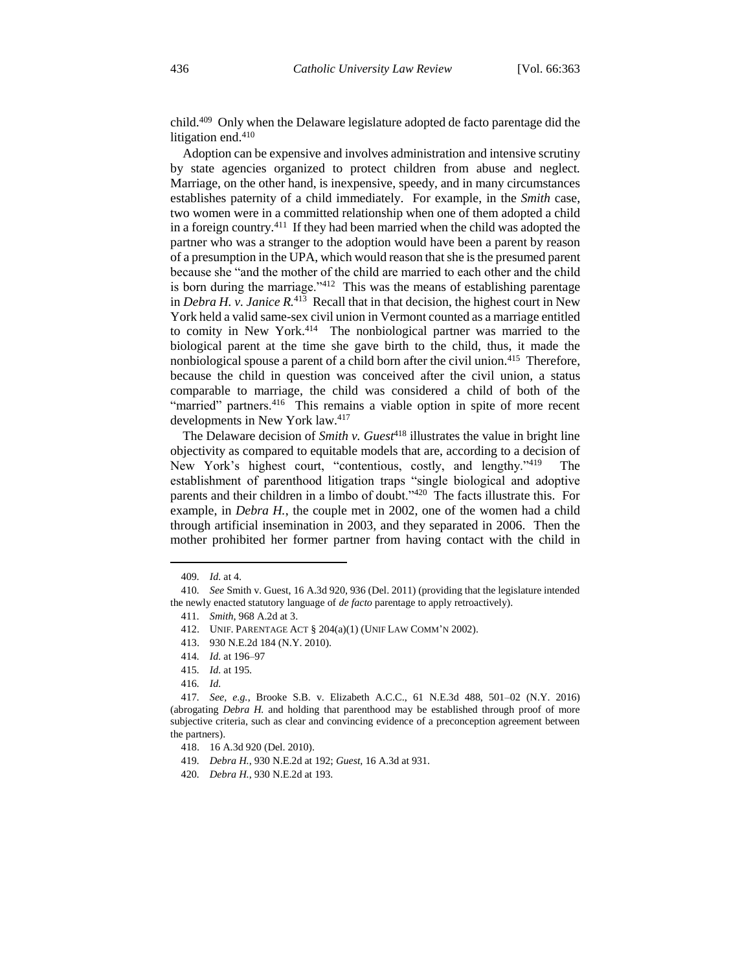child.<sup>409</sup> Only when the Delaware legislature adopted de facto parentage did the litigation end.<sup>410</sup>

Adoption can be expensive and involves administration and intensive scrutiny by state agencies organized to protect children from abuse and neglect. Marriage, on the other hand, is inexpensive, speedy, and in many circumstances establishes paternity of a child immediately. For example, in the *Smith* case, two women were in a committed relationship when one of them adopted a child in a foreign country.<sup>411</sup> If they had been married when the child was adopted the partner who was a stranger to the adoption would have been a parent by reason of a presumption in the UPA, which would reason that she is the presumed parent because she "and the mother of the child are married to each other and the child is born during the marriage.<sup> $2412$ </sup> This was the means of establishing parentage in *Debra H. v. Janice R.*<sup>413</sup> Recall that in that decision, the highest court in New York held a valid same-sex civil union in Vermont counted as a marriage entitled to comity in New York.<sup>414</sup> The nonbiological partner was married to the biological parent at the time she gave birth to the child, thus, it made the nonbiological spouse a parent of a child born after the civil union.<sup>415</sup> Therefore, because the child in question was conceived after the civil union, a status comparable to marriage, the child was considered a child of both of the "married" partners.<sup>416</sup> This remains a viable option in spite of more recent developments in New York law.<sup>417</sup>

The Delaware decision of *Smith v. Guest*<sup>418</sup> illustrates the value in bright line objectivity as compared to equitable models that are, according to a decision of New York's highest court, "contentious, costly, and lengthy."419 The establishment of parenthood litigation traps "single biological and adoptive parents and their children in a limbo of doubt."<sup>420</sup> The facts illustrate this. For example, in *Debra H.*, the couple met in 2002, one of the women had a child through artificial insemination in 2003, and they separated in 2006. Then the mother prohibited her former partner from having contact with the child in

<sup>409</sup>*. Id.* at 4.

<sup>410</sup>*. See* Smith v. Guest, 16 A.3d 920, 936 (Del. 2011) (providing that the legislature intended the newly enacted statutory language of *de facto* parentage to apply retroactively).

<sup>411</sup>*. Smith*, 968 A.2d at 3.

<sup>412.</sup> UNIF. PARENTAGE ACT § 204(a)(1) (UNIF LAW COMM'N 2002).

<sup>413.</sup> 930 N.E.2d 184 (N.Y. 2010).

<sup>414</sup>*. Id.* at 196–97

<sup>415</sup>*. Id.* at 195.

<sup>416</sup>*. Id.*

<sup>417</sup>*. See, e.g.*, Brooke S.B. v. Elizabeth A.C.C., 61 N.E.3d 488, 501–02 (N.Y. 2016) (abrogating *Debra H.* and holding that parenthood may be established through proof of more subjective criteria, such as clear and convincing evidence of a preconception agreement between the partners).

<sup>418.</sup> 16 A.3d 920 (Del. 2010).

<sup>419</sup>*. Debra H.*, 930 N.E.2d at 192; *Guest*, 16 A.3d at 931.

<sup>420</sup>*. Debra H.*, 930 N.E.2d at 193.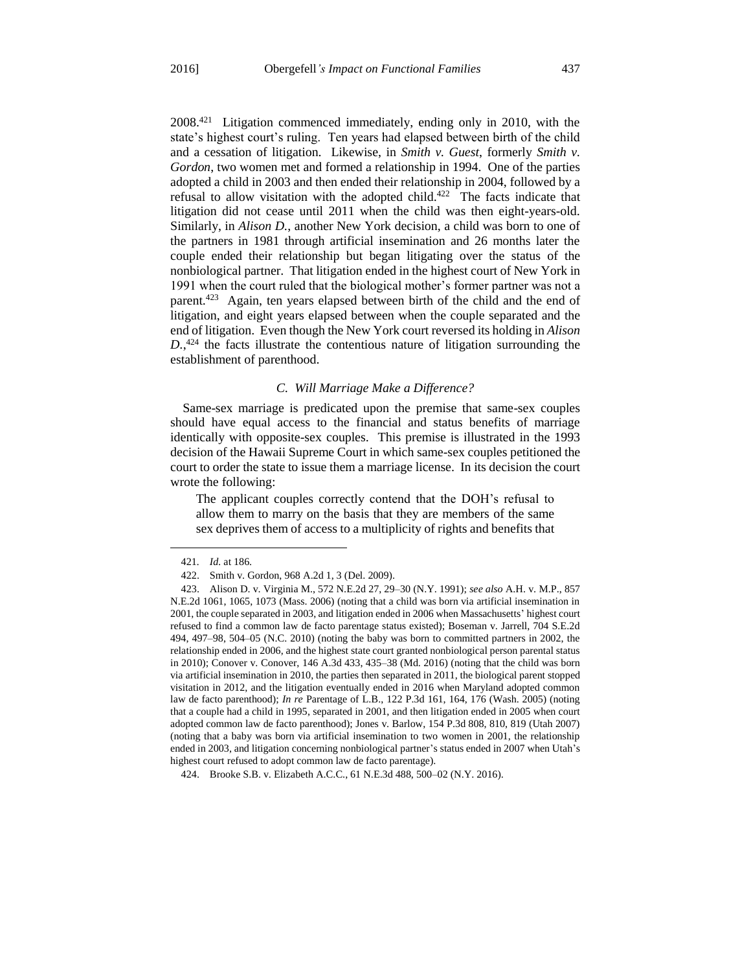2008.<sup>421</sup> Litigation commenced immediately, ending only in 2010, with the state's highest court's ruling. Ten years had elapsed between birth of the child and a cessation of litigation. Likewise, in *Smith v. Guest*, formerly *Smith v. Gordon*, two women met and formed a relationship in 1994. One of the parties adopted a child in 2003 and then ended their relationship in 2004, followed by a refusal to allow visitation with the adopted child.<sup>422</sup> The facts indicate that litigation did not cease until 2011 when the child was then eight-years-old. Similarly, in *Alison D.*, another New York decision, a child was born to one of the partners in 1981 through artificial insemination and 26 months later the couple ended their relationship but began litigating over the status of the nonbiological partner. That litigation ended in the highest court of New York in 1991 when the court ruled that the biological mother's former partner was not a parent.<sup>423</sup> Again, ten years elapsed between birth of the child and the end of litigation, and eight years elapsed between when the couple separated and the end of litigation. Even though the New York court reversed its holding in *Alison D.*, <sup>424</sup> the facts illustrate the contentious nature of litigation surrounding the establishment of parenthood.

## *C. Will Marriage Make a Difference?*

Same-sex marriage is predicated upon the premise that same-sex couples should have equal access to the financial and status benefits of marriage identically with opposite-sex couples. This premise is illustrated in the 1993 decision of the Hawaii Supreme Court in which same-sex couples petitioned the court to order the state to issue them a marriage license. In its decision the court wrote the following:

The applicant couples correctly contend that the DOH's refusal to allow them to marry on the basis that they are members of the same sex deprives them of access to a multiplicity of rights and benefits that

<sup>421</sup>*. Id.* at 186.

<sup>422.</sup> Smith v. Gordon, 968 A.2d 1, 3 (Del. 2009).

<sup>423.</sup> Alison D. v. Virginia M., 572 N.E.2d 27, 29–30 (N.Y. 1991); *see also* A.H. v. M.P., 857 N.E.2d 1061, 1065, 1073 (Mass. 2006) (noting that a child was born via artificial insemination in 2001, the couple separated in 2003, and litigation ended in 2006 when Massachusetts' highest court refused to find a common law de facto parentage status existed); Boseman v. Jarrell, 704 S.E.2d 494, 497–98, 504–05 (N.C. 2010) (noting the baby was born to committed partners in 2002, the relationship ended in 2006, and the highest state court granted nonbiological person parental status in 2010); Conover v. Conover, 146 A.3d 433, 435–38 (Md. 2016) (noting that the child was born via artificial insemination in 2010, the parties then separated in 2011, the biological parent stopped visitation in 2012, and the litigation eventually ended in 2016 when Maryland adopted common law de facto parenthood); *In re* Parentage of L.B., 122 P.3d 161, 164, 176 (Wash. 2005) (noting that a couple had a child in 1995, separated in 2001, and then litigation ended in 2005 when court adopted common law de facto parenthood); Jones v. Barlow, 154 P.3d 808, 810, 819 (Utah 2007) (noting that a baby was born via artificial insemination to two women in 2001, the relationship ended in 2003, and litigation concerning nonbiological partner's status ended in 2007 when Utah's highest court refused to adopt common law de facto parentage).

<sup>424.</sup> Brooke S.B. v. Elizabeth A.C.C., 61 N.E.3d 488, 500–02 (N.Y. 2016).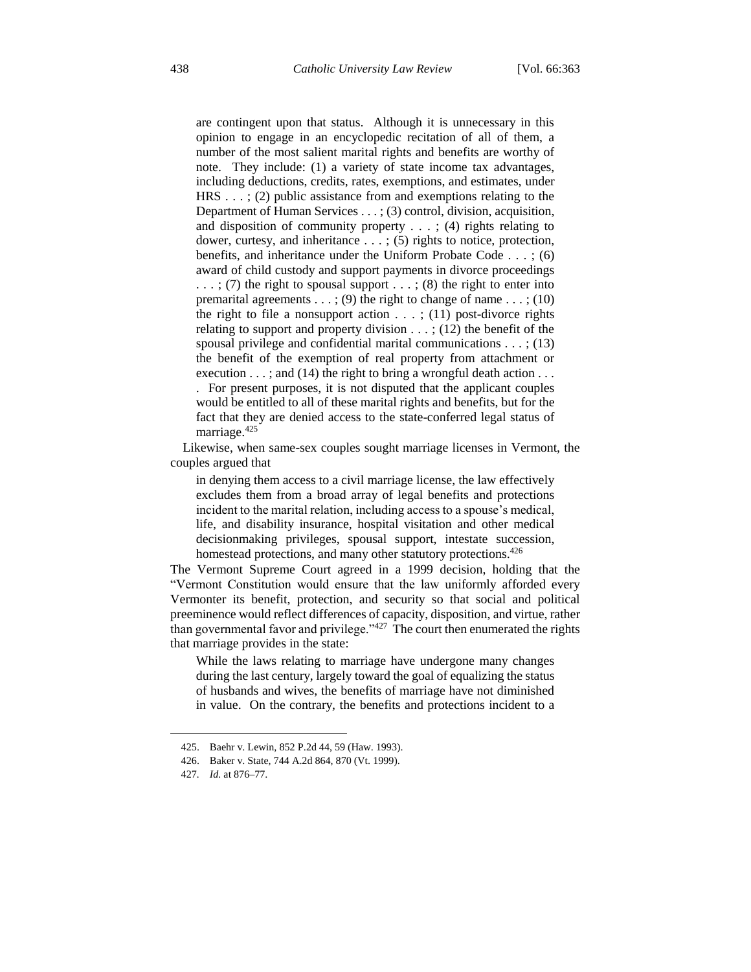are contingent upon that status. Although it is unnecessary in this opinion to engage in an encyclopedic recitation of all of them, a number of the most salient marital rights and benefits are worthy of note. They include: (1) a variety of state income tax advantages, including deductions, credits, rates, exemptions, and estimates, under HRS . . . ; (2) public assistance from and exemptions relating to the Department of Human Services . . . ; (3) control, division, acquisition, and disposition of community property  $\dots$ ; (4) rights relating to dower, curtesy, and inheritance . . . ; (5) rights to notice, protection, benefits, and inheritance under the Uniform Probate Code . . . ; (6) award of child custody and support payments in divorce proceedings  $\ldots$ ; (7) the right to spousal support  $\ldots$ ; (8) the right to enter into premarital agreements  $\dots$ ; (9) the right to change of name  $\dots$ ; (10) the right to file a nonsupport action  $\dots$ ; (11) post-divorce rights relating to support and property division  $\dots$ ; (12) the benefit of the spousal privilege and confidential marital communications . . . ; (13) the benefit of the exemption of real property from attachment or execution  $\dots$ ; and (14) the right to bring a wrongful death action  $\dots$ . For present purposes, it is not disputed that the applicant couples would be entitled to all of these marital rights and benefits, but for the

fact that they are denied access to the state-conferred legal status of marriage.<sup>425</sup>

Likewise, when same-sex couples sought marriage licenses in Vermont, the couples argued that

in denying them access to a civil marriage license, the law effectively excludes them from a broad array of legal benefits and protections incident to the marital relation, including access to a spouse's medical, life, and disability insurance, hospital visitation and other medical decisionmaking privileges, spousal support, intestate succession, homestead protections, and many other statutory protections.<sup>426</sup>

The Vermont Supreme Court agreed in a 1999 decision, holding that the "Vermont Constitution would ensure that the law uniformly afforded every Vermonter its benefit, protection, and security so that social and political preeminence would reflect differences of capacity, disposition, and virtue, rather than governmental favor and privilege."<sup>427</sup> The court then enumerated the rights that marriage provides in the state:

While the laws relating to marriage have undergone many changes during the last century, largely toward the goal of equalizing the status of husbands and wives, the benefits of marriage have not diminished in value. On the contrary, the benefits and protections incident to a

 $\overline{a}$ 

<sup>425.</sup> Baehr v. Lewin, 852 P.2d 44, 59 (Haw. 1993).

<sup>426.</sup> Baker v. State, 744 A.2d 864, 870 (Vt. 1999).

<sup>427</sup>*. Id.* at 876–77.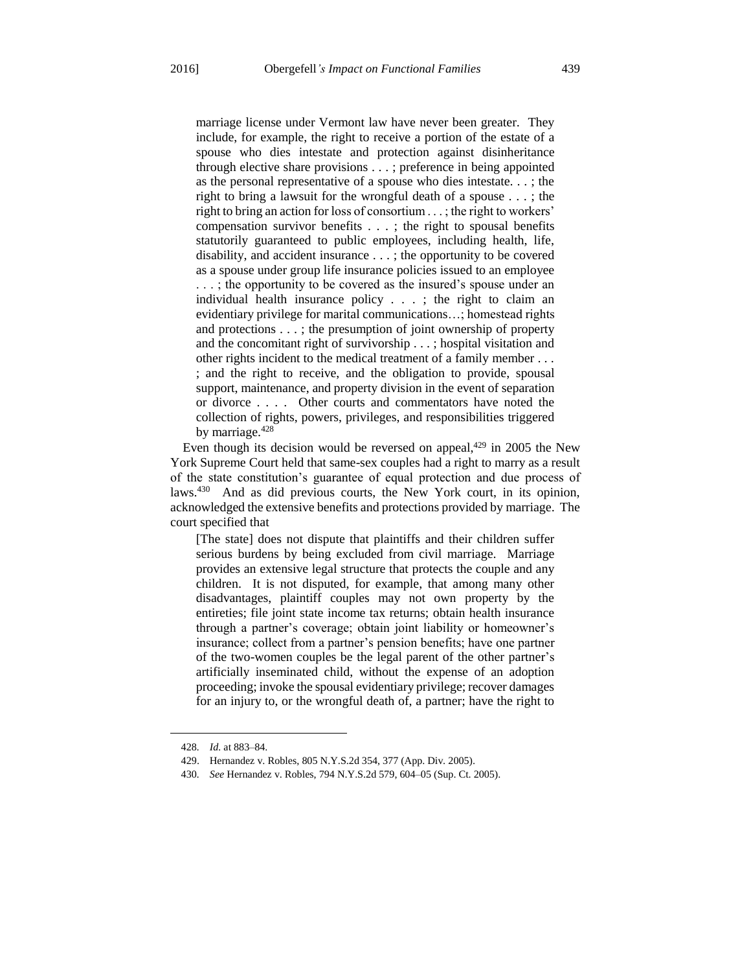marriage license under Vermont law have never been greater. They include, for example, the right to receive a portion of the estate of a spouse who dies intestate and protection against disinheritance through elective share provisions . . . ; preference in being appointed as the personal representative of a spouse who dies intestate. . . ; the right to bring a lawsuit for the wrongful death of a spouse . . . ; the right to bring an action for loss of consortium . . . ; the right to workers' compensation survivor benefits . . . ; the right to spousal benefits statutorily guaranteed to public employees, including health, life, disability, and accident insurance . . . ; the opportunity to be covered as a spouse under group life insurance policies issued to an employee ...; the opportunity to be covered as the insured's spouse under an individual health insurance policy . . . ; the right to claim an evidentiary privilege for marital communications…; homestead rights and protections . . . ; the presumption of joint ownership of property and the concomitant right of survivorship . . . ; hospital visitation and other rights incident to the medical treatment of a family member . . . ; and the right to receive, and the obligation to provide, spousal support, maintenance, and property division in the event of separation or divorce . . . . Other courts and commentators have noted the collection of rights, powers, privileges, and responsibilities triggered by marriage.<sup>428</sup>

Even though its decision would be reversed on appeal, $429$  in 2005 the New York Supreme Court held that same-sex couples had a right to marry as a result of the state constitution's guarantee of equal protection and due process of laws.<sup>430</sup> And as did previous courts, the New York court, in its opinion, acknowledged the extensive benefits and protections provided by marriage. The court specified that

[The state] does not dispute that plaintiffs and their children suffer serious burdens by being excluded from civil marriage. Marriage provides an extensive legal structure that protects the couple and any children. It is not disputed, for example, that among many other disadvantages, plaintiff couples may not own property by the entireties; file joint state income tax returns; obtain health insurance through a partner's coverage; obtain joint liability or homeowner's insurance; collect from a partner's pension benefits; have one partner of the two-women couples be the legal parent of the other partner's artificially inseminated child, without the expense of an adoption proceeding; invoke the spousal evidentiary privilege; recover damages for an injury to, or the wrongful death of, a partner; have the right to

 $\overline{a}$ 

<sup>428</sup>*. Id.* at 883–84.

<sup>429.</sup> Hernandez v. Robles, 805 N.Y.S.2d 354, 377 (App. Div. 2005).

<sup>430</sup>*. See* Hernandez v. Robles, 794 N.Y.S.2d 579, 604–05 (Sup. Ct. 2005).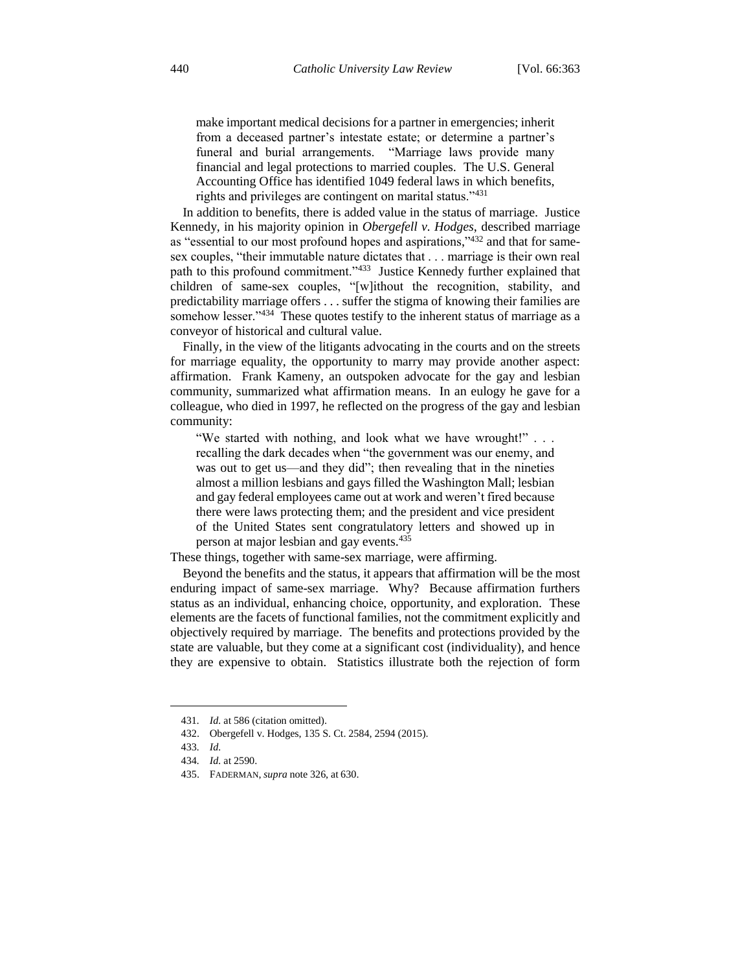make important medical decisions for a partner in emergencies; inherit from a deceased partner's intestate estate; or determine a partner's funeral and burial arrangements. "Marriage laws provide many financial and legal protections to married couples. The U.S. General Accounting Office has identified 1049 federal laws in which benefits, rights and privileges are contingent on marital status."<sup>431</sup>

In addition to benefits, there is added value in the status of marriage. Justice Kennedy, in his majority opinion in *Obergefell v. Hodges*, described marriage as "essential to our most profound hopes and aspirations,"<sup>432</sup> and that for samesex couples, "their immutable nature dictates that . . . marriage is their own real path to this profound commitment."<sup>433</sup> Justice Kennedy further explained that children of same-sex couples, "[w]ithout the recognition, stability, and predictability marriage offers . . . suffer the stigma of knowing their families are somehow lesser."<sup>434</sup> These quotes testify to the inherent status of marriage as a conveyor of historical and cultural value.

Finally, in the view of the litigants advocating in the courts and on the streets for marriage equality, the opportunity to marry may provide another aspect: affirmation. Frank Kameny, an outspoken advocate for the gay and lesbian community, summarized what affirmation means. In an eulogy he gave for a colleague, who died in 1997, he reflected on the progress of the gay and lesbian community:

"We started with nothing, and look what we have wrought!" . . . recalling the dark decades when "the government was our enemy, and was out to get us—and they did"; then revealing that in the nineties almost a million lesbians and gays filled the Washington Mall; lesbian and gay federal employees came out at work and weren't fired because there were laws protecting them; and the president and vice president of the United States sent congratulatory letters and showed up in person at major lesbian and gay events.<sup>435</sup>

These things, together with same-sex marriage, were affirming.

Beyond the benefits and the status, it appears that affirmation will be the most enduring impact of same-sex marriage. Why? Because affirmation furthers status as an individual, enhancing choice, opportunity, and exploration. These elements are the facets of functional families, not the commitment explicitly and objectively required by marriage. The benefits and protections provided by the state are valuable, but they come at a significant cost (individuality), and hence they are expensive to obtain. Statistics illustrate both the rejection of form

<sup>431</sup>*. Id.* at 586 (citation omitted).

<sup>432.</sup> Obergefell v. Hodges, 135 S. Ct. 2584, 2594 (2015).

<sup>433</sup>*. Id.*

<sup>434</sup>*. Id.* at 2590.

<sup>435.</sup> FADERMAN, *supra* note 326, at 630.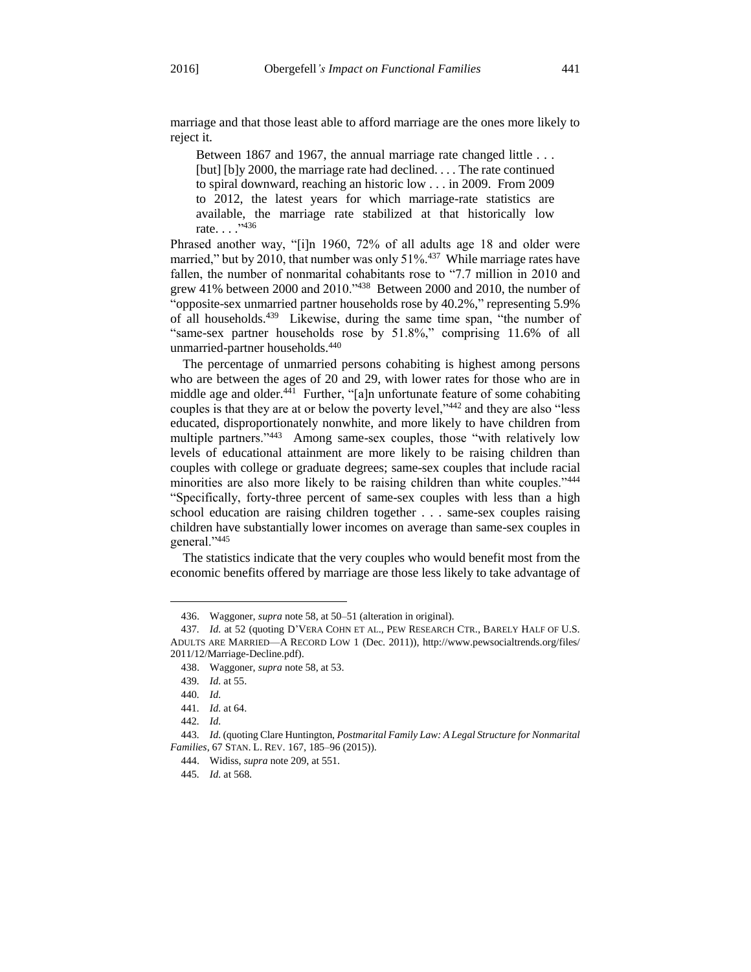marriage and that those least able to afford marriage are the ones more likely to reject it.

Between 1867 and 1967, the annual marriage rate changed little . . . [but] [b]y 2000, the marriage rate had declined. . . . The rate continued to spiral downward, reaching an historic low . . . in 2009. From 2009 to 2012, the latest years for which marriage-rate statistics are available, the marriage rate stabilized at that historically low rate. . . .<sup>3436</sup>

Phrased another way, "[i]n 1960, 72% of all adults age 18 and older were married," but by 2010, that number was only 51%.<sup>437</sup> While marriage rates have fallen, the number of nonmarital cohabitants rose to "7.7 million in 2010 and grew 41% between 2000 and 2010."<sup>438</sup> Between 2000 and 2010, the number of "opposite-sex unmarried partner households rose by 40.2%," representing 5.9% of all households.<sup>439</sup> Likewise, during the same time span, "the number of "same-sex partner households rose by 51.8%," comprising 11.6% of all unmarried-partner households.<sup>440</sup>

The percentage of unmarried persons cohabiting is highest among persons who are between the ages of 20 and 29, with lower rates for those who are in middle age and older.<sup>441</sup> Further, "[a]n unfortunate feature of some cohabiting couples is that they are at or below the poverty level,"<sup>442</sup> and they are also "less educated, disproportionately nonwhite, and more likely to have children from multiple partners."<sup>443</sup> Among same-sex couples, those "with relatively low levels of educational attainment are more likely to be raising children than couples with college or graduate degrees; same-sex couples that include racial minorities are also more likely to be raising children than white couples."444 "Specifically, forty-three percent of same-sex couples with less than a high school education are raising children together . . . same-sex couples raising children have substantially lower incomes on average than same-sex couples in general."<sup>445</sup>

The statistics indicate that the very couples who would benefit most from the economic benefits offered by marriage are those less likely to take advantage of

<sup>436.</sup> Waggoner, *supra* note 58, at 50–51 (alteration in original).

<sup>437</sup>*. Id.* at 52 (quoting D'VERA COHN ET AL., PEW RESEARCH CTR., BARELY HALF OF U.S. ADULTS ARE MARRIED—A RECORD LOW 1 (Dec. 2011)), http://www.pewsocialtrends.org/files/ 2011/12/Marriage-Decline.pdf).

<sup>438.</sup> Waggoner, *supra* note 58, at 53.

<sup>439</sup>*. Id.* at 55.

<sup>440</sup>*. Id.*

<sup>441</sup>*. Id.* at 64.

<sup>442</sup>*. Id.*

<sup>443</sup>*. Id.* (quoting Clare Huntington, *Postmarital Family Law: A Legal Structure for Nonmarital Families*, 67 STAN. L. REV. 167, 185–96 (2015)).

<sup>444.</sup> Widiss, *supra* note 209, at 551.

<sup>445</sup>*. Id.* at 568.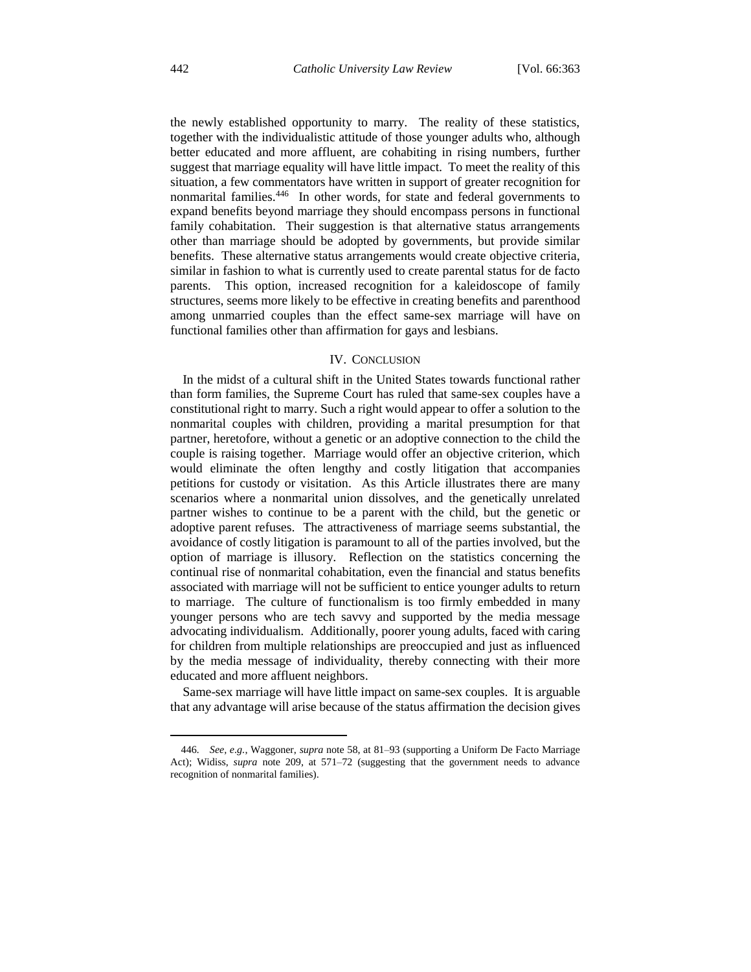the newly established opportunity to marry. The reality of these statistics, together with the individualistic attitude of those younger adults who, although better educated and more affluent, are cohabiting in rising numbers, further suggest that marriage equality will have little impact. To meet the reality of this situation, a few commentators have written in support of greater recognition for nonmarital families.<sup>446</sup> In other words, for state and federal governments to expand benefits beyond marriage they should encompass persons in functional family cohabitation. Their suggestion is that alternative status arrangements other than marriage should be adopted by governments, but provide similar benefits. These alternative status arrangements would create objective criteria, similar in fashion to what is currently used to create parental status for de facto parents. This option, increased recognition for a kaleidoscope of family structures, seems more likely to be effective in creating benefits and parenthood among unmarried couples than the effect same-sex marriage will have on functional families other than affirmation for gays and lesbians.

## IV. CONCLUSION

In the midst of a cultural shift in the United States towards functional rather than form families, the Supreme Court has ruled that same-sex couples have a constitutional right to marry. Such a right would appear to offer a solution to the nonmarital couples with children, providing a marital presumption for that partner, heretofore, without a genetic or an adoptive connection to the child the couple is raising together. Marriage would offer an objective criterion, which would eliminate the often lengthy and costly litigation that accompanies petitions for custody or visitation. As this Article illustrates there are many scenarios where a nonmarital union dissolves, and the genetically unrelated partner wishes to continue to be a parent with the child, but the genetic or adoptive parent refuses. The attractiveness of marriage seems substantial, the avoidance of costly litigation is paramount to all of the parties involved, but the option of marriage is illusory. Reflection on the statistics concerning the continual rise of nonmarital cohabitation, even the financial and status benefits associated with marriage will not be sufficient to entice younger adults to return to marriage. The culture of functionalism is too firmly embedded in many younger persons who are tech savvy and supported by the media message advocating individualism. Additionally, poorer young adults, faced with caring for children from multiple relationships are preoccupied and just as influenced by the media message of individuality, thereby connecting with their more educated and more affluent neighbors.

Same-sex marriage will have little impact on same-sex couples. It is arguable that any advantage will arise because of the status affirmation the decision gives

<sup>446</sup>*. See, e.g.*, Waggoner, *supra* note 58, at 81–93 (supporting a Uniform De Facto Marriage Act); Widiss, *supra* note 209, at 571–72 (suggesting that the government needs to advance recognition of nonmarital families).